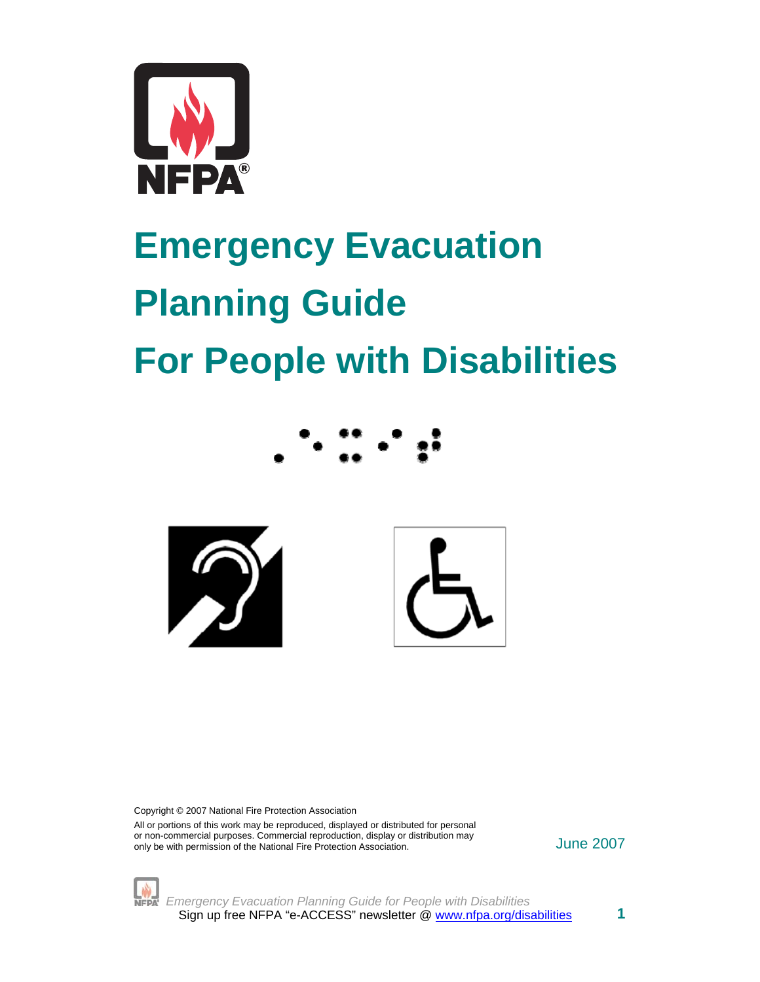

# **Emergency Evacuation Planning Guide For People with Disabilities**







Copyright © 2007 National Fire Protection Association All or portions of this work may be reproduced, displayed or distributed for personal or non-commercial purposes. Commercial reproduction, display or distribution may on non-commercial purposes. Commercial reproduction, display or distinguion may<br>only be with permission of the National Fire Protection Association.



 *Emergency Evacuation Planning Guide for People with Disabilities*  Sign up free NFPA "e-ACCESS" newsletter @ www.nfpa.org/disabilities **1**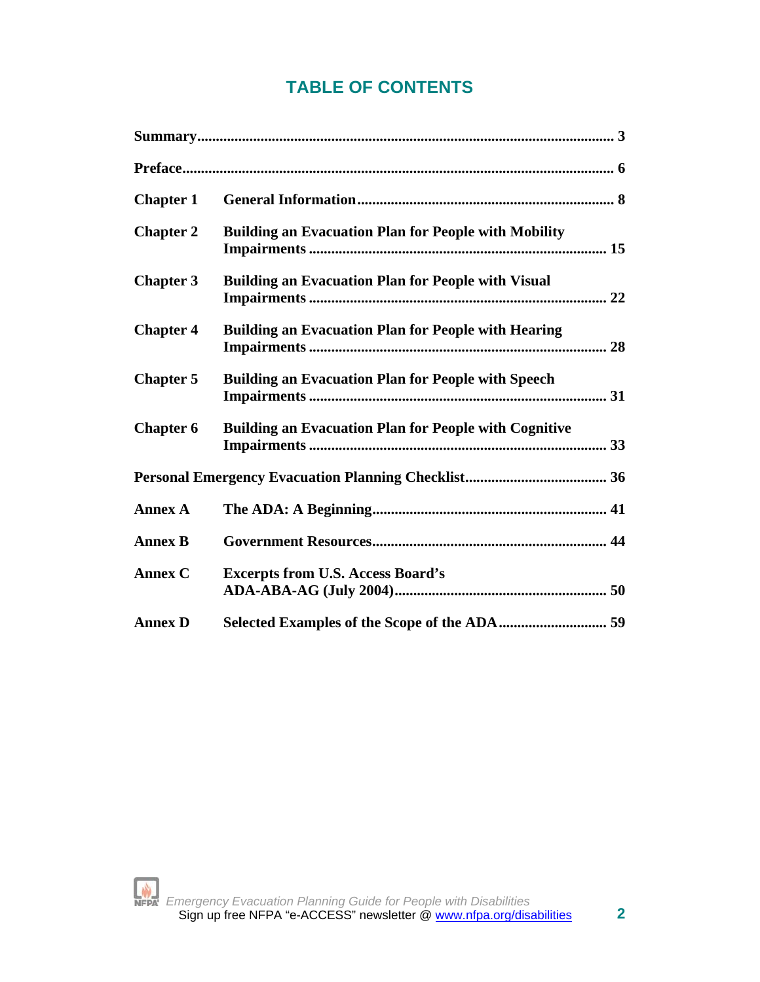# **TABLE OF CONTENTS**

| <b>Chapter 1</b> |                                                              |
|------------------|--------------------------------------------------------------|
| <b>Chapter 2</b> | <b>Building an Evacuation Plan for People with Mobility</b>  |
| <b>Chapter 3</b> | <b>Building an Evacuation Plan for People with Visual</b>    |
| <b>Chapter 4</b> | <b>Building an Evacuation Plan for People with Hearing</b>   |
| <b>Chapter 5</b> | <b>Building an Evacuation Plan for People with Speech</b>    |
| <b>Chapter 6</b> | <b>Building an Evacuation Plan for People with Cognitive</b> |
|                  |                                                              |
| <b>Annex A</b>   |                                                              |
| <b>Annex B</b>   |                                                              |
| <b>Annex C</b>   | <b>Excerpts from U.S. Access Board's</b>                     |
| <b>Annex D</b>   |                                                              |

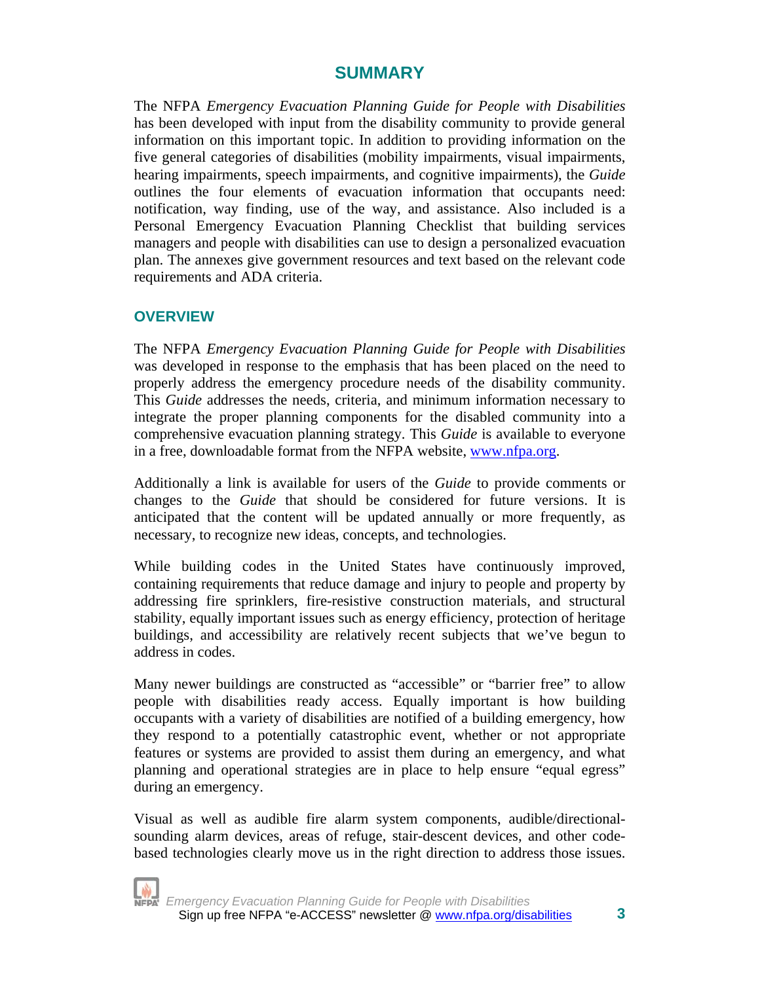# **SUMMARY**

The NFPA *Emergency Evacuation Planning Guide for People with Disabilities* has been developed with input from the disability community to provide general information on this important topic. In addition to providing information on the five general categories of disabilities (mobility impairments, visual impairments, hearing impairments, speech impairments, and cognitive impairments), the *Guide* outlines the four elements of evacuation information that occupants need: notification, way finding, use of the way, and assistance. Also included is a Personal Emergency Evacuation Planning Checklist that building services managers and people with disabilities can use to design a personalized evacuation plan. The annexes give government resources and text based on the relevant code requirements and ADA criteria.

#### **OVERVIEW**

The NFPA *Emergency Evacuation Planning Guide for People with Disabilities* was developed in response to the emphasis that has been placed on the need to properly address the emergency procedure needs of the disability community. This *Guide* addresses the needs, criteria, and minimum information necessary to integrate the proper planning components for the disabled community into a comprehensive evacuation planning strategy. This *Guide* is available to everyone in a free, downloadable format from the NFPA website, [www.nfpa.org](http://www.nfpa.org/).

Additionally a link is available for users of the *Guide* to provide comments or changes to the *Guide* that should be considered for future versions. It is anticipated that the content will be updated annually or more frequently, as necessary, to recognize new ideas, concepts, and technologies.

While building codes in the United States have continuously improved, containing requirements that reduce damage and injury to people and property by addressing fire sprinklers, fire-resistive construction materials, and structural stability, equally important issues such as energy efficiency, protection of heritage buildings, and accessibility are relatively recent subjects that we've begun to address in codes.

Many newer buildings are constructed as "accessible" or "barrier free" to allow people with disabilities ready access. Equally important is how building occupants with a variety of disabilities are notified of a building emergency, how they respond to a potentially catastrophic event, whether or not appropriate features or systems are provided to assist them during an emergency, and what planning and operational strategies are in place to help ensure "equal egress" during an emergency.

Visual as well as audible fire alarm system components, audible/directionalsounding alarm devices, areas of refuge, stair-descent devices, and other codebased technologies clearly move us in the right direction to address those issues.

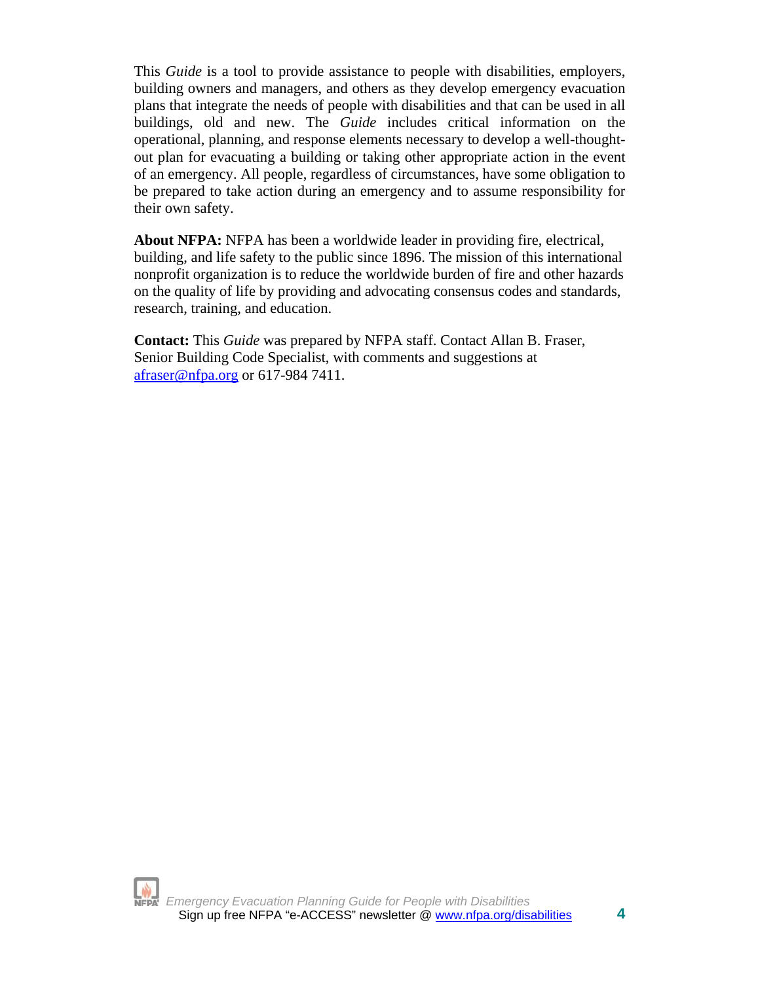This *Guide* is a tool to provide assistance to people with disabilities, employers, building owners and managers, and others as they develop emergency evacuation plans that integrate the needs of people with disabilities and that can be used in all buildings, old and new. The *Guide* includes critical information on the operational, planning, and response elements necessary to develop a well-thoughtout plan for evacuating a building or taking other appropriate action in the event of an emergency. All people, regardless of circumstances, have some obligation to be prepared to take action during an emergency and to assume responsibility for their own safety.

**About NFPA:** NFPA has been a worldwide leader in providing fire, electrical, building, and life safety to the public since 1896. The mission of this international nonprofit organization is to reduce the worldwide burden of fire and other hazards on the quality of life by providing and advocating consensus codes and standards, research, training, and education.

**Contact:** This *Guide* was prepared by NFPA staff. Contact Allan B. Fraser, Senior Building Code Specialist, with comments and suggestions at [afraser@nfpa.org](http://www.nfpa.org/assets/files/PDF/Forms/afraser@nfpa.org) or 617-984 7411.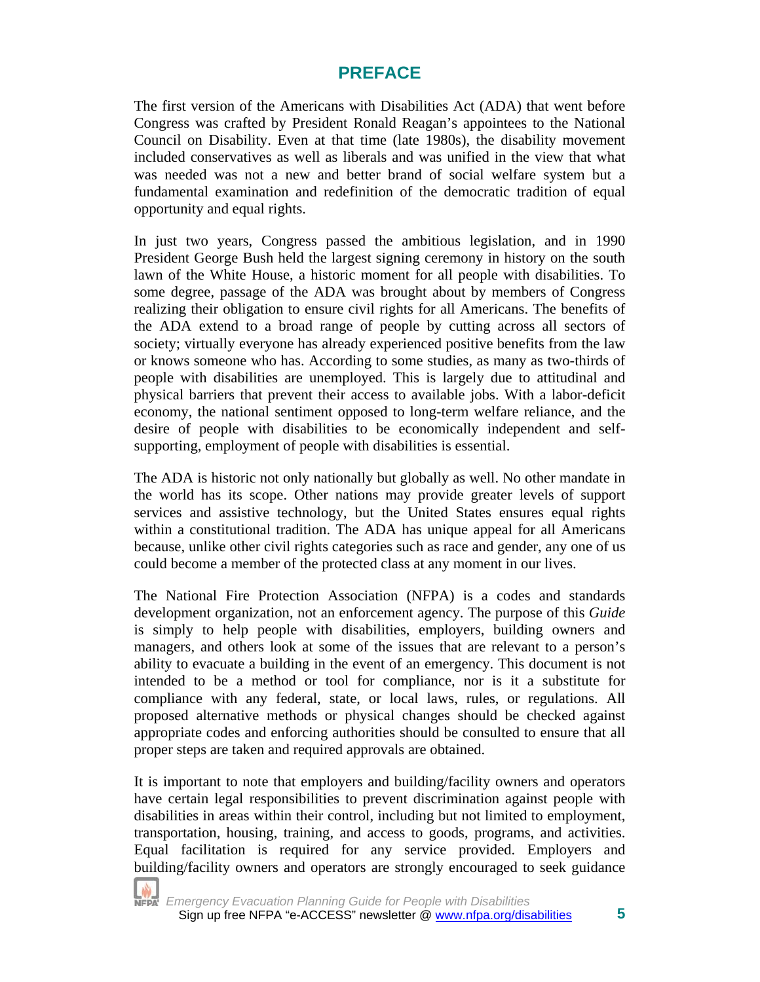# **PREFACE**

The first version of the Americans with Disabilities Act (ADA) that went before Congress was crafted by President Ronald Reagan's appointees to the National Council on Disability. Even at that time (late 1980s), the disability movement included conservatives as well as liberals and was unified in the view that what was needed was not a new and better brand of social welfare system but a fundamental examination and redefinition of the democratic tradition of equal opportunity and equal rights.

In just two years, Congress passed the ambitious legislation, and in 1990 President George Bush held the largest signing ceremony in history on the south lawn of the White House, a historic moment for all people with disabilities. To some degree, passage of the ADA was brought about by members of Congress realizing their obligation to ensure civil rights for all Americans. The benefits of the ADA extend to a broad range of people by cutting across all sectors of society; virtually everyone has already experienced positive benefits from the law or knows someone who has. According to some studies, as many as two-thirds of people with disabilities are unemployed. This is largely due to attitudinal and physical barriers that prevent their access to available jobs. With a labor-deficit economy, the national sentiment opposed to long-term welfare reliance, and the desire of people with disabilities to be economically independent and selfsupporting, employment of people with disabilities is essential.

The ADA is historic not only nationally but globally as well. No other mandate in the world has its scope. Other nations may provide greater levels of support services and assistive technology, but the United States ensures equal rights within a constitutional tradition. The ADA has unique appeal for all Americans because, unlike other civil rights categories such as race and gender, any one of us could become a member of the protected class at any moment in our lives.

The National Fire Protection Association (NFPA) is a codes and standards development organization, not an enforcement agency. The purpose of this *Guide* is simply to help people with disabilities, employers, building owners and managers, and others look at some of the issues that are relevant to a person's ability to evacuate a building in the event of an emergency. This document is not intended to be a method or tool for compliance, nor is it a substitute for compliance with any federal, state, or local laws, rules, or regulations. All proposed alternative methods or physical changes should be checked against appropriate codes and enforcing authorities should be consulted to ensure that all proper steps are taken and required approvals are obtained.

It is important to note that employers and building/facility owners and operators have certain legal responsibilities to prevent discrimination against people with disabilities in areas within their control, including but not limited to employment, transportation, housing, training, and access to goods, programs, and activities. Equal facilitation is required for any service provided. Employers and building/facility owners and operators are strongly encouraged to seek guidance

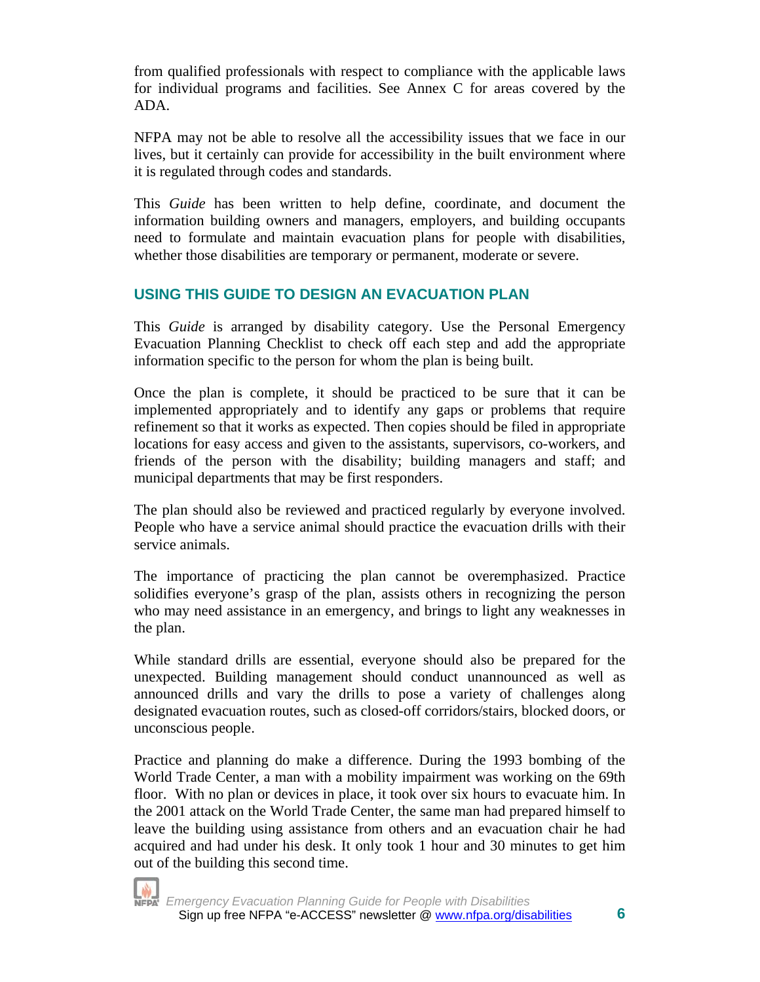from qualified professionals with respect to compliance with the applicable laws for individual programs and facilities. See Annex C for areas covered by the ADA.

NFPA may not be able to resolve all the accessibility issues that we face in our lives, but it certainly can provide for accessibility in the built environment where it is regulated through codes and standards.

This *Guide* has been written to help define, coordinate, and document the information building owners and managers, employers, and building occupants need to formulate and maintain evacuation plans for people with disabilities, whether those disabilities are temporary or permanent, moderate or severe.

## **USING THIS GUIDE TO DESIGN AN EVACUATION PLAN**

This *Guide* is arranged by disability category. Use the Personal Emergency Evacuation Planning Checklist to check off each step and add the appropriate information specific to the person for whom the plan is being built.

Once the plan is complete, it should be practiced to be sure that it can be implemented appropriately and to identify any gaps or problems that require refinement so that it works as expected. Then copies should be filed in appropriate locations for easy access and given to the assistants, supervisors, co-workers, and friends of the person with the disability; building managers and staff; and municipal departments that may be first responders.

The plan should also be reviewed and practiced regularly by everyone involved. People who have a service animal should practice the evacuation drills with their service animals.

The importance of practicing the plan cannot be overemphasized. Practice solidifies everyone's grasp of the plan, assists others in recognizing the person who may need assistance in an emergency, and brings to light any weaknesses in the plan.

While standard drills are essential, everyone should also be prepared for the unexpected. Building management should conduct unannounced as well as announced drills and vary the drills to pose a variety of challenges along designated evacuation routes, such as closed-off corridors/stairs, blocked doors, or unconscious people.

Practice and planning do make a difference. During the 1993 bombing of the World Trade Center, a man with a mobility impairment was working on the 69th floor. With no plan or devices in place, it took over six hours to evacuate him. In the 2001 attack on the World Trade Center, the same man had prepared himself to leave the building using assistance from others and an evacuation chair he had acquired and had under his desk. It only took 1 hour and 30 minutes to get him out of the building this second time.

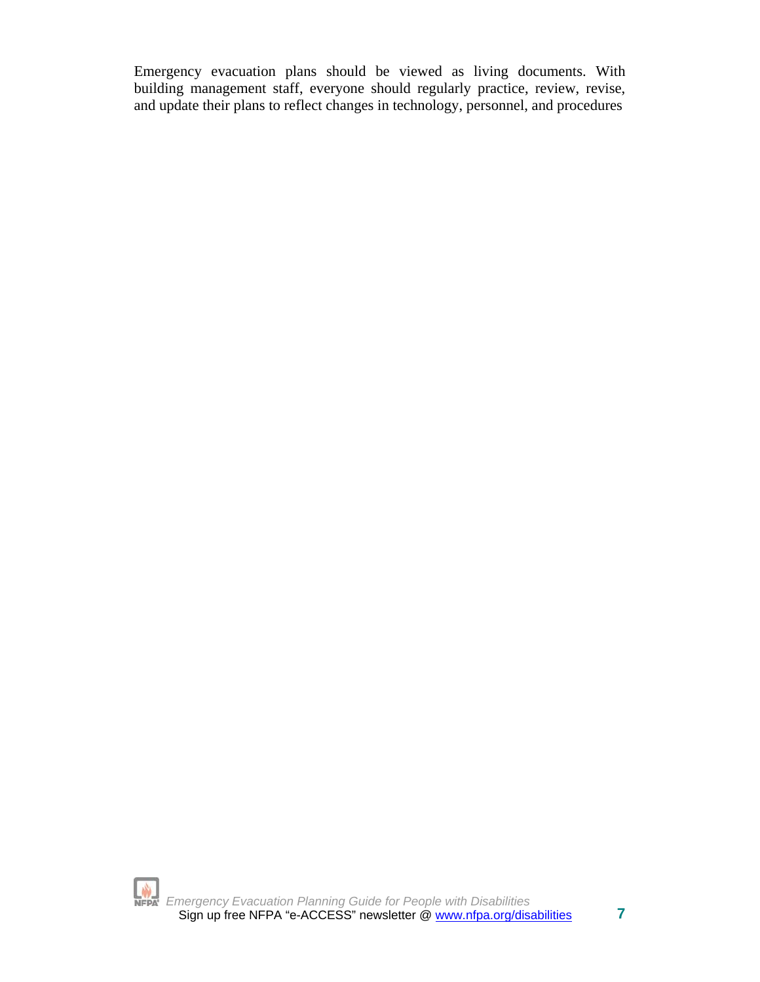Emergency evacuation plans should be viewed as living documents. With building management staff, everyone should regularly practice, review, revise, and update their plans to reflect changes in technology, personnel, and procedures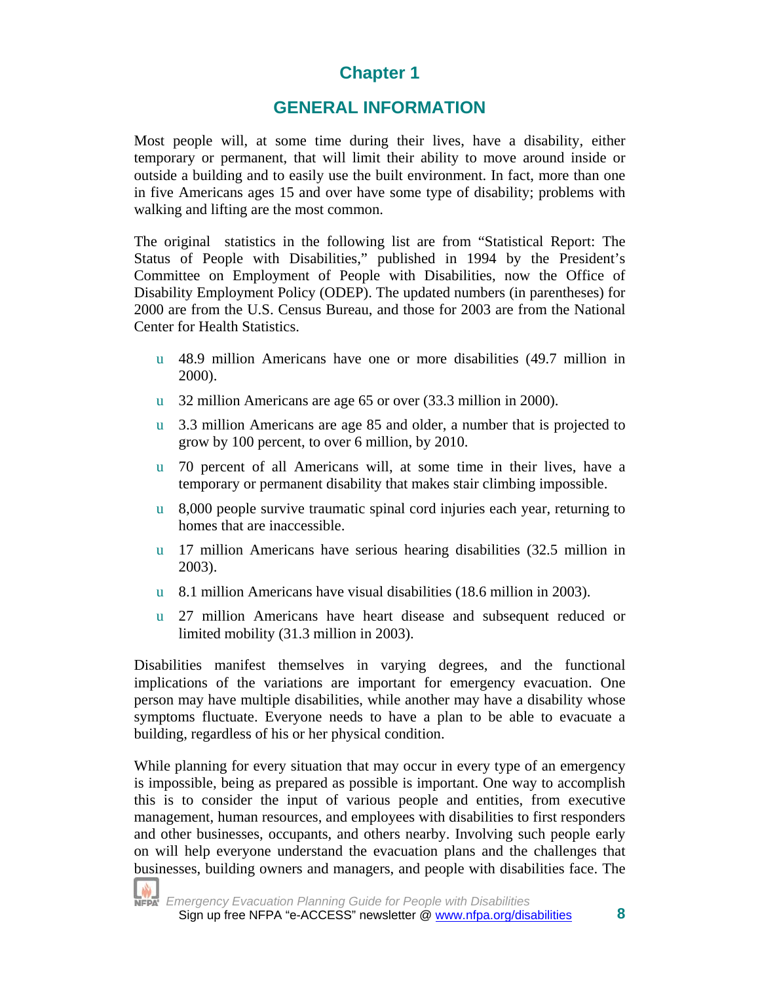# **Chapter 1**

# **GENERAL INFORMATION**

Most people will, at some time during their lives, have a disability, either temporary or permanent, that will limit their ability to move around inside or outside a building and to easily use the built environment. In fact, more than one in five Americans ages 15 and over have some type of disability; problems with walking and lifting are the most common.

The original statistics in the following list are from "Statistical Report: The Status of People with Disabilities," published in 1994 by the President's Committee on Employment of People with Disabilities, now the Office of Disability Employment Policy (ODEP). The updated numbers (in parentheses) for 2000 are from the U.S. Census Bureau, and those for 2003 are from the National Center for Health Statistics.

- u 48.9 million Americans have one or more disabilities (49.7 million in 2000).
- u 32 million Americans are age 65 or over (33.3 million in 2000).
- u 3.3 million Americans are age 85 and older, a number that is projected to grow by 100 percent, to over 6 million, by 2010.
- u 70 percent of all Americans will, at some time in their lives, have a temporary or permanent disability that makes stair climbing impossible.
- u 8,000 people survive traumatic spinal cord injuries each year, returning to homes that are inaccessible.
- u 17 million Americans have serious hearing disabilities (32.5 million in 2003).
- u 8.1 million Americans have visual disabilities (18.6 million in 2003).
- u 27 million Americans have heart disease and subsequent reduced or limited mobility (31.3 million in 2003).

Disabilities manifest themselves in varying degrees, and the functional implications of the variations are important for emergency evacuation. One person may have multiple disabilities, while another may have a disability whose symptoms fluctuate. Everyone needs to have a plan to be able to evacuate a building, regardless of his or her physical condition.

While planning for every situation that may occur in every type of an emergency is impossible, being as prepared as possible is important. One way to accomplish this is to consider the input of various people and entities, from executive management, human resources, and employees with disabilities to first responders and other businesses, occupants, and others nearby. Involving such people early on will help everyone understand the evacuation plans and the challenges that businesses, building owners and managers, and people with disabilities face. The

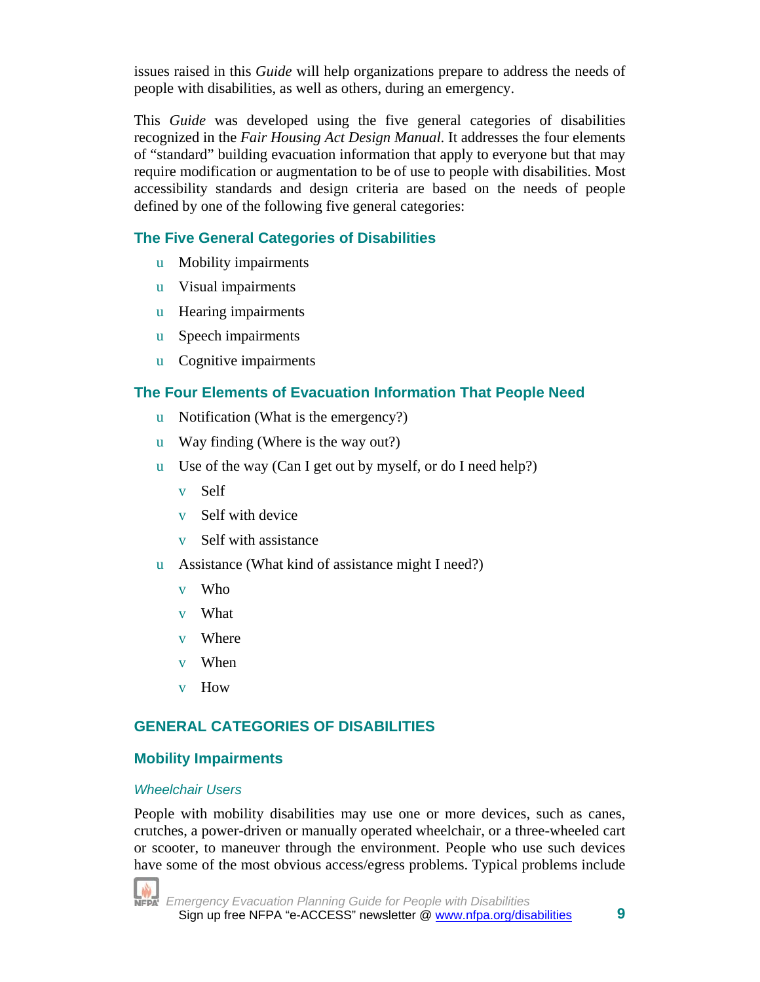issues raised in this *Guide* will help organizations prepare to address the needs of people with disabilities, as well as others, during an emergency.

This *Guide* was developed using the five general categories of disabilities recognized in the *Fair Housing Act Design Manual*. It addresses the four elements of "standard" building evacuation information that apply to everyone but that may require modification or augmentation to be of use to people with disabilities. Most accessibility standards and design criteria are based on the needs of people defined by one of the following five general categories:

# **The Five General Categories of Disabilities**

- u Mobility impairments
- u Visual impairments
- u Hearing impairments
- u Speech impairments
- u Cognitive impairments

## **The Four Elements of Evacuation Information That People Need**

- u Notification (What is the emergency?)
- u Way finding (Where is the way out?)
- u Use of the way (Can I get out by myself, or do I need help?)
	- v Self
	- v Self with device
	- v Self with assistance
- u Assistance (What kind of assistance might I need?)
	- v Who
	- v What
	- v Where
	- v When
	- v How

#### **GENERAL CATEGORIES OF DISABILITIES**

#### **Mobility Impairments**

#### *Wheelchair Users*

People with mobility disabilities may use one or more devices, such as canes, crutches, a power-driven or manually operated wheelchair, or a three-wheeled cart or scooter, to maneuver through the environment. People who use such devices have some of the most obvious access/egress problems. Typical problems include

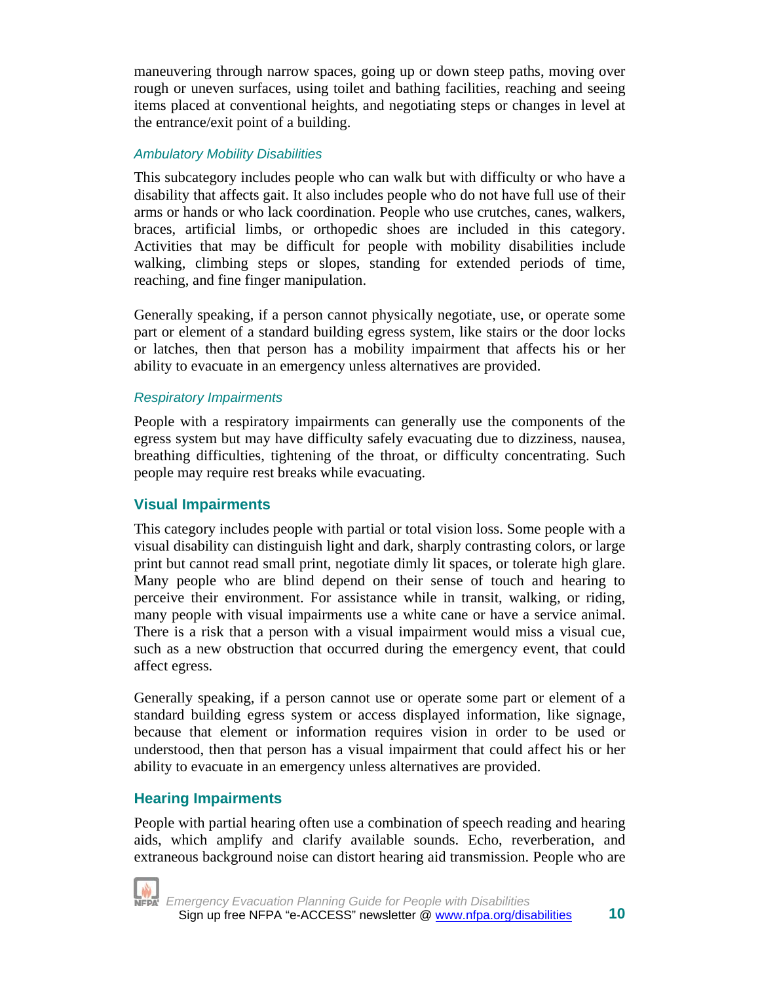maneuvering through narrow spaces, going up or down steep paths, moving over rough or uneven surfaces, using toilet and bathing facilities, reaching and seeing items placed at conventional heights, and negotiating steps or changes in level at the entrance/exit point of a building.

#### *Ambulatory Mobility Disabilities*

This subcategory includes people who can walk but with difficulty or who have a disability that affects gait. It also includes people who do not have full use of their arms or hands or who lack coordination. People who use crutches, canes, walkers, braces, artificial limbs, or orthopedic shoes are included in this category. Activities that may be difficult for people with mobility disabilities include walking, climbing steps or slopes, standing for extended periods of time, reaching, and fine finger manipulation.

Generally speaking, if a person cannot physically negotiate, use, or operate some part or element of a standard building egress system, like stairs or the door locks or latches, then that person has a mobility impairment that affects his or her ability to evacuate in an emergency unless alternatives are provided.

#### *Respiratory Impairments*

People with a respiratory impairments can generally use the components of the egress system but may have difficulty safely evacuating due to dizziness, nausea, breathing difficulties, tightening of the throat, or difficulty concentrating. Such people may require rest breaks while evacuating.

#### **Visual Impairments**

This category includes people with partial or total vision loss. Some people with a visual disability can distinguish light and dark, sharply contrasting colors, or large print but cannot read small print, negotiate dimly lit spaces, or tolerate high glare. Many people who are blind depend on their sense of touch and hearing to perceive their environment. For assistance while in transit, walking, or riding, many people with visual impairments use a white cane or have a service animal. There is a risk that a person with a visual impairment would miss a visual cue, such as a new obstruction that occurred during the emergency event, that could affect egress.

Generally speaking, if a person cannot use or operate some part or element of a standard building egress system or access displayed information, like signage, because that element or information requires vision in order to be used or understood, then that person has a visual impairment that could affect his or her ability to evacuate in an emergency unless alternatives are provided.

#### **Hearing Impairments**

People with partial hearing often use a combination of speech reading and hearing aids, which amplify and clarify available sounds. Echo, reverberation, and extraneous background noise can distort hearing aid transmission. People who are

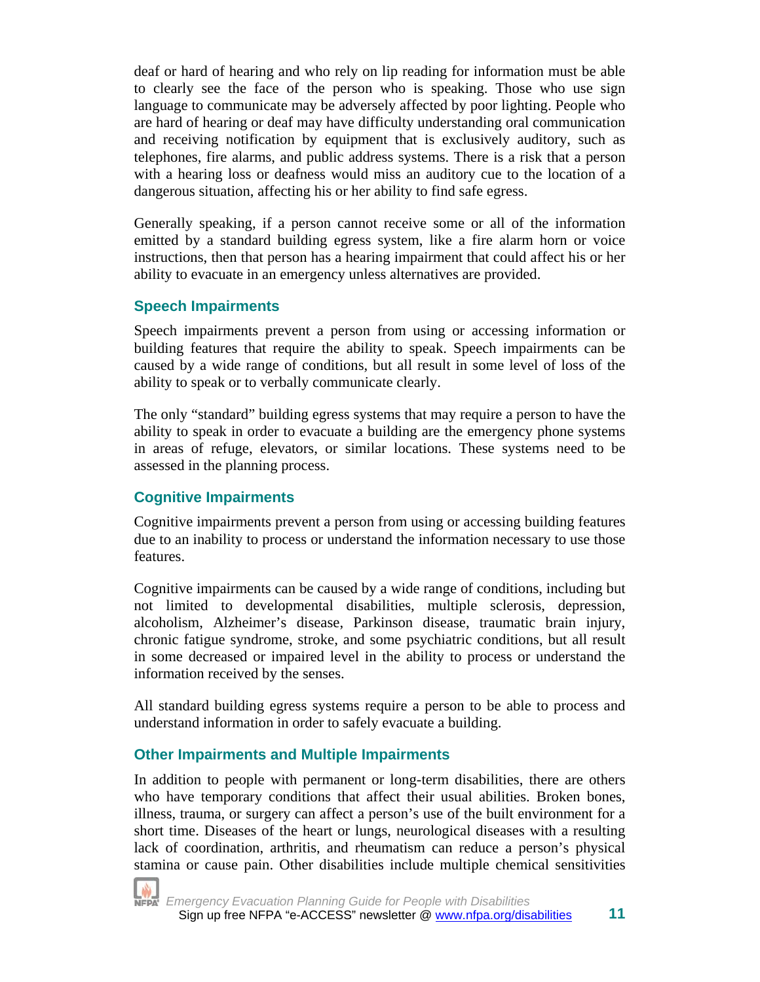deaf or hard of hearing and who rely on lip reading for information must be able to clearly see the face of the person who is speaking. Those who use sign language to communicate may be adversely affected by poor lighting. People who are hard of hearing or deaf may have difficulty understanding oral communication and receiving notification by equipment that is exclusively auditory, such as telephones, fire alarms, and public address systems. There is a risk that a person with a hearing loss or deafness would miss an auditory cue to the location of a dangerous situation, affecting his or her ability to find safe egress.

Generally speaking, if a person cannot receive some or all of the information emitted by a standard building egress system, like a fire alarm horn or voice instructions, then that person has a hearing impairment that could affect his or her ability to evacuate in an emergency unless alternatives are provided.

#### **Speech Impairments**

Speech impairments prevent a person from using or accessing information or building features that require the ability to speak. Speech impairments can be caused by a wide range of conditions, but all result in some level of loss of the ability to speak or to verbally communicate clearly.

The only "standard" building egress systems that may require a person to have the ability to speak in order to evacuate a building are the emergency phone systems in areas of refuge, elevators, or similar locations. These systems need to be assessed in the planning process.

#### **Cognitive Impairments**

Cognitive impairments prevent a person from using or accessing building features due to an inability to process or understand the information necessary to use those features.

Cognitive impairments can be caused by a wide range of conditions, including but not limited to developmental disabilities, multiple sclerosis, depression, alcoholism, Alzheimer's disease, Parkinson disease, traumatic brain injury, chronic fatigue syndrome, stroke, and some psychiatric conditions, but all result in some decreased or impaired level in the ability to process or understand the information received by the senses.

All standard building egress systems require a person to be able to process and understand information in order to safely evacuate a building.

#### **Other Impairments and Multiple Impairments**

In addition to people with permanent or long-term disabilities, there are others who have temporary conditions that affect their usual abilities. Broken bones, illness, trauma, or surgery can affect a person's use of the built environment for a short time. Diseases of the heart or lungs, neurological diseases with a resulting lack of coordination, arthritis, and rheumatism can reduce a person's physical stamina or cause pain. Other disabilities include multiple chemical sensitivities

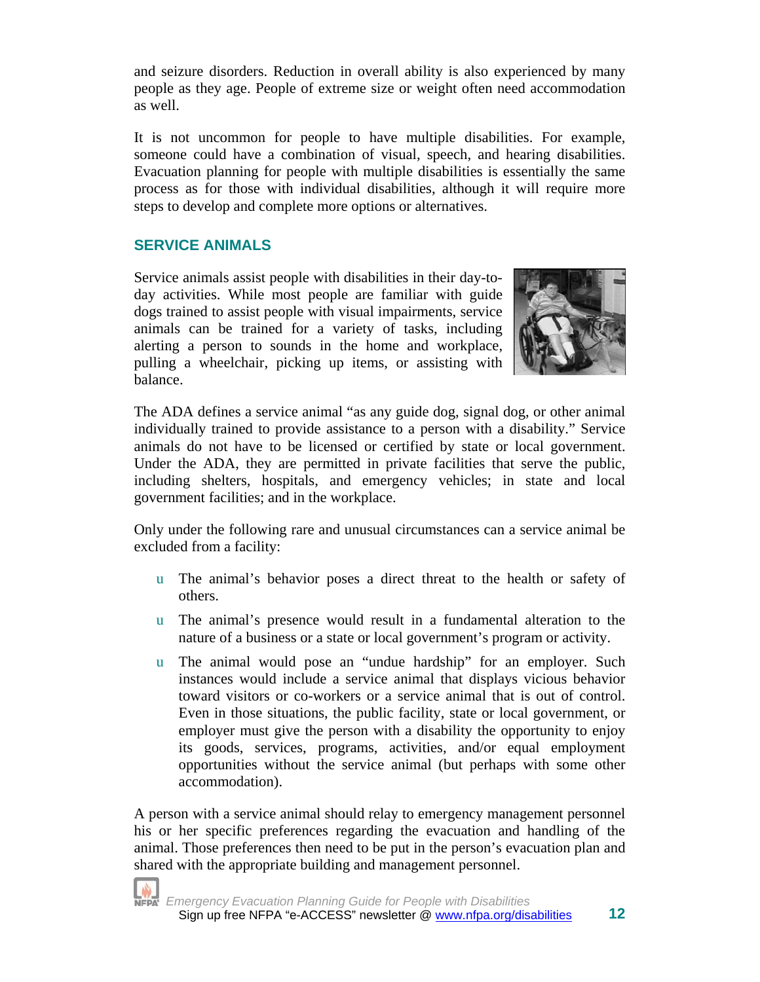and seizure disorders. Reduction in overall ability is also experienced by many people as they age. People of extreme size or weight often need accommodation as well.

It is not uncommon for people to have multiple disabilities. For example, someone could have a combination of visual, speech, and hearing disabilities. Evacuation planning for people with multiple disabilities is essentially the same process as for those with individual disabilities, although it will require more steps to develop and complete more options or alternatives.

## **SERVICE ANIMALS**

Service animals assist people with disabilities in their day-today activities. While most people are familiar with guide dogs trained to assist people with visual impairments, service animals can be trained for a variety of tasks, including alerting a person to sounds in the home and workplace, pulling a wheelchair, picking up items, or assisting with balance.



The ADA defines a service animal "as any guide dog, signal dog, or other animal individually trained to provide assistance to a person with a disability." Service animals do not have to be licensed or certified by state or local government. Under the ADA, they are permitted in private facilities that serve the public, including shelters, hospitals, and emergency vehicles; in state and local government facilities; and in the workplace.

Only under the following rare and unusual circumstances can a service animal be excluded from a facility:

- u The animal's behavior poses a direct threat to the health or safety of others.
- u The animal's presence would result in a fundamental alteration to the nature of a business or a state or local government's program or activity.
- u The animal would pose an "undue hardship" for an employer. Such instances would include a service animal that displays vicious behavior toward visitors or co-workers or a service animal that is out of control. Even in those situations, the public facility, state or local government, or employer must give the person with a disability the opportunity to enjoy its goods, services, programs, activities, and/or equal employment opportunities without the service animal (but perhaps with some other accommodation).

A person with a service animal should relay to emergency management personnel his or her specific preferences regarding the evacuation and handling of the animal. Those preferences then need to be put in the person's evacuation plan and shared with the appropriate building and management personnel.

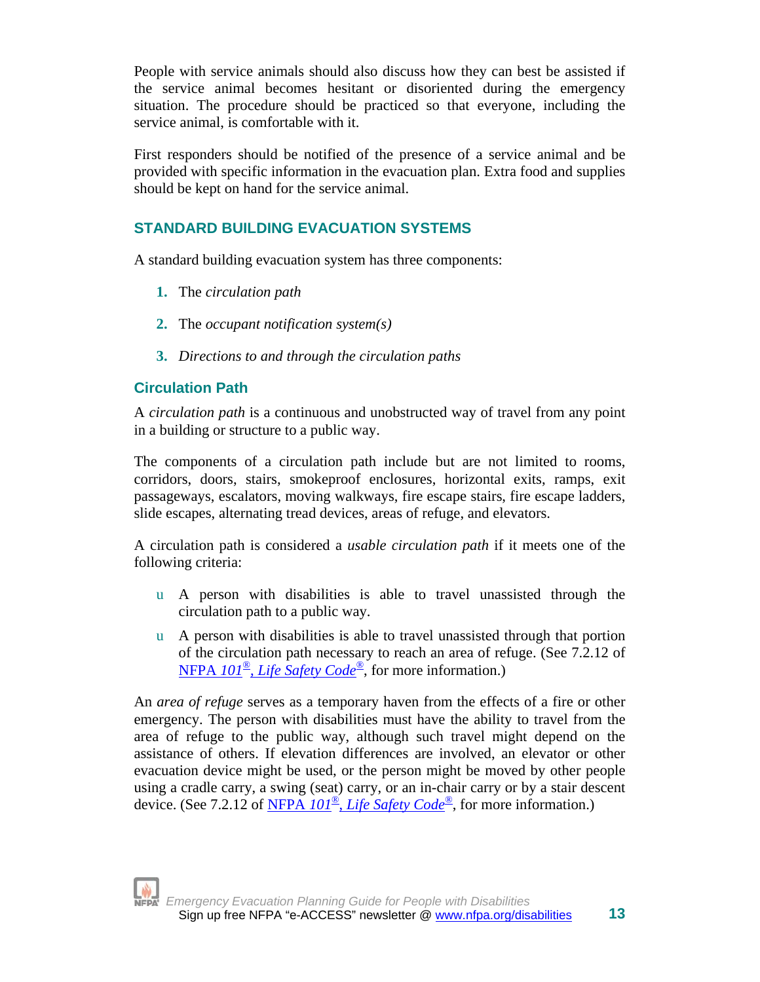People with service animals should also discuss how they can best be assisted if the service animal becomes hesitant or disoriented during the emergency situation. The procedure should be practiced so that everyone, including the service animal, is comfortable with it.

First responders should be notified of the presence of a service animal and be provided with specific information in the evacuation plan. Extra food and supplies should be kept on hand for the service animal.

# **STANDARD BUILDING EVACUATION SYSTEMS**

A standard building evacuation system has three components:

- **1.** The *circulation path*
- **2.** The *occupant notification system(s)*
- **3.** *Directions to and through the circulation paths*

# **Circulation Path**

A *circulation path* is a continuous and unobstructed way of travel from any point in a building or structure to a public way.

The components of a circulation path include but are not limited to rooms, corridors, doors, stairs, smokeproof enclosures, horizontal exits, ramps, exit passageways, escalators, moving walkways, fire escape stairs, fire escape ladders, slide escapes, alternating tread devices, areas of refuge, and elevators.

A circulation path is considered a *usable circulation path* if it meets one of the following criteria:

- u A person with disabilities is able to travel unassisted through the circulation path to a public way.
- u A person with disabilities is able to travel unassisted through that portion of the circulation path necessary to reach an area of refuge. (See 7.2.12 of [NFPA](http://www.nfpa.org/aboutthecodes/AboutTheCodes.asp?DocNum=101) *101*[®,](http://www.nfpa.org/aboutthecodes/AboutTheCodes.asp?DocNum=101) *[Life Safety Code](http://www.nfpa.org/aboutthecodes/AboutTheCodes.asp?DocNum=101)*[®](http://www.nfpa.org/aboutthecodes/AboutTheCodes.asp?DocNum=101), for more information.)

An *area of refuge* serves as a temporary haven from the effects of a fire or other emergency. The person with disabilities must have the ability to travel from the area of refuge to the public way, although such travel might depend on the assistance of others. If elevation differences are involved, an elevator or other evacuation device might be used, or the person might be moved by other people using a cradle carry, a swing (seat) carry, or an in-chair carry or by a stair descent device. (See 7.2.12 of [NFPA](http://www.nfpa.org/aboutthecodes/AboutTheCodes.asp?DocNum=101) *101*[®](http://www.nfpa.org/aboutthecodes/AboutTheCodes.asp?DocNum=101), *[Life Safety Code](http://www.nfpa.org/aboutthecodes/AboutTheCodes.asp?DocNum=101)*[®,](http://www.nfpa.org/aboutthecodes/AboutTheCodes.asp?DocNum=101) for more information.)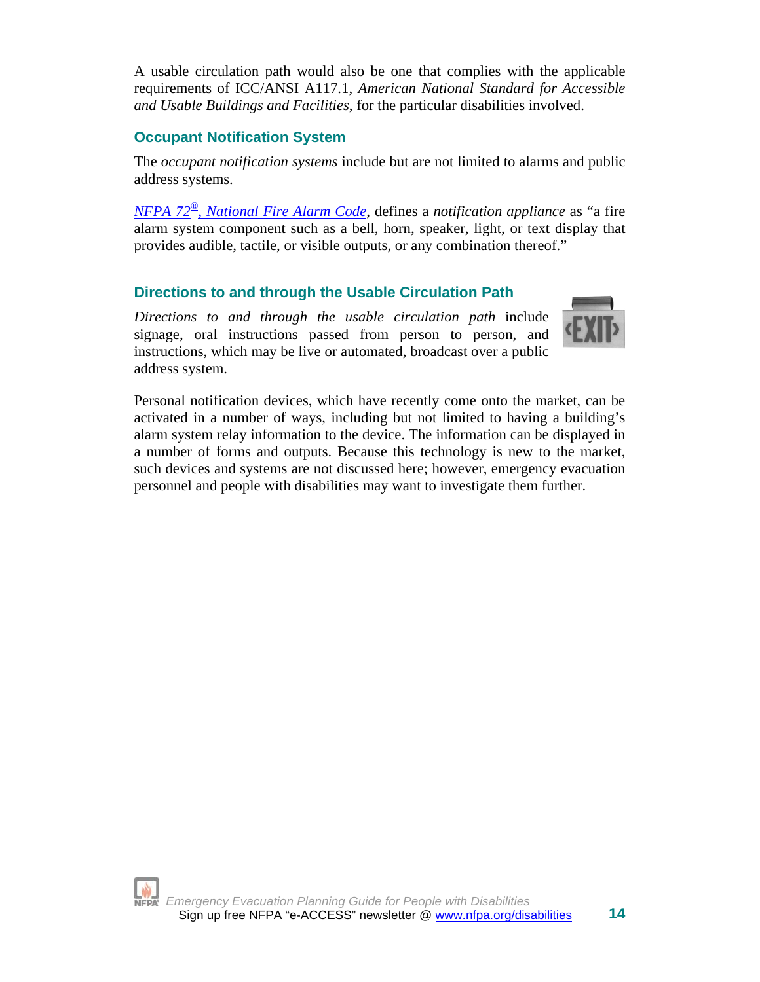A usable circulation path would also be one that complies with the applicable requirements of ICC/ANSI A117.1, *American National Standard for Accessible and Usable Buildings and Facilities*, for the particular disabilities involved.

## **Occupant Notification System**

The *occupant notification systems* include but are not limited to alarms and public address systems.

*[NFPA 72®, National Fire Alarm Code](http://www.nfpa.org/aboutthecodes/AboutTheCodes.asp?DocNum=72)*, defines a *notification appliance* as "a fire alarm system component such as a bell, horn, speaker, light, or text display that provides audible, tactile, or visible outputs, or any combination thereof."

# **Directions to and through the Usable Circulation Path**

*Directions to and through the usable circulation path* include signage, oral instructions passed from person to person, and instructions, which may be live or automated, broadcast over a public address system.



Personal notification devices, which have recently come onto the market, can be activated in a number of ways, including but not limited to having a building's alarm system relay information to the device. The information can be displayed in a number of forms and outputs. Because this technology is new to the market, such devices and systems are not discussed here; however, emergency evacuation personnel and people with disabilities may want to investigate them further.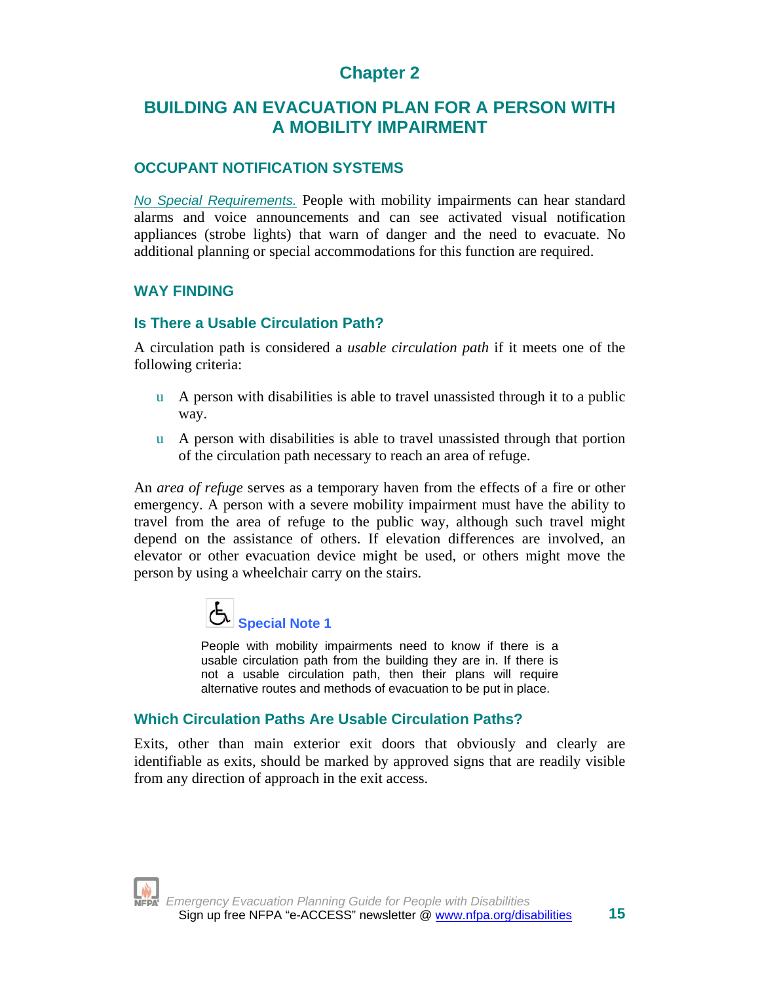# **Chapter 2**

# **BUILDING AN EVACUATION PLAN FOR A PERSON WITH A MOBILITY IMPAIRMENT**

## **OCCUPANT NOTIFICATION SYSTEMS**

*No Special Requirements.* People with mobility impairments can hear standard alarms and voice announcements and can see activated visual notification appliances (strobe lights) that warn of danger and the need to evacuate. No additional planning or special accommodations for this function are required.

#### **WAY FINDING**

#### **Is There a Usable Circulation Path?**

A circulation path is considered a *usable circulation path* if it meets one of the following criteria:

- u A person with disabilities is able to travel unassisted through it to a public way.
- u A person with disabilities is able to travel unassisted through that portion of the circulation path necessary to reach an area of refuge.

An *area of refuge* serves as a temporary haven from the effects of a fire or other emergency. A person with a severe mobility impairment must have the ability to travel from the area of refuge to the public way, although such travel might depend on the assistance of others. If elevation differences are involved, an elevator or other evacuation device might be used, or others might move the person by using a wheelchair carry on the stairs.



People with mobility impairments need to know if there is a usable circulation path from the building they are in. If there is not a usable circulation path, then their plans will require alternative routes and methods of evacuation to be put in place.

#### **Which Circulation Paths Are Usable Circulation Paths?**

Exits, other than main exterior exit doors that obviously and clearly are identifiable as exits, should be marked by approved signs that are readily visible from any direction of approach in the exit access.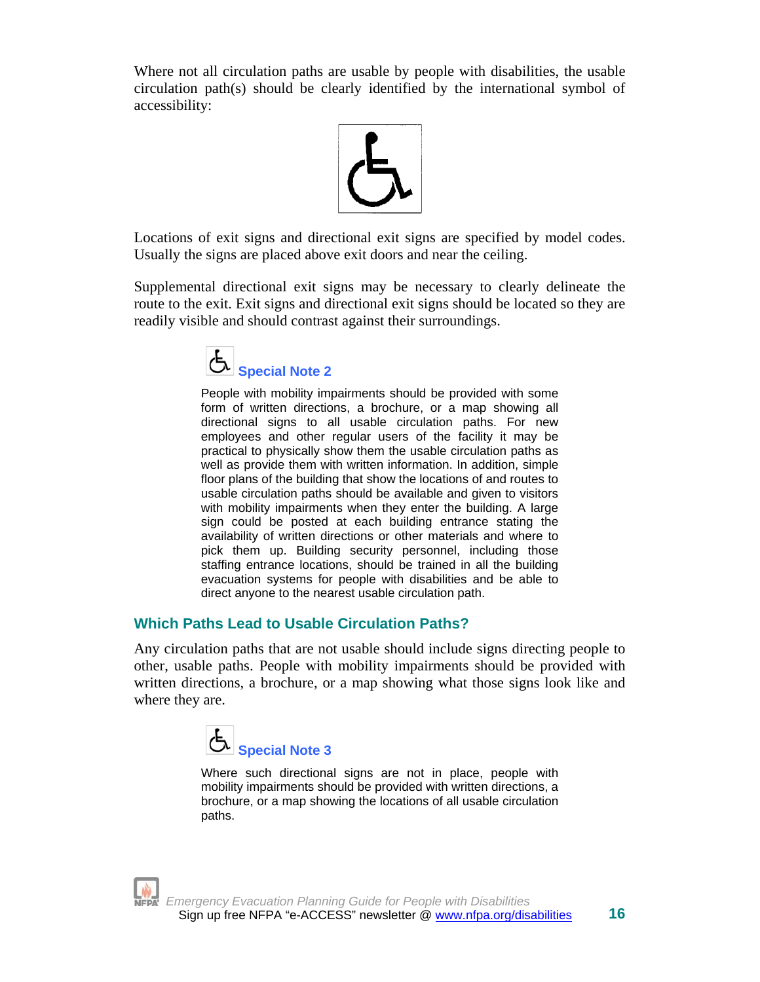Where not all circulation paths are usable by people with disabilities, the usable circulation path(s) should be clearly identified by the international symbol of accessibility:



Locations of exit signs and directional exit signs are specified by model codes. Usually the signs are placed above exit doors and near the ceiling.

Supplemental directional exit signs may be necessary to clearly delineate the route to the exit. Exit signs and directional exit signs should be located so they are readily visible and should contrast against their surroundings.



People with mobility impairments should be provided with some form of written directions, a brochure, or a map showing all directional signs to all usable circulation paths. For new employees and other regular users of the facility it may be practical to physically show them the usable circulation paths as well as provide them with written information. In addition, simple floor plans of the building that show the locations of and routes to usable circulation paths should be available and given to visitors with mobility impairments when they enter the building. A large sign could be posted at each building entrance stating the availability of written directions or other materials and where to pick them up. Building security personnel, including those staffing entrance locations, should be trained in all the building evacuation systems for people with disabilities and be able to direct anyone to the nearest usable circulation path.

#### **Which Paths Lead to Usable Circulation Paths?**

Any circulation paths that are not usable should include signs directing people to other, usable paths. People with mobility impairments should be provided with written directions, a brochure, or a map showing what those signs look like and where they are.



Where such directional signs are not in place, people with mobility impairments should be provided with written directions, a brochure, or a map showing the locations of all usable circulation paths.

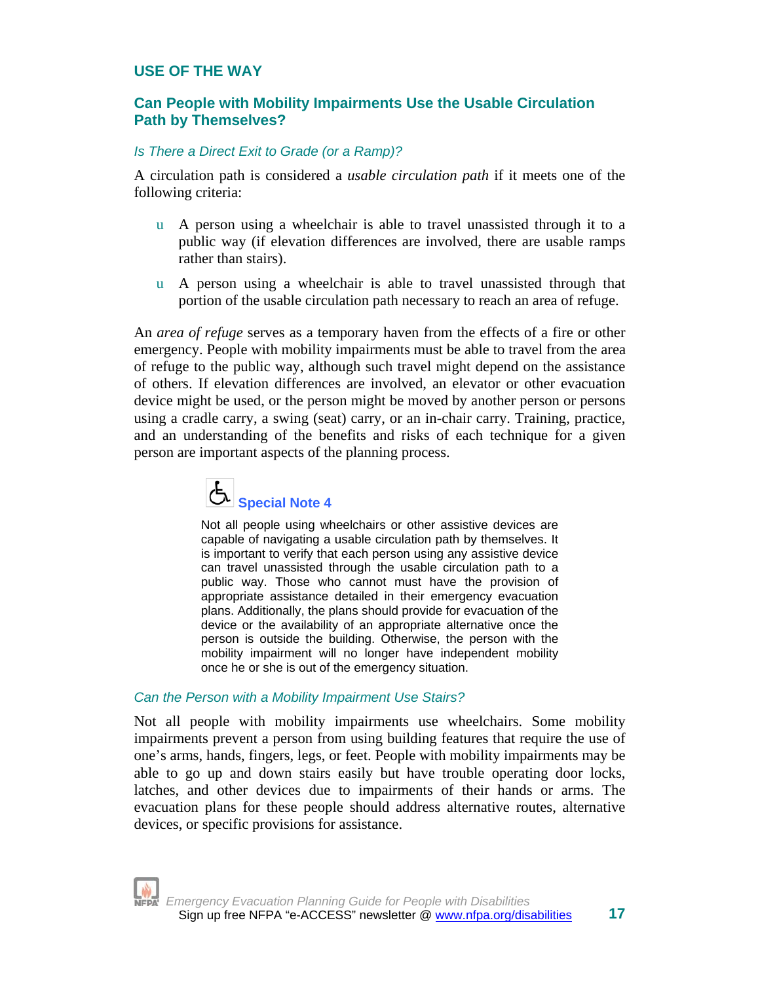#### **USE OF THE WAY**

#### **Can People with Mobility Impairments Use the Usable Circulation Path by Themselves?**

#### *Is There a Direct Exit to Grade (or a Ramp)?*

A circulation path is considered a *usable circulation path* if it meets one of the following criteria:

- u A person using a wheelchair is able to travel unassisted through it to a public way (if elevation differences are involved, there are usable ramps rather than stairs).
- u A person using a wheelchair is able to travel unassisted through that portion of the usable circulation path necessary to reach an area of refuge.

An *area of refuge* serves as a temporary haven from the effects of a fire or other emergency. People with mobility impairments must be able to travel from the area of refuge to the public way, although such travel might depend on the assistance of others. If elevation differences are involved, an elevator or other evacuation device might be used, or the person might be moved by another person or persons using a cradle carry, a swing (seat) carry, or an in-chair carry. Training, practice, and an understanding of the benefits and risks of each technique for a given person are important aspects of the planning process.



Not all people using wheelchairs or other assistive devices are capable of navigating a usable circulation path by themselves. It is important to verify that each person using any assistive device can travel unassisted through the usable circulation path to a public way. Those who cannot must have the provision of appropriate assistance detailed in their emergency evacuation plans. Additionally, the plans should provide for evacuation of the device or the availability of an appropriate alternative once the person is outside the building. Otherwise, the person with the mobility impairment will no longer have independent mobility once he or she is out of the emergency situation.

#### *Can the Person with a Mobility Impairment Use Stairs?*

Not all people with mobility impairments use wheelchairs. Some mobility impairments prevent a person from using building features that require the use of one's arms, hands, fingers, legs, or feet. People with mobility impairments may be able to go up and down stairs easily but have trouble operating door locks, latches, and other devices due to impairments of their hands or arms. The evacuation plans for these people should address alternative routes, alternative devices, or specific provisions for assistance.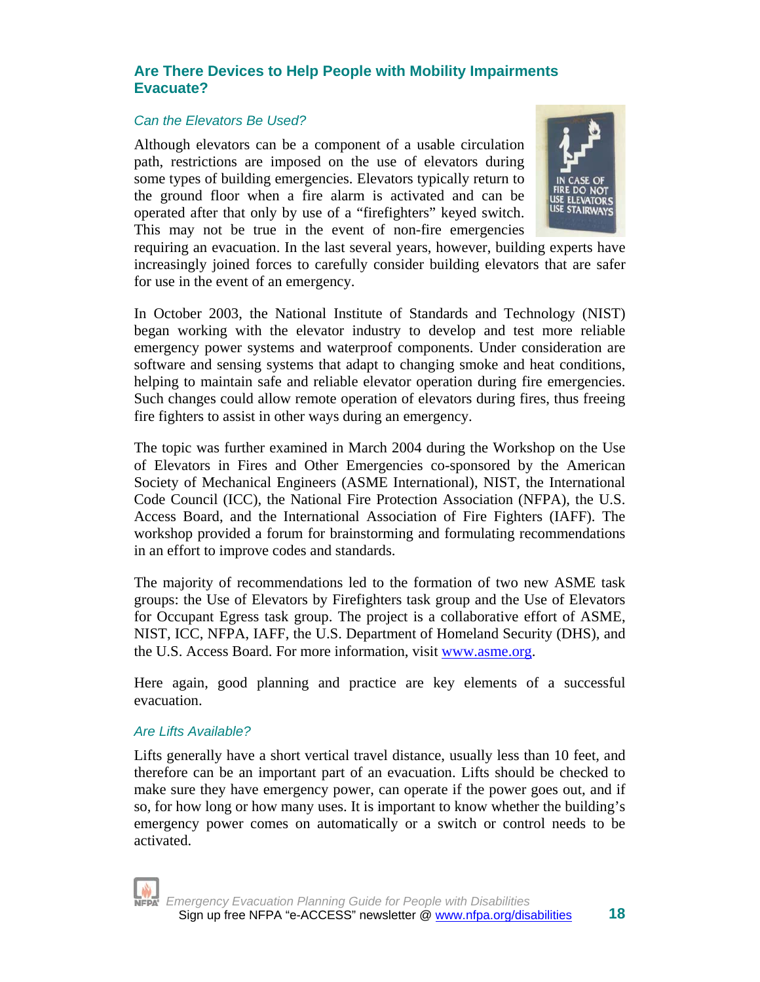#### **Are There Devices to Help People with Mobility Impairments Evacuate?**

#### *Can the Elevators Be Used?*

Although elevators can be a component of a usable circulation path, restrictions are imposed on the use of elevators during some types of building emergencies. Elevators typically return to the ground floor when a fire alarm is activated and can be operated after that only by use of a "firefighters" keyed switch. This may not be true in the event of non-fire emergencies



requiring an evacuation. In the last several years, however, building experts have increasingly joined forces to carefully consider building elevators that are safer for use in the event of an emergency.

In October 2003, the National Institute of Standards and Technology (NIST) began working with the elevator industry to develop and test more reliable emergency power systems and waterproof components. Under consideration are software and sensing systems that adapt to changing smoke and heat conditions, helping to maintain safe and reliable elevator operation during fire emergencies. Such changes could allow remote operation of elevators during fires, thus freeing fire fighters to assist in other ways during an emergency.

The topic was further examined in March 2004 during the Workshop on the Use of Elevators in Fires and Other Emergencies co-sponsored by the American Society of Mechanical Engineers (ASME International), NIST, the International Code Council (ICC), the National Fire Protection Association (NFPA), the U.S. Access Board, and the International Association of Fire Fighters (IAFF). The workshop provided a forum for brainstorming and formulating recommendations in an effort to improve codes and standards.

The majority of recommendations led to the formation of two new ASME task groups: the Use of Elevators by Firefighters task group and the Use of Elevators for Occupant Egress task group. The project is a collaborative effort of ASME, NIST, ICC, NFPA, IAFF, the U.S. Department of Homeland Security (DHS), and the U.S. Access Board. For more information, visit www.asme.org.

Here again, good planning and practice are key elements of a successful evacuation.

#### *Are Lifts Available?*

Lifts generally have a short vertical travel distance, usually less than 10 feet, and therefore can be an important part of an evacuation. Lifts should be checked to make sure they have emergency power, can operate if the power goes out, and if so, for how long or how many uses. It is important to know whether the building's emergency power comes on automatically or a switch or control needs to be activated.

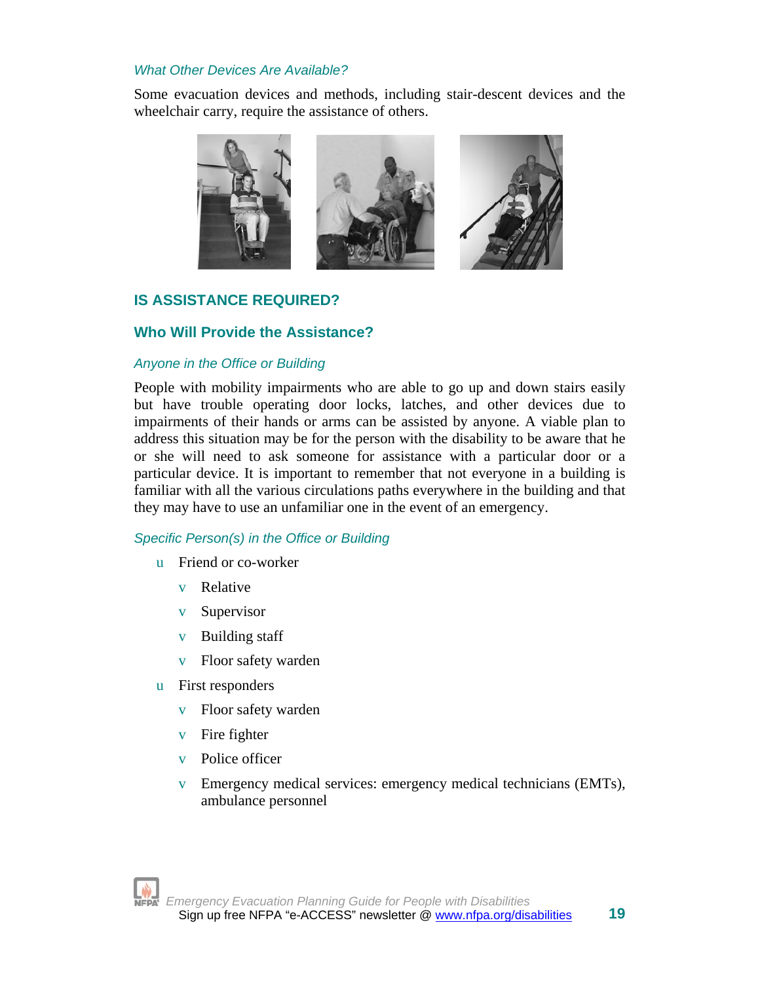#### *What Other Devices Are Available?*

Some evacuation devices and methods, including stair-descent devices and the wheelchair carry, require the assistance of others.



## **IS ASSISTANCE REQUIRED?**

#### **Who Will Provide the Assistance?**

#### *Anyone in the Office or Building*

People with mobility impairments who are able to go up and down stairs easily but have trouble operating door locks, latches, and other devices due to impairments of their hands or arms can be assisted by anyone. A viable plan to address this situation may be for the person with the disability to be aware that he or she will need to ask someone for assistance with a particular door or a particular device. It is important to remember that not everyone in a building is familiar with all the various circulations paths everywhere in the building and that they may have to use an unfamiliar one in the event of an emergency.

#### *Specific Person(s) in the Office or Building*

- u Friend or co-worker
	- v Relative
	- v Supervisor
	- v Building staff
	- v Floor safety warden
- u First responders
	- v Floor safety warden
	- v Fire fighter
	- v Police officer
	- v Emergency medical services: emergency medical technicians (EMTs), ambulance personnel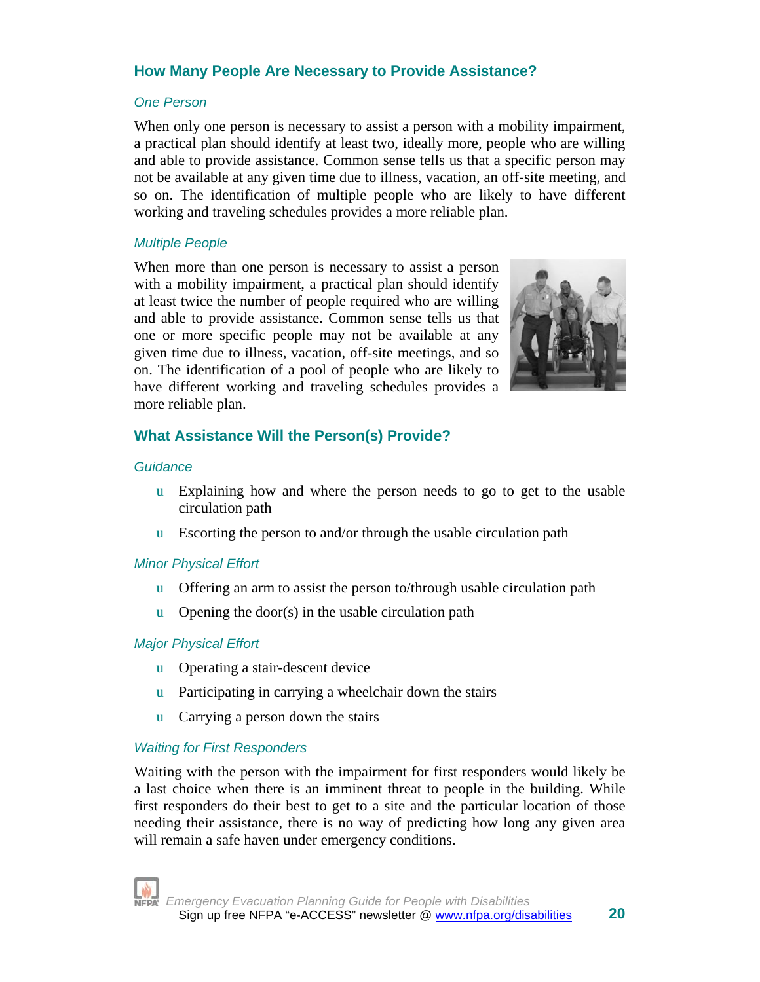# **How Many People Are Necessary to Provide Assistance?**

#### *One Person*

When only one person is necessary to assist a person with a mobility impairment, a practical plan should identify at least two, ideally more, people who are willing and able to provide assistance. Common sense tells us that a specific person may not be available at any given time due to illness, vacation, an off-site meeting, and so on. The identification of multiple people who are likely to have different working and traveling schedules provides a more reliable plan.

#### *Multiple People*

When more than one person is necessary to assist a person with a mobility impairment, a practical plan should identify at least twice the number of people required who are willing and able to provide assistance. Common sense tells us that one or more specific people may not be available at any given time due to illness, vacation, off-site meetings, and so on. The identification of a pool of people who are likely to have different working and traveling schedules provides a more reliable plan.



# **What Assistance Will the Person(s) Provide?**

#### *Guidance*

- u Explaining how and where the person needs to go to get to the usable circulation path
- u Escorting the person to and/or through the usable circulation path

#### *Minor Physical Effort*

- u Offering an arm to assist the person to/through usable circulation path
- u Opening the door(s) in the usable circulation path

#### *Major Physical Effort*

- u Operating a stair-descent device
- u Participating in carrying a wheelchair down the stairs
- u Carrying a person down the stairs

#### *Waiting for First Responders*

Waiting with the person with the impairment for first responders would likely be a last choice when there is an imminent threat to people in the building. While first responders do their best to get to a site and the particular location of those needing their assistance, there is no way of predicting how long any given area will remain a safe haven under emergency conditions.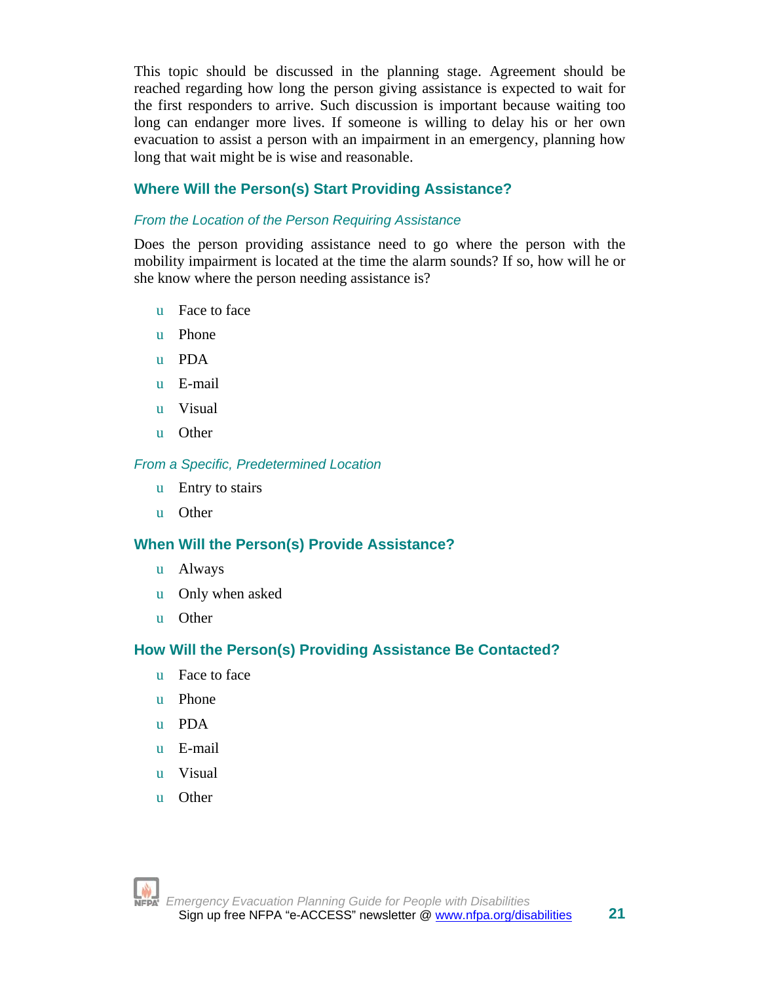This topic should be discussed in the planning stage. Agreement should be reached regarding how long the person giving assistance is expected to wait for the first responders to arrive. Such discussion is important because waiting too long can endanger more lives. If someone is willing to delay his or her own evacuation to assist a person with an impairment in an emergency, planning how long that wait might be is wise and reasonable.

## **Where Will the Person(s) Start Providing Assistance?**

#### *From the Location of the Person Requiring Assistance*

Does the person providing assistance need to go where the person with the mobility impairment is located at the time the alarm sounds? If so, how will he or she know where the person needing assistance is?

- u Face to face
- u Phone
- u PDA
- u E-mail
- u Visual
- u Other

#### *From a Specific, Predetermined Location*

- u Entry to stairs
- u Other

#### **When Will the Person(s) Provide Assistance?**

- u Always
- u Only when asked
- u Other

#### **How Will the Person(s) Providing Assistance Be Contacted?**

- u Face to face
- u Phone
- u PDA
- u E-mail
- u Visual
- u Other

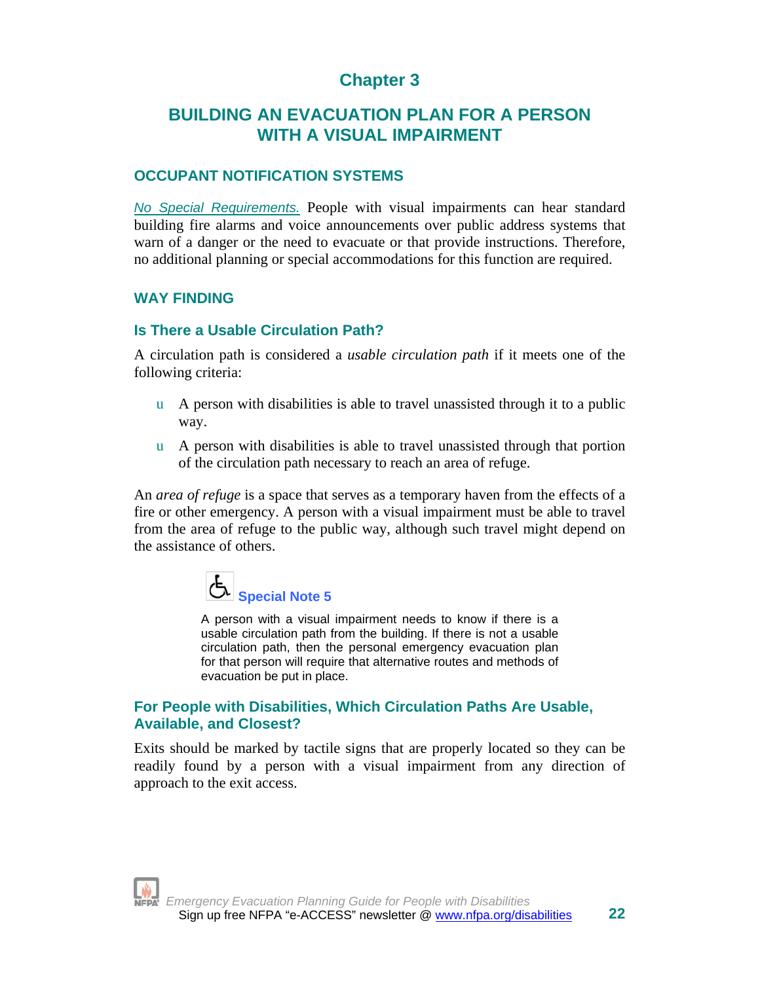# **Chapter 3**

# **BUILDING AN EVACUATION PLAN FOR A PERSON WITH A VISUAL IMPAIRMENT**

#### **OCCUPANT NOTIFICATION SYSTEMS**

*No Special Requirements.* People with visual impairments can hear standard building fire alarms and voice announcements over public address systems that warn of a danger or the need to evacuate or that provide instructions. Therefore, no additional planning or special accommodations for this function are required.

#### **WAY FINDING**

#### **Is There a Usable Circulation Path?**

A circulation path is considered a *usable circulation path* if it meets one of the following criteria:

- u A person with disabilities is able to travel unassisted through it to a public way.
- u A person with disabilities is able to travel unassisted through that portion of the circulation path necessary to reach an area of refuge.

An *area of refuge* is a space that serves as a temporary haven from the effects of a fire or other emergency. A person with a visual impairment must be able to travel from the area of refuge to the public way, although such travel might depend on the assistance of others.



A person with a visual impairment needs to know if there is a usable circulation path from the building. If there is not a usable circulation path, then the personal emergency evacuation plan for that person will require that alternative routes and methods of evacuation be put in place.

#### **For People with Disabilities, Which Circulation Paths Are Usable, Available, and Closest?**

Exits should be marked by tactile signs that are properly located so they can be readily found by a person with a visual impairment from any direction of approach to the exit access.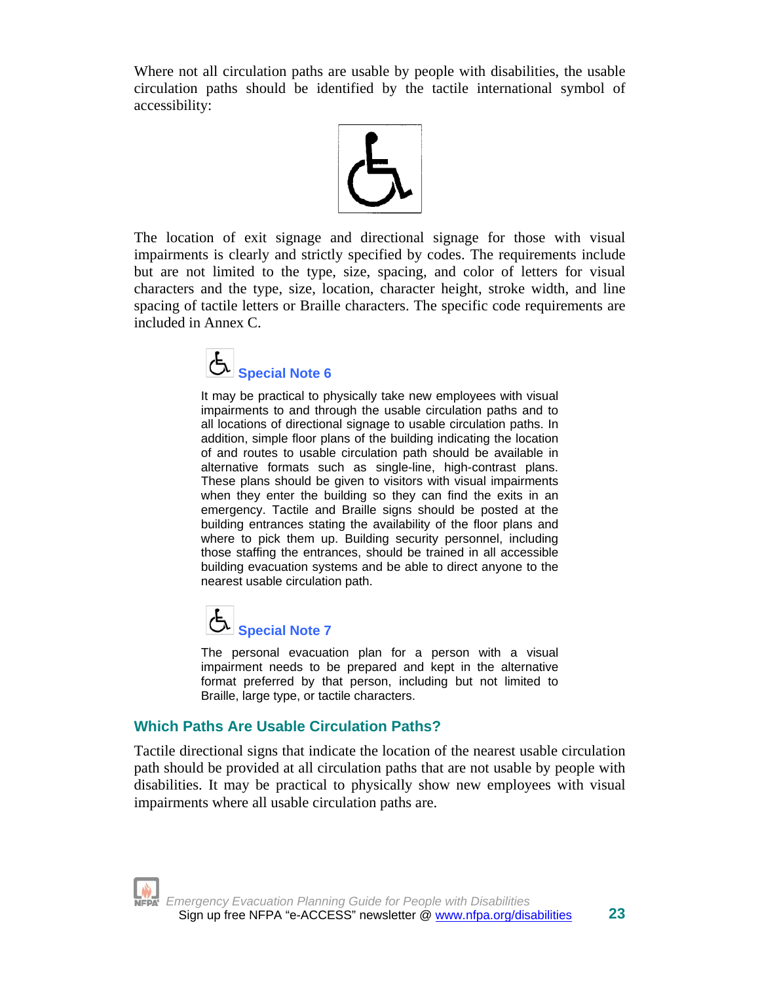Where not all circulation paths are usable by people with disabilities, the usable circulation paths should be identified by the tactile international symbol of accessibility:



The location of exit signage and directional signage for those with visual impairments is clearly and strictly specified by codes. The requirements include but are not limited to the type, size, spacing, and color of letters for visual characters and the type, size, location, character height, stroke width, and line spacing of tactile letters or Braille characters. The specific code requirements are included in Annex C.



It may be practical to physically take new employees with visual impairments to and through the usable circulation paths and to all locations of directional signage to usable circulation paths. In addition, simple floor plans of the building indicating the location of and routes to usable circulation path should be available in alternative formats such as single-line, high-contrast plans. These plans should be given to visitors with visual impairments when they enter the building so they can find the exits in an emergency. Tactile and Braille signs should be posted at the building entrances stating the availability of the floor plans and where to pick them up. Building security personnel, including those staffing the entrances, should be trained in all accessible building evacuation systems and be able to direct anyone to the nearest usable circulation path.



The personal evacuation plan for a person with a visual impairment needs to be prepared and kept in the alternative format preferred by that person, including but not limited to Braille, large type, or tactile characters.

#### **Which Paths Are Usable Circulation Paths?**

Tactile directional signs that indicate the location of the nearest usable circulation path should be provided at all circulation paths that are not usable by people with disabilities. It may be practical to physically show new employees with visual impairments where all usable circulation paths are.

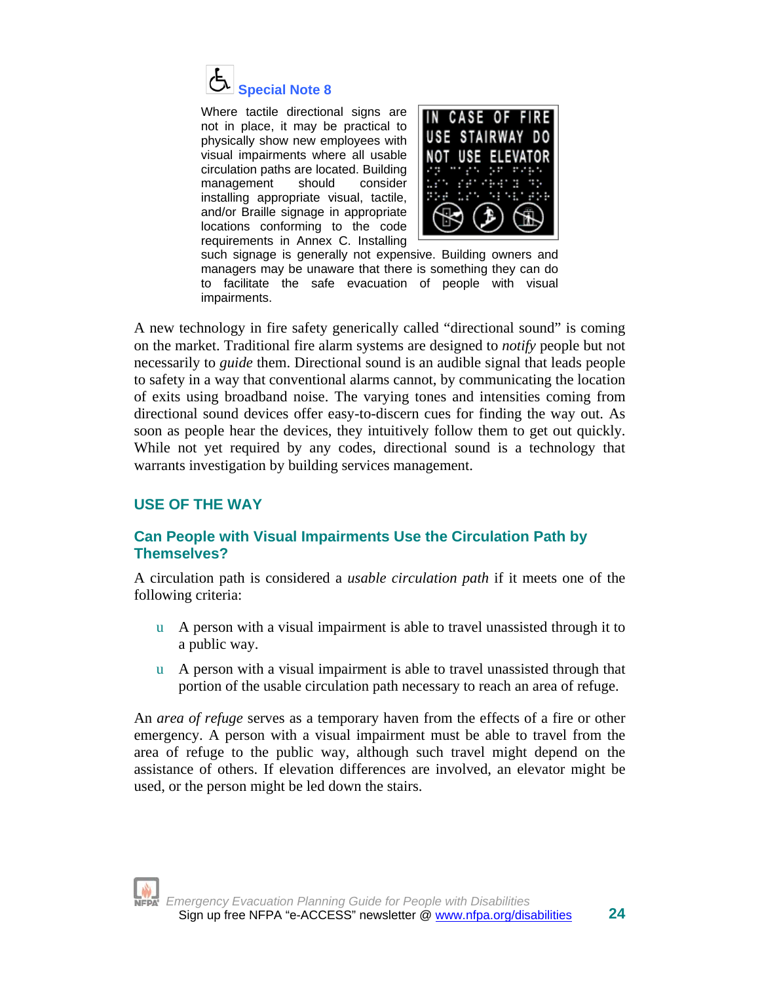

Where tactile directional signs are not in place, it may be practical to physically show new employees with visual impairments where all usable circulation paths are located. Building management should consider installing appropriate visual, tactile, and/or Braille signage in appropriate locations conforming to the code requirements in Annex C. Installing



such signage is generally not expensive. Building owners and managers may be unaware that there is something they can do to facilitate the safe evacuation of people with visual impairments.

A new technology in fire safety generically called "directional sound" is coming on the market. Traditional fire alarm systems are designed to *notify* people but not necessarily to *guide* them. Directional sound is an audible signal that leads people to safety in a way that conventional alarms cannot, by communicating the location of exits using broadband noise. The varying tones and intensities coming from directional sound devices offer easy-to-discern cues for finding the way out. As soon as people hear the devices, they intuitively follow them to get out quickly. While not yet required by any codes, directional sound is a technology that warrants investigation by building services management.

#### **USE OF THE WAY**

## **Can People with Visual Impairments Use the Circulation Path by Themselves?**

A circulation path is considered a *usable circulation path* if it meets one of the following criteria:

- u A person with a visual impairment is able to travel unassisted through it to a public way.
- u A person with a visual impairment is able to travel unassisted through that portion of the usable circulation path necessary to reach an area of refuge.

An *area of refuge* serves as a temporary haven from the effects of a fire or other emergency. A person with a visual impairment must be able to travel from the area of refuge to the public way, although such travel might depend on the assistance of others. If elevation differences are involved, an elevator might be used, or the person might be led down the stairs.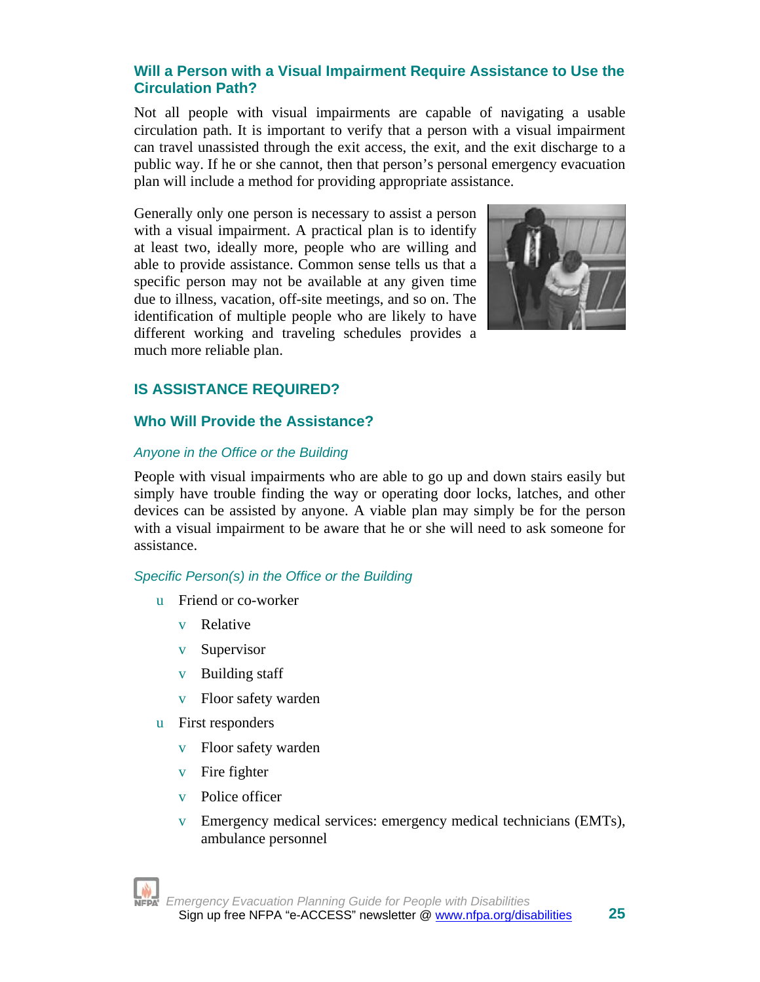#### **Will a Person with a Visual Impairment Require Assistance to Use the Circulation Path?**

Not all people with visual impairments are capable of navigating a usable circulation path. It is important to verify that a person with a visual impairment can travel unassisted through the exit access, the exit, and the exit discharge to a public way. If he or she cannot, then that person's personal emergency evacuation plan will include a method for providing appropriate assistance.

Generally only one person is necessary to assist a person with a visual impairment. A practical plan is to identify at least two, ideally more, people who are willing and able to provide assistance. Common sense tells us that a specific person may not be available at any given time due to illness, vacation, off-site meetings, and so on. The identification of multiple people who are likely to have different working and traveling schedules provides a much more reliable plan.



# **IS ASSISTANCE REQUIRED?**

## **Who Will Provide the Assistance?**

#### *Anyone in the Office or the Building*

People with visual impairments who are able to go up and down stairs easily but simply have trouble finding the way or operating door locks, latches, and other devices can be assisted by anyone. A viable plan may simply be for the person with a visual impairment to be aware that he or she will need to ask someone for assistance.

#### *Specific Person(s) in the Office or the Building*

- u Friend or co-worker
	- v Relative
	- v Supervisor
	- v Building staff
	- v Floor safety warden
- u First responders
	- v Floor safety warden
	- v Fire fighter
	- v Police officer
	- v Emergency medical services: emergency medical technicians (EMTs), ambulance personnel



 *Emergency Evacuation Planning Guide for People with Disabilities*  Sign up free NFPA "e-ACCESS" newsletter @ www.nfpa.org/disabilities **25**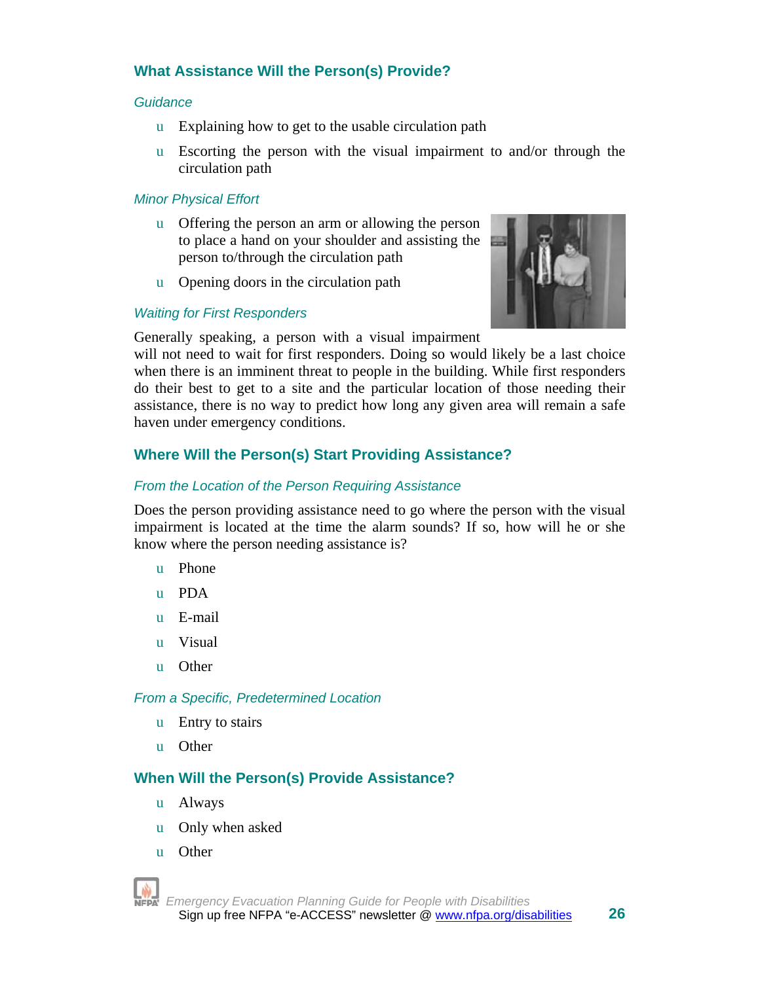# **What Assistance Will the Person(s) Provide?**

#### *Guidance*

- u Explaining how to get to the usable circulation path
- u Escorting the person with the visual impairment to and/or through the circulation path

#### *Minor Physical Effort*

- u Offering the person an arm or allowing the person to place a hand on your shoulder and assisting the person to/through the circulation path
- u Opening doors in the circulation path

#### *Waiting for First Responders*



will not need to wait for first responders. Doing so would likely be a last choice when there is an imminent threat to people in the building. While first responders do their best to get to a site and the particular location of those needing their assistance, there is no way to predict how long any given area will remain a safe haven under emergency conditions.

#### **Where Will the Person(s) Start Providing Assistance?**

#### *From the Location of the Person Requiring Assistance*

Does the person providing assistance need to go where the person with the visual impairment is located at the time the alarm sounds? If so, how will he or she know where the person needing assistance is?

- u Phone
- u PDA
- u E-mail
- u Visual
- u Other

#### *From a Specific, Predetermined Location*

- u Entry to stairs
- u Other

#### **When Will the Person(s) Provide Assistance?**

- u Always
- u Only when asked
- u Other



 *Emergency Evacuation Planning Guide for People with Disabilities*  Sign up free NFPA "e-ACCESS" newsletter @ www.nfpa.org/disabilities **26**

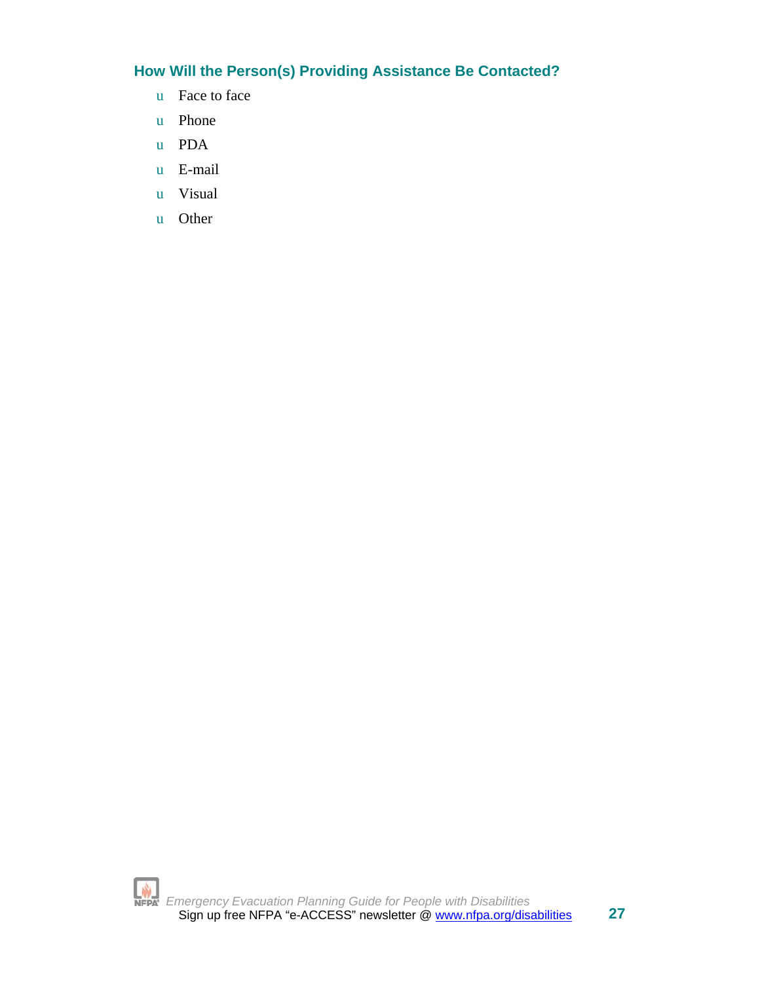# **How Will the Person(s) Providing Assistance Be Contacted?**

- u Face to face
- u Phone
- u PDA
- u E-mail
- u Visual
- u Other

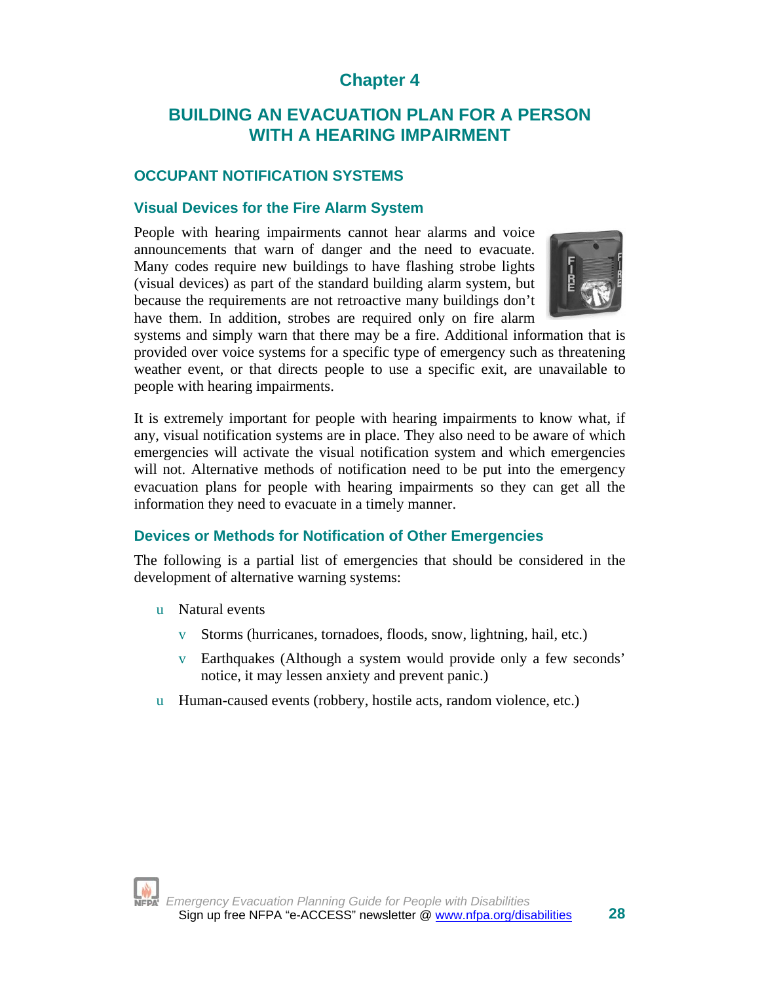# **Chapter 4**

# **BUILDING AN EVACUATION PLAN FOR A PERSON WITH A HEARING IMPAIRMENT**

#### **OCCUPANT NOTIFICATION SYSTEMS**

#### **Visual Devices for the Fire Alarm System**

People with hearing impairments cannot hear alarms and voice announcements that warn of danger and the need to evacuate. Many codes require new buildings to have flashing strobe lights (visual devices) as part of the standard building alarm system, but because the requirements are not retroactive many buildings don't have them. In addition, strobes are required only on fire alarm



systems and simply warn that there may be a fire. Additional information that is provided over voice systems for a specific type of emergency such as threatening weather event, or that directs people to use a specific exit, are unavailable to people with hearing impairments.

It is extremely important for people with hearing impairments to know what, if any, visual notification systems are in place. They also need to be aware of which emergencies will activate the visual notification system and which emergencies will not. Alternative methods of notification need to be put into the emergency evacuation plans for people with hearing impairments so they can get all the information they need to evacuate in a timely manner.

#### **Devices or Methods for Notification of Other Emergencies**

The following is a partial list of emergencies that should be considered in the development of alternative warning systems:

- u Natural events
	- v Storms (hurricanes, tornadoes, floods, snow, lightning, hail, etc.)
	- v Earthquakes (Although a system would provide only a few seconds' notice, it may lessen anxiety and prevent panic.)
- u Human-caused events (robbery, hostile acts, random violence, etc.)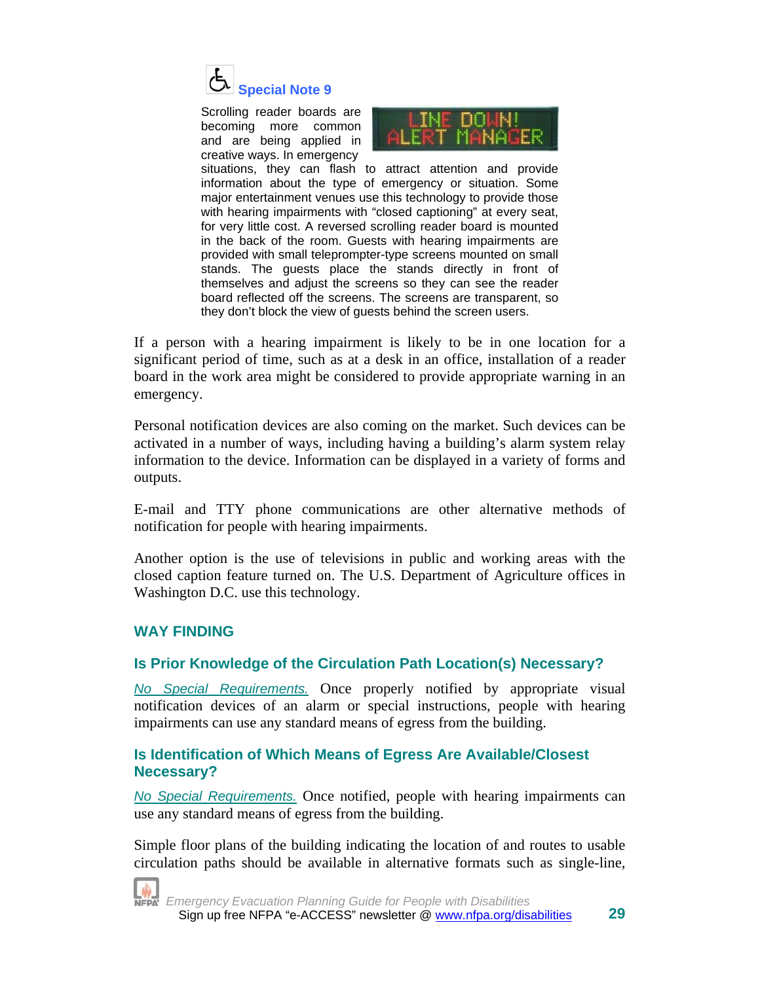

Scrolling reader boards are becoming more common and are being applied in creative ways. In emergency



situations, they can flash to attract attention and provide information about the type of emergency or situation. Some major entertainment venues use this technology to provide those with hearing impairments with "closed captioning" at every seat, for very little cost. A reversed scrolling reader board is mounted in the back of the room. Guests with hearing impairments are provided with small teleprompter-type screens mounted on small stands. The guests place the stands directly in front of themselves and adjust the screens so they can see the reader board reflected off the screens. The screens are transparent, so they don't block the view of guests behind the screen users.

If a person with a hearing impairment is likely to be in one location for a significant period of time, such as at a desk in an office, installation of a reader board in the work area might be considered to provide appropriate warning in an emergency.

Personal notification devices are also coming on the market. Such devices can be activated in a number of ways, including having a building's alarm system relay information to the device. Information can be displayed in a variety of forms and outputs.

E-mail and TTY phone communications are other alternative methods of notification for people with hearing impairments.

Another option is the use of televisions in public and working areas with the closed caption feature turned on. The U.S. Department of Agriculture offices in Washington D.C. use this technology.

#### **WAY FINDING**

#### **Is Prior Knowledge of the Circulation Path Location(s) Necessary?**

*No Special Requirements.* Once properly notified by appropriate visual notification devices of an alarm or special instructions, people with hearing impairments can use any standard means of egress from the building.

#### **Is Identification of Which Means of Egress Are Available/Closest Necessary?**

*No Special Requirements.* Once notified, people with hearing impairments can use any standard means of egress from the building.

Simple floor plans of the building indicating the location of and routes to usable circulation paths should be available in alternative formats such as single-line,

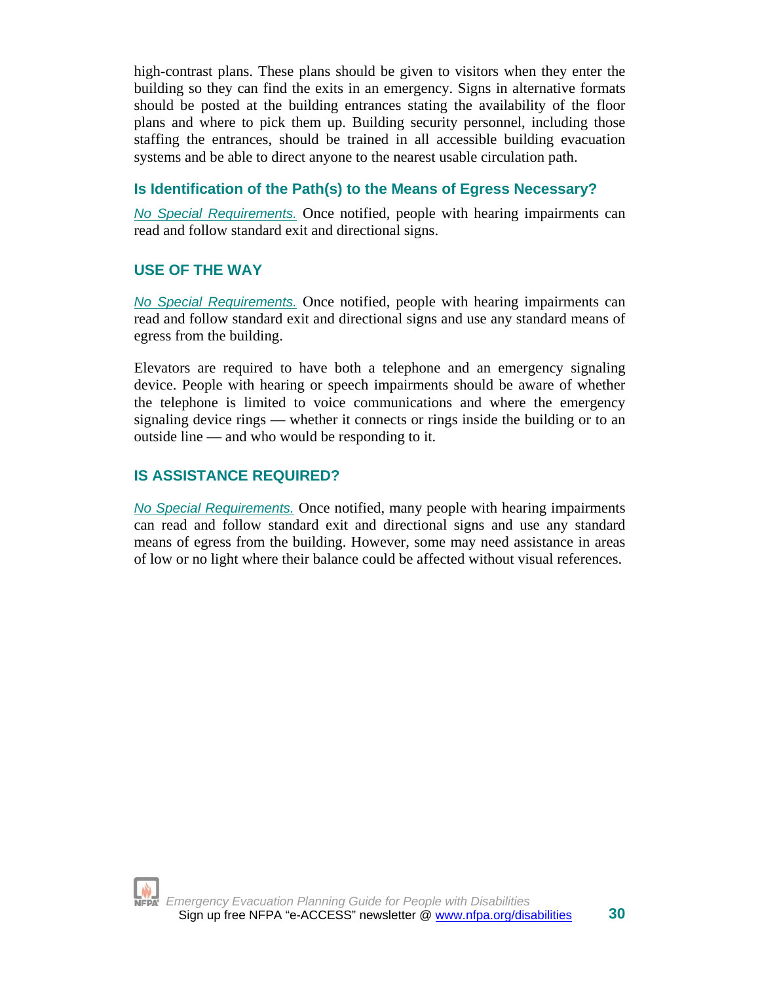high-contrast plans. These plans should be given to visitors when they enter the building so they can find the exits in an emergency. Signs in alternative formats should be posted at the building entrances stating the availability of the floor plans and where to pick them up. Building security personnel, including those staffing the entrances, should be trained in all accessible building evacuation systems and be able to direct anyone to the nearest usable circulation path.

# **Is Identification of the Path(s) to the Means of Egress Necessary?**

*No Special Requirements.* Once notified, people with hearing impairments can read and follow standard exit and directional signs.

# **USE OF THE WAY**

*No Special Requirements.* Once notified, people with hearing impairments can read and follow standard exit and directional signs and use any standard means of egress from the building.

Elevators are required to have both a telephone and an emergency signaling device. People with hearing or speech impairments should be aware of whether the telephone is limited to voice communications and where the emergency signaling device rings — whether it connects or rings inside the building or to an outside line — and who would be responding to it.

# **IS ASSISTANCE REQUIRED?**

*No Special Requirements.* Once notified, many people with hearing impairments can read and follow standard exit and directional signs and use any standard means of egress from the building. However, some may need assistance in areas of low or no light where their balance could be affected without visual references.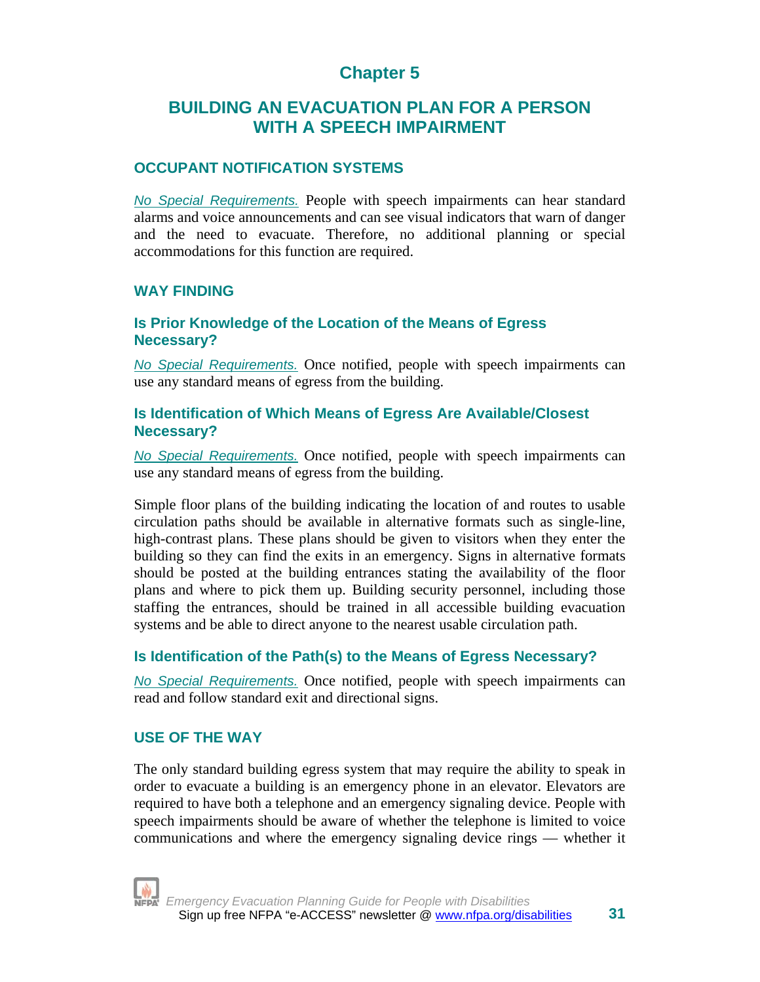# **Chapter 5**

# **BUILDING AN EVACUATION PLAN FOR A PERSON WITH A SPEECH IMPAIRMENT**

#### **OCCUPANT NOTIFICATION SYSTEMS**

*No Special Requirements.* People with speech impairments can hear standard alarms and voice announcements and can see visual indicators that warn of danger and the need to evacuate. Therefore, no additional planning or special accommodations for this function are required.

#### **WAY FINDING**

#### **Is Prior Knowledge of the Location of the Means of Egress Necessary?**

*No Special Requirements.* Once notified, people with speech impairments can use any standard means of egress from the building.

#### **Is Identification of Which Means of Egress Are Available/Closest Necessary?**

*No Special Requirements.* Once notified, people with speech impairments can use any standard means of egress from the building.

Simple floor plans of the building indicating the location of and routes to usable circulation paths should be available in alternative formats such as single-line, high-contrast plans. These plans should be given to visitors when they enter the building so they can find the exits in an emergency. Signs in alternative formats should be posted at the building entrances stating the availability of the floor plans and where to pick them up. Building security personnel, including those staffing the entrances, should be trained in all accessible building evacuation systems and be able to direct anyone to the nearest usable circulation path.

#### **Is Identification of the Path(s) to the Means of Egress Necessary?**

*No Special Requirements.* Once notified, people with speech impairments can read and follow standard exit and directional signs.

#### **USE OF THE WAY**

The only standard building egress system that may require the ability to speak in order to evacuate a building is an emergency phone in an elevator. Elevators are required to have both a telephone and an emergency signaling device. People with speech impairments should be aware of whether the telephone is limited to voice communications and where the emergency signaling device rings — whether it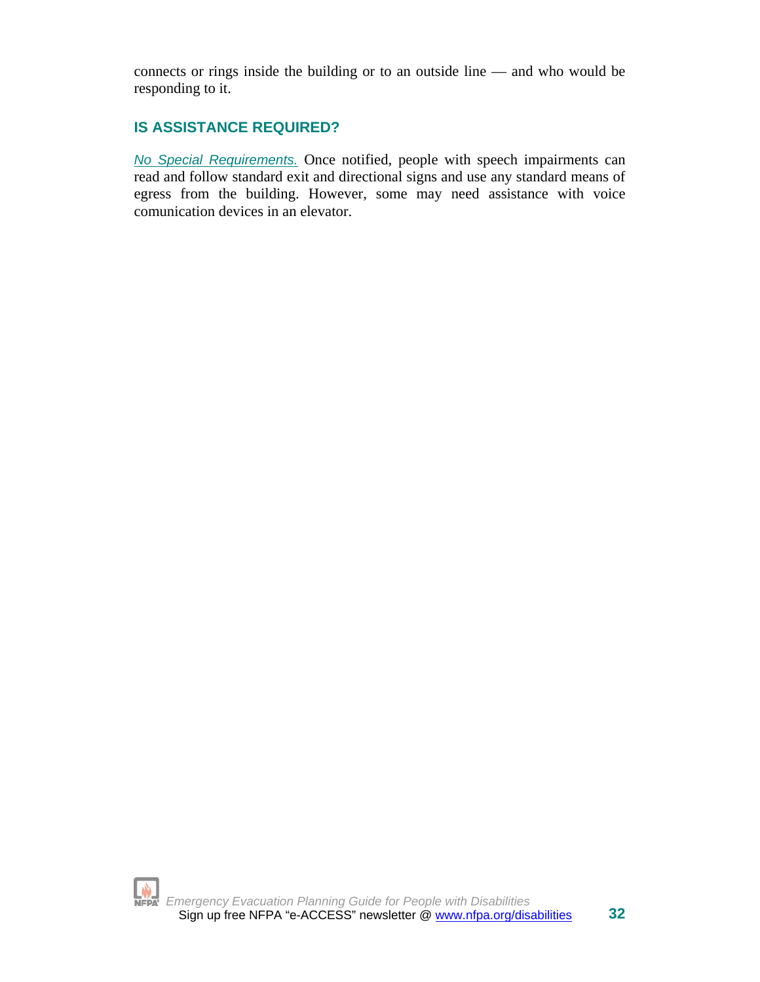connects or rings inside the building or to an outside line — and who would be responding to it.

# **IS ASSISTANCE REQUIRED?**

*No Special Requirements.* Once notified, people with speech impairments can read and follow standard exit and directional signs and use any standard means of egress from the building. However, some may need assistance with voice comunication devices in an elevator.

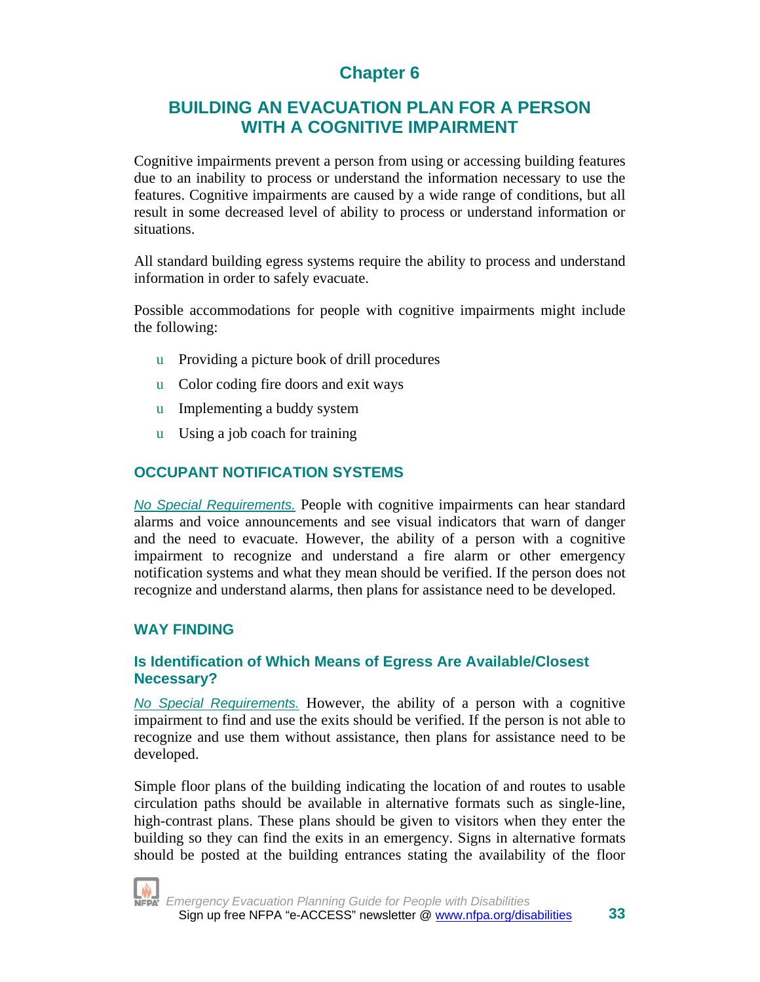# **Chapter 6**

# **BUILDING AN EVACUATION PLAN FOR A PERSON WITH A COGNITIVE IMPAIRMENT**

Cognitive impairments prevent a person from using or accessing building features due to an inability to process or understand the information necessary to use the features. Cognitive impairments are caused by a wide range of conditions, but all result in some decreased level of ability to process or understand information or situations.

All standard building egress systems require the ability to process and understand information in order to safely evacuate.

Possible accommodations for people with cognitive impairments might include the following:

- u Providing a picture book of drill procedures
- u Color coding fire doors and exit ways
- u Implementing a buddy system
- u Using a job coach for training

# **OCCUPANT NOTIFICATION SYSTEMS**

*No Special Requirements.* People with cognitive impairments can hear standard alarms and voice announcements and see visual indicators that warn of danger and the need to evacuate. However, the ability of a person with a cognitive impairment to recognize and understand a fire alarm or other emergency notification systems and what they mean should be verified. If the person does not recognize and understand alarms, then plans for assistance need to be developed.

#### **WAY FINDING**

#### **Is Identification of Which Means of Egress Are Available/Closest Necessary?**

*No Special Requirements.* However, the ability of a person with a cognitive impairment to find and use the exits should be verified. If the person is not able to recognize and use them without assistance, then plans for assistance need to be developed.

Simple floor plans of the building indicating the location of and routes to usable circulation paths should be available in alternative formats such as single-line, high-contrast plans. These plans should be given to visitors when they enter the building so they can find the exits in an emergency. Signs in alternative formats should be posted at the building entrances stating the availability of the floor

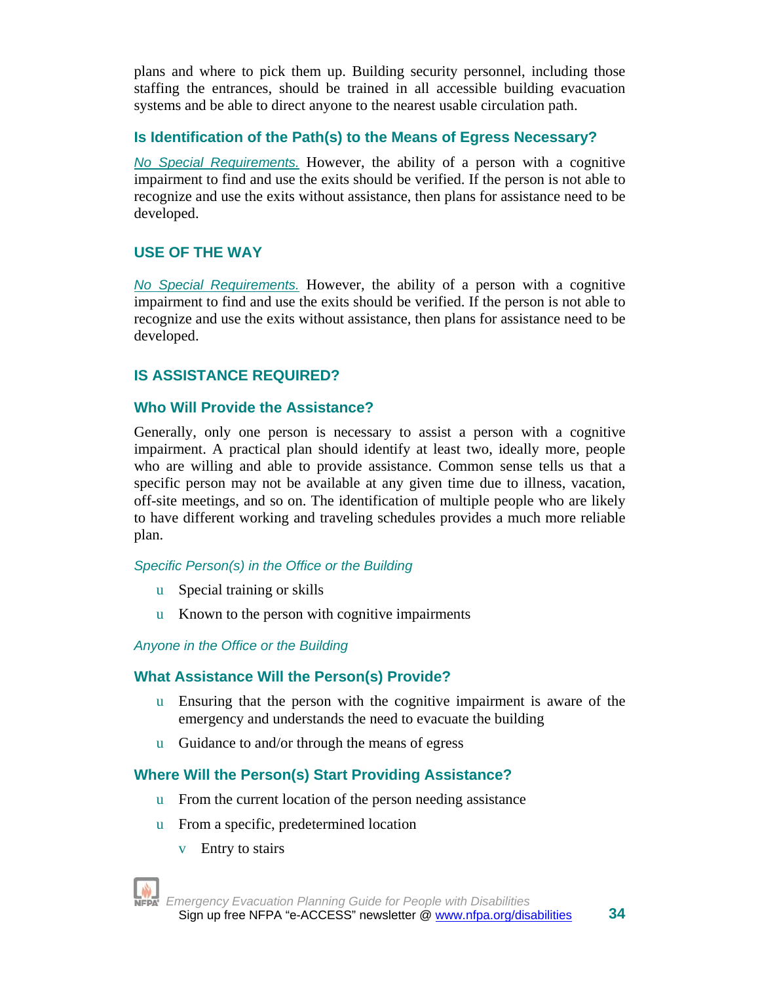plans and where to pick them up. Building security personnel, including those staffing the entrances, should be trained in all accessible building evacuation systems and be able to direct anyone to the nearest usable circulation path.

## **Is Identification of the Path(s) to the Means of Egress Necessary?**

*No Special Requirements.* However, the ability of a person with a cognitive impairment to find and use the exits should be verified. If the person is not able to recognize and use the exits without assistance, then plans for assistance need to be developed.

## **USE OF THE WAY**

*No Special Requirements.* However, the ability of a person with a cognitive impairment to find and use the exits should be verified. If the person is not able to recognize and use the exits without assistance, then plans for assistance need to be developed.

## **IS ASSISTANCE REQUIRED?**

#### **Who Will Provide the Assistance?**

Generally, only one person is necessary to assist a person with a cognitive impairment. A practical plan should identify at least two, ideally more, people who are willing and able to provide assistance. Common sense tells us that a specific person may not be available at any given time due to illness, vacation, off-site meetings, and so on. The identification of multiple people who are likely to have different working and traveling schedules provides a much more reliable plan.

#### *Specific Person(s) in the Office or the Building*

- u Special training or skills
- u Known to the person with cognitive impairments

#### *Anyone in the Office or the Building*

#### **What Assistance Will the Person(s) Provide?**

- u Ensuring that the person with the cognitive impairment is aware of the emergency and understands the need to evacuate the building
- u Guidance to and/or through the means of egress

#### **Where Will the Person(s) Start Providing Assistance?**

- u From the current location of the person needing assistance
- u From a specific, predetermined location
	- v Entry to stairs

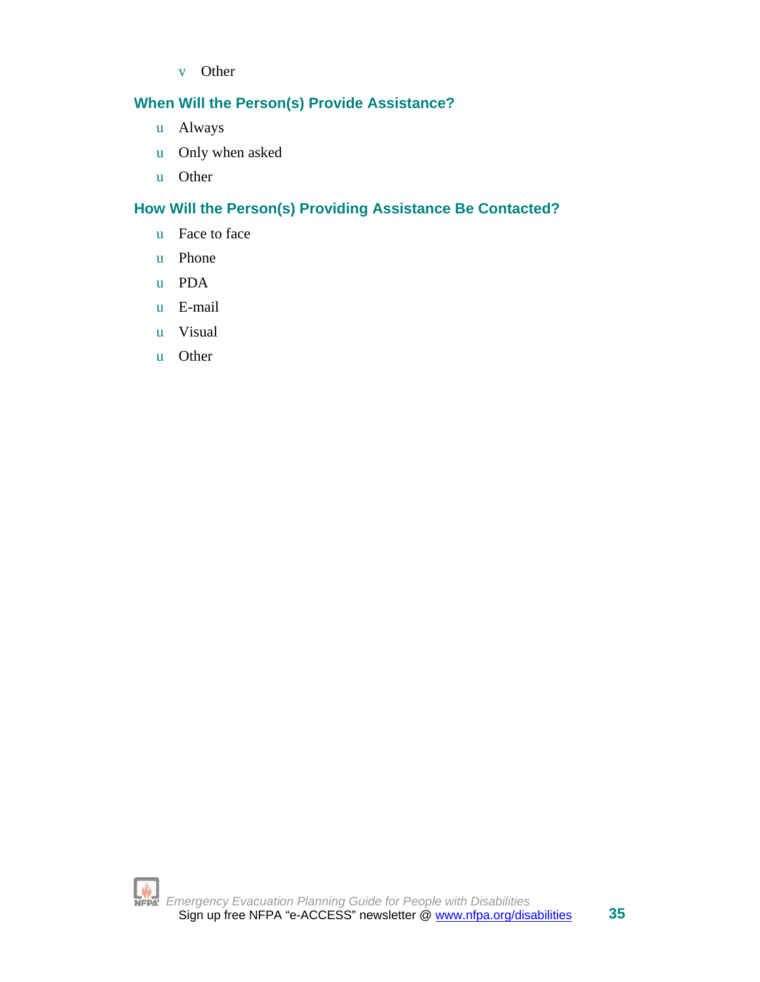v Other

#### **When Will the Person(s) Provide Assistance?**

- u Always
- u Only when asked
- u Other

# **How Will the Person(s) Providing Assistance Be Contacted?**

- u Face to face
- u Phone
- u PDA
- u E-mail
- u Visual
- u Other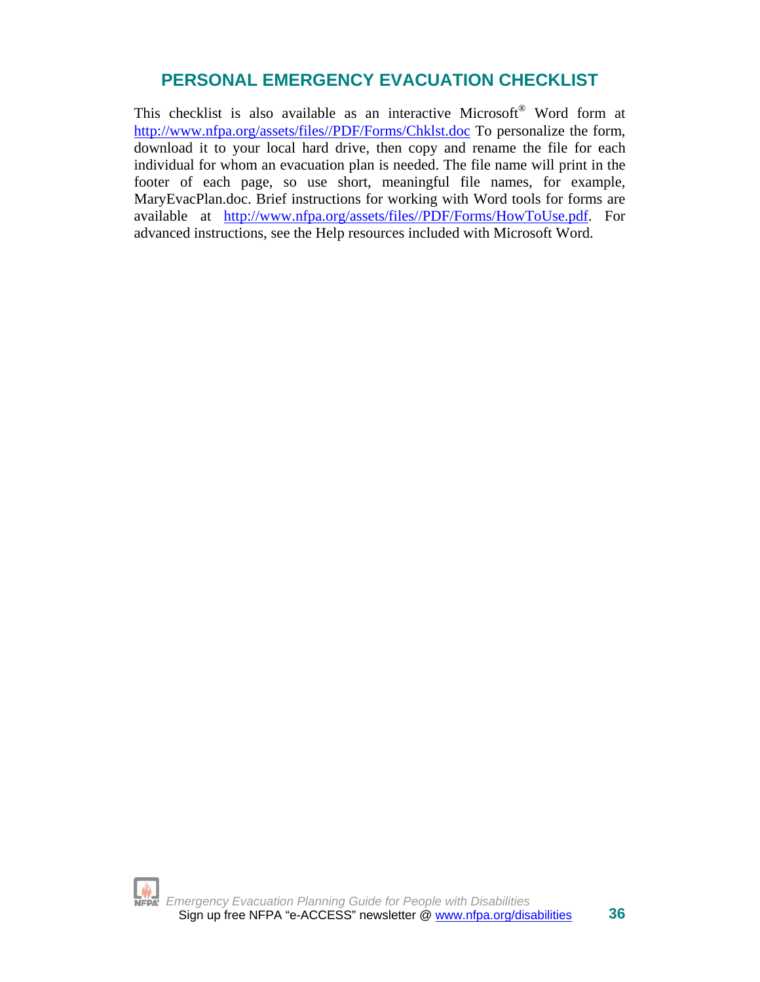# **PERSONAL EMERGENCY EVACUATION CHECKLIST**

This checklist is also available as an interactive Microsoft® Word form at <http://www.nfpa.org/assets/files//PDF/Forms/Chklst.doc> To personalize the form, download it to your local hard drive, then copy and rename the file for each individual for whom an evacuation plan is needed. The file name will print in the footer of each page, so use short, meaningful file names, for example, MaryEvacPlan.doc. Brief instructions for working with Word tools for forms are available at <http://www.nfpa.org/assets/files//PDF/Forms/HowToUse.pdf>. For advanced instructions, see the Help resources included with Microsoft Word.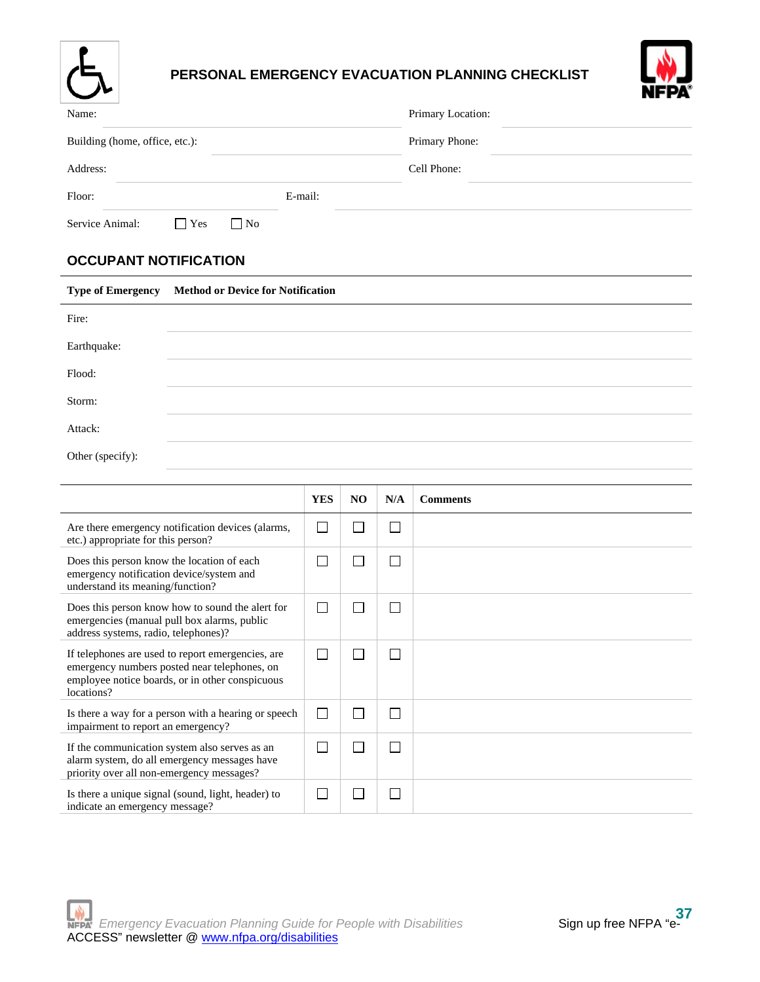

## **PERSONAL EMERGENCY EVACUATION PLANNING CHECKLIST**



| Name:                          |              |           |         | Primary Location: |  |
|--------------------------------|--------------|-----------|---------|-------------------|--|
| Building (home, office, etc.): |              |           |         | Primary Phone:    |  |
| Address:                       |              |           |         | Cell Phone:       |  |
| Floor:                         |              |           | E-mail: |                   |  |
| Service Animal:                | $\Gamma$ Yes | $\Box$ No |         |                   |  |

## **OCCUPANT NOTIFICATION**

| <b>Type of Emergency</b>                                                                                                   | <b>Method or Device for Notification</b>                                                                                                             |                             |                |               |                 |
|----------------------------------------------------------------------------------------------------------------------------|------------------------------------------------------------------------------------------------------------------------------------------------------|-----------------------------|----------------|---------------|-----------------|
| Fire:                                                                                                                      |                                                                                                                                                      |                             |                |               |                 |
| Earthquake:                                                                                                                |                                                                                                                                                      |                             |                |               |                 |
| Flood:                                                                                                                     |                                                                                                                                                      |                             |                |               |                 |
| Storm:                                                                                                                     |                                                                                                                                                      |                             |                |               |                 |
| Attack:                                                                                                                    |                                                                                                                                                      |                             |                |               |                 |
| Other (specify):                                                                                                           |                                                                                                                                                      |                             |                |               |                 |
|                                                                                                                            |                                                                                                                                                      |                             |                |               |                 |
|                                                                                                                            |                                                                                                                                                      | <b>YES</b>                  | NO             | N/A           | <b>Comments</b> |
| etc.) appropriate for this person?                                                                                         | Are there emergency notification devices (alarms,                                                                                                    | $\mathcal{L}_{\mathcal{A}}$ |                | $\Box$        |                 |
| Does this person know the location of each<br>emergency notification device/system and<br>understand its meaning/function? |                                                                                                                                                      | $\overline{\phantom{a}}$    | $\blacksquare$ | П             |                 |
| emergencies (manual pull box alarms, public<br>address systems, radio, telephones)?                                        | Does this person know how to sound the alert for                                                                                                     | $\overline{\phantom{a}}$    |                | $\mathcal{L}$ |                 |
| locations?                                                                                                                 | If telephones are used to report emergencies, are<br>emergency numbers posted near telephones, on<br>employee notice boards, or in other conspicuous | $\Box$                      | $\blacksquare$ | П             |                 |
| impairment to report an emergency?                                                                                         | Is there a way for a person with a hearing or speech                                                                                                 | $\Box$                      |                | П             |                 |
| priority over all non-emergency messages?                                                                                  | If the communication system also serves as an<br>alarm system, do all emergency messages have                                                        | $\Box$                      | $\blacksquare$ | П             |                 |
| indicate an emergency message?                                                                                             | Is there a unique signal (sound, light, header) to                                                                                                   | $\Box$                      |                | $\Box$        |                 |

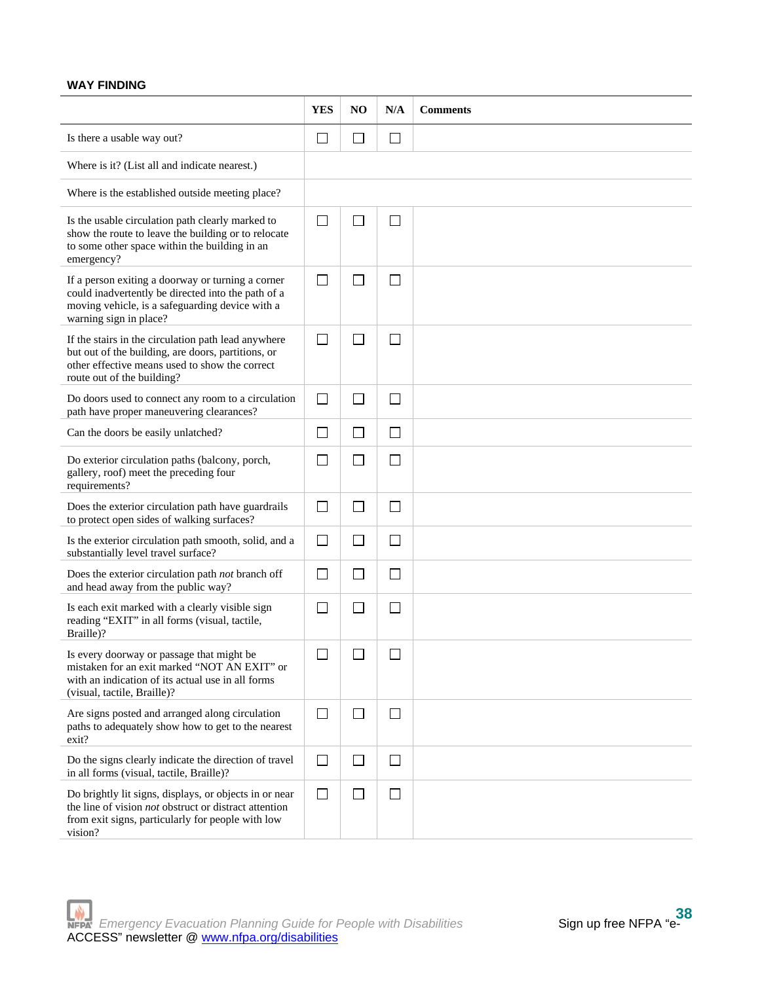#### **WAY FINDING**

|                                                                                                                                                                                           | YES                      | N <sub>O</sub> | N/A                      | <b>Comments</b> |
|-------------------------------------------------------------------------------------------------------------------------------------------------------------------------------------------|--------------------------|----------------|--------------------------|-----------------|
| Is there a usable way out?                                                                                                                                                                | $\Box$                   | $\sim$         | $\Box$                   |                 |
| Where is it? (List all and indicate nearest.)                                                                                                                                             |                          |                |                          |                 |
| Where is the established outside meeting place?                                                                                                                                           |                          |                |                          |                 |
| Is the usable circulation path clearly marked to<br>show the route to leave the building or to relocate<br>to some other space within the building in an<br>emergency?                    | $\Box$                   |                | $\Box$                   |                 |
| If a person exiting a doorway or turning a corner<br>could inadvertently be directed into the path of a<br>moving vehicle, is a safeguarding device with a<br>warning sign in place?      | $\Box$                   |                | $\overline{\phantom{a}}$ |                 |
| If the stairs in the circulation path lead anywhere<br>but out of the building, are doors, partitions, or<br>other effective means used to show the correct<br>route out of the building? | $\overline{\phantom{0}}$ |                | П                        |                 |
| Do doors used to connect any room to a circulation<br>path have proper maneuvering clearances?                                                                                            | $\Box$                   |                | П                        |                 |
| Can the doors be easily unlatched?                                                                                                                                                        | $\Box$                   | $\sim$         | $\Box$                   |                 |
| Do exterior circulation paths (balcony, porch,<br>gallery, roof) meet the preceding four<br>requirements?                                                                                 | $\Box$                   |                | $\Box$                   |                 |
| Does the exterior circulation path have guardrails<br>to protect open sides of walking surfaces?                                                                                          | $\Box$                   | $\blacksquare$ | $\Box$                   |                 |
| Is the exterior circulation path smooth, solid, and a<br>substantially level travel surface?                                                                                              | $\overline{\phantom{a}}$ |                | $\Box$                   |                 |
| Does the exterior circulation path not branch off<br>and head away from the public way?                                                                                                   | $\Box$                   | $\sim$         | $\Box$                   |                 |
| Is each exit marked with a clearly visible sign<br>reading "EXIT" in all forms (visual, tactile,<br>Braille)?                                                                             | $\Box$                   |                | П                        |                 |
| Is every doorway or passage that might be<br>mistaken for an exit marked "NOT AN EXIT" or<br>with an indication of its actual use in all forms<br>(visual, tactile, Braille)?             | ▭                        | −              | ┌                        |                 |
| Are signs posted and arranged along circulation<br>paths to adequately show how to get to the nearest<br>exit?                                                                            | $\Box$                   | $\sim$         | $\Box$                   |                 |
| Do the signs clearly indicate the direction of travel<br>in all forms (visual, tactile, Braille)?                                                                                         | $\Box$                   |                | $\Box$                   |                 |
| Do brightly lit signs, displays, or objects in or near<br>the line of vision not obstruct or distract attention<br>from exit signs, particularly for people with low<br>vision?           | $\Box$                   | n.             | $\Box$                   |                 |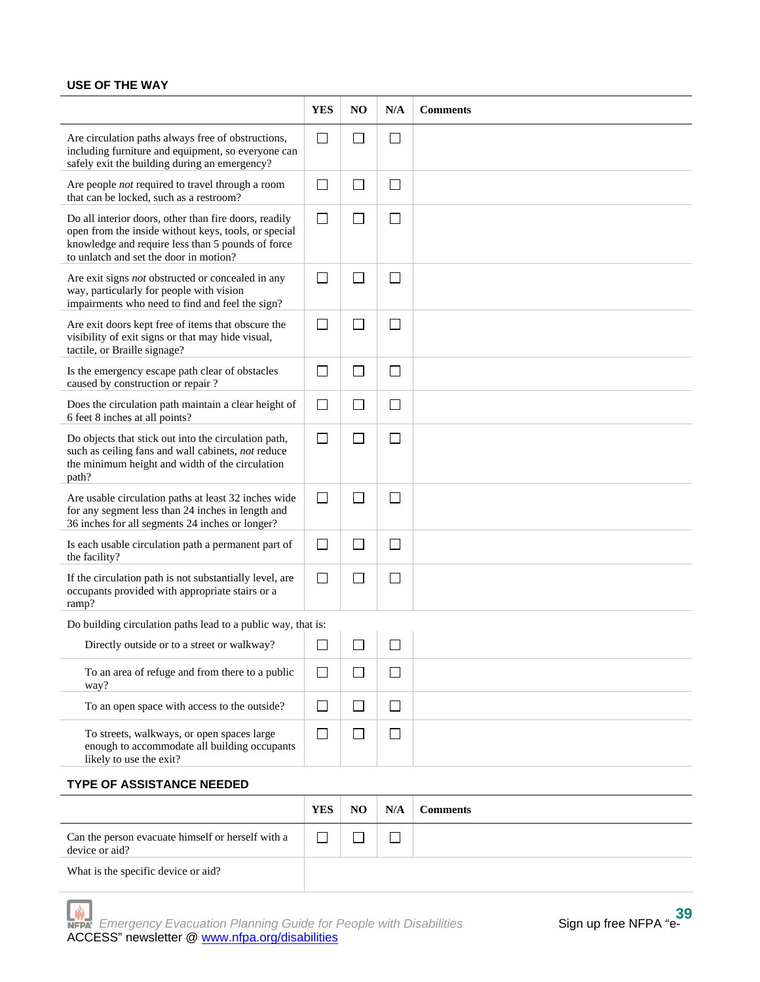#### **USE OF THE WAY**

|                                                                                                                                                                                                              | <b>YES</b>   | NO                       | N/A                         | <b>Comments</b> |
|--------------------------------------------------------------------------------------------------------------------------------------------------------------------------------------------------------------|--------------|--------------------------|-----------------------------|-----------------|
| Are circulation paths always free of obstructions,<br>including furniture and equipment, so everyone can<br>safely exit the building during an emergency?                                                    | $\Box$       |                          | $\mathcal{L}$               |                 |
| Are people <i>not</i> required to travel through a room<br>that can be locked, such as a restroom?                                                                                                           | $\mathbf{I}$ | $\overline{\phantom{a}}$ | $\Box$                      |                 |
| Do all interior doors, other than fire doors, readily<br>open from the inside without keys, tools, or special<br>knowledge and require less than 5 pounds of force<br>to unlatch and set the door in motion? | $\Box$       | $\sim$                   | $\sim$                      |                 |
| Are exit signs not obstructed or concealed in any<br>way, particularly for people with vision<br>impairments who need to find and feel the sign?                                                             | $\mathbf{I}$ | $\sim$                   | $\mathcal{L}$               |                 |
| Are exit doors kept free of items that obscure the<br>visibility of exit signs or that may hide visual,<br>tactile, or Braille signage?                                                                      | $\mathsf{L}$ | $\Box$                   | $\Box$                      |                 |
| Is the emergency escape path clear of obstacles<br>caused by construction or repair ?                                                                                                                        | $\Box$       | $\sim$                   | $\mathcal{L}_{\mathcal{A}}$ |                 |
| Does the circulation path maintain a clear height of<br>6 feet 8 inches at all points?                                                                                                                       | $\Box$       |                          | $\Box$                      |                 |
| Do objects that stick out into the circulation path,<br>such as ceiling fans and wall cabinets, not reduce<br>the minimum height and width of the circulation<br>path?                                       | $\Box$       | ×.                       | $\mathcal{L}$               |                 |
| Are usable circulation paths at least 32 inches wide<br>for any segment less than 24 inches in length and<br>36 inches for all segments 24 inches or longer?                                                 | П            | ×.                       | $\Box$                      |                 |
| Is each usable circulation path a permanent part of<br>the facility?                                                                                                                                         | $\Box$       | $\Box$                   | $\Box$                      |                 |
| If the circulation path is not substantially level, are<br>occupants provided with appropriate stairs or a<br>ramp?                                                                                          | $\Box$       | $\Box$                   |                             |                 |
| Do building circulation paths lead to a public way, that is:                                                                                                                                                 |              |                          |                             |                 |
| Directly outside or to a street or walkway?                                                                                                                                                                  |              |                          |                             |                 |
| To an area of refuge and from there to a public<br>way?                                                                                                                                                      | $\Box$       | $\mathcal{L}$            | $\sim$                      |                 |
| To an open space with access to the outside?                                                                                                                                                                 | $\Box$       | $\Box$                   | $\Box$                      |                 |
| To streets, walkways, or open spaces large<br>enough to accommodate all building occupants<br>likely to use the exit?                                                                                        | $\Box$       | $\Box$                   | $\Box$                      |                 |

#### **TYPE OF ASSISTANCE NEEDED**

|                                                                     | <b>YES</b> | NO. | N/A | <b>Comments</b> |
|---------------------------------------------------------------------|------------|-----|-----|-----------------|
| Can the person evacuate himself or herself with a<br>device or aid? |            |     |     |                 |
| What is the specific device or aid?                                 |            |     |     |                 |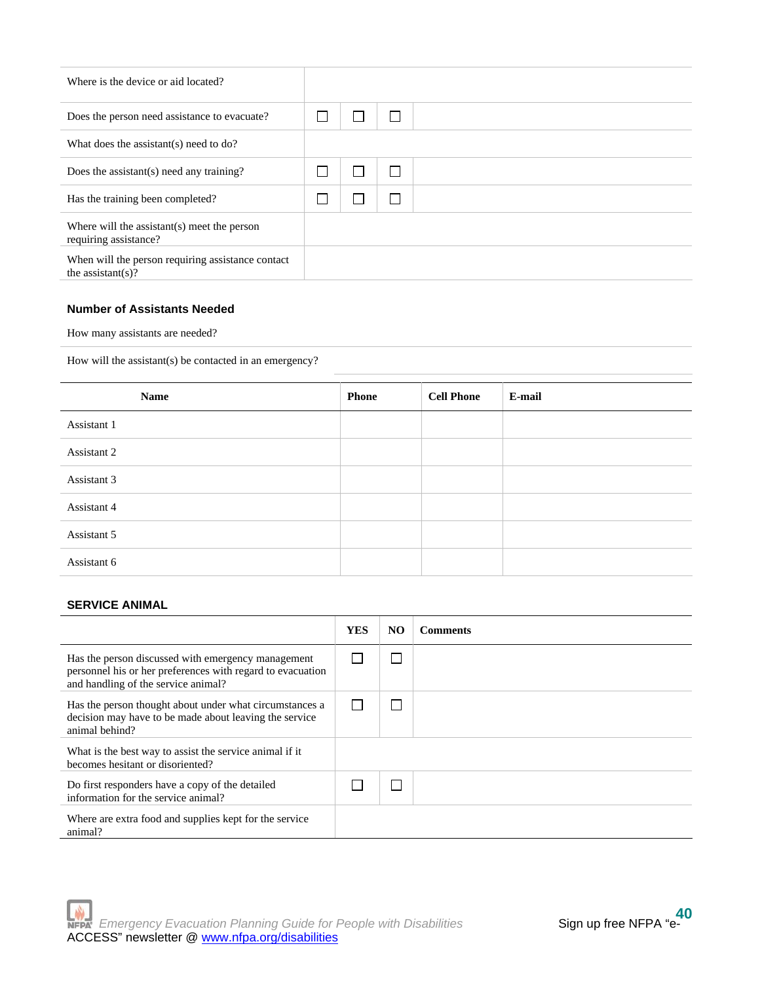| Where is the device or aid located?                                     |                   |  |  |
|-------------------------------------------------------------------------|-------------------|--|--|
| Does the person need assistance to evacuate?                            | r.                |  |  |
| What does the assistant (s) need to do?                                 |                   |  |  |
| Does the assistant(s) need any training?                                | $\Box$            |  |  |
| Has the training been completed?                                        | $\vert \ \ \vert$ |  |  |
| Where will the assistant $(s)$ meet the person<br>requiring assistance? |                   |  |  |
| When will the person requiring assistance contact<br>the assistant(s)?  |                   |  |  |

#### **Number of Assistants Needed**

How many assistants are needed?

How will the assistant(s) be contacted in an emergency?

| <b>Name</b> | <b>Phone</b> | <b>Cell Phone</b> | E-mail |
|-------------|--------------|-------------------|--------|
| Assistant 1 |              |                   |        |
| Assistant 2 |              |                   |        |
| Assistant 3 |              |                   |        |
| Assistant 4 |              |                   |        |
| Assistant 5 |              |                   |        |
| Assistant 6 |              |                   |        |

#### **SERVICE ANIMAL**

|                                                                                                                                                         | <b>YES</b> | NO. | <b>Comments</b> |
|---------------------------------------------------------------------------------------------------------------------------------------------------------|------------|-----|-----------------|
| Has the person discussed with emergency management<br>personnel his or her preferences with regard to evacuation<br>and handling of the service animal? |            |     |                 |
| Has the person thought about under what circumstances a<br>decision may have to be made about leaving the service<br>animal behind?                     |            |     |                 |
| What is the best way to assist the service animal if it<br>becomes hesitant or disoriented?                                                             |            |     |                 |
| Do first responders have a copy of the detailed<br>information for the service animal?                                                                  |            |     |                 |
| Where are extra food and supplies kept for the service<br>animal?                                                                                       |            |     |                 |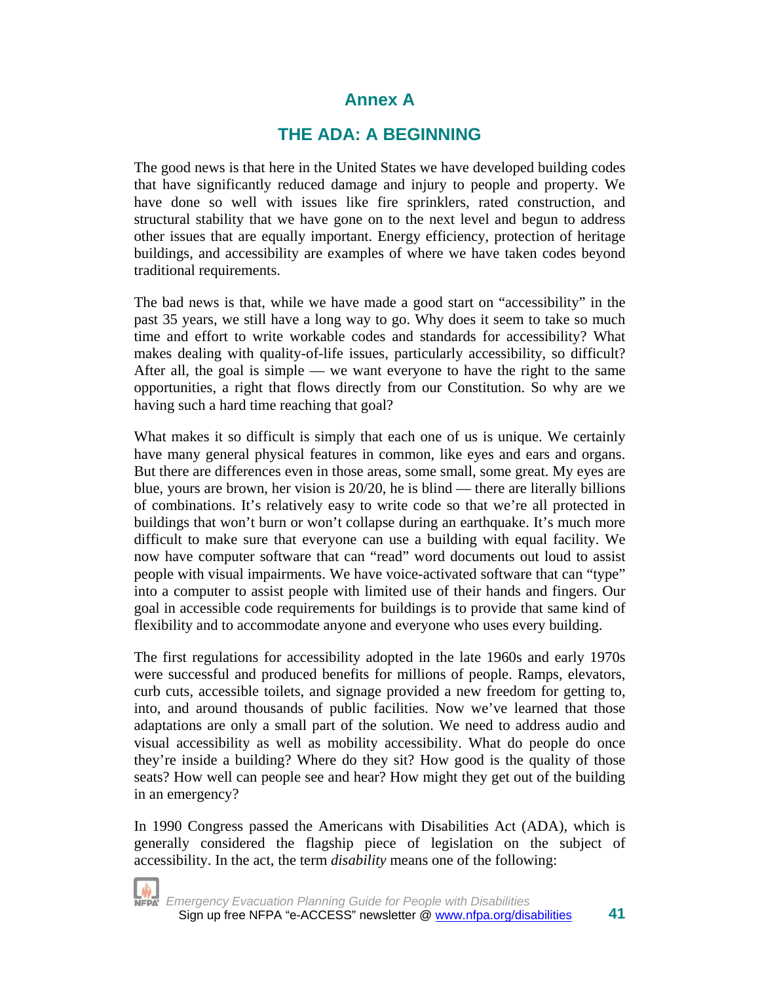# **Annex A**

# **THE ADA: A BEGINNING**

The good news is that here in the United States we have developed building codes that have significantly reduced damage and injury to people and property. We have done so well with issues like fire sprinklers, rated construction, and structural stability that we have gone on to the next level and begun to address other issues that are equally important. Energy efficiency, protection of heritage buildings, and accessibility are examples of where we have taken codes beyond traditional requirements.

The bad news is that, while we have made a good start on "accessibility" in the past 35 years, we still have a long way to go. Why does it seem to take so much time and effort to write workable codes and standards for accessibility? What makes dealing with quality-of-life issues, particularly accessibility, so difficult? After all, the goal is simple — we want everyone to have the right to the same opportunities, a right that flows directly from our Constitution. So why are we having such a hard time reaching that goal?

What makes it so difficult is simply that each one of us is unique. We certainly have many general physical features in common, like eyes and ears and organs. But there are differences even in those areas, some small, some great. My eyes are blue, yours are brown, her vision is 20/20, he is blind — there are literally billions of combinations. It's relatively easy to write code so that we're all protected in buildings that won't burn or won't collapse during an earthquake. It's much more difficult to make sure that everyone can use a building with equal facility. We now have computer software that can "read" word documents out loud to assist people with visual impairments. We have voice-activated software that can "type" into a computer to assist people with limited use of their hands and fingers. Our goal in accessible code requirements for buildings is to provide that same kind of flexibility and to accommodate anyone and everyone who uses every building.

The first regulations for accessibility adopted in the late 1960s and early 1970s were successful and produced benefits for millions of people. Ramps, elevators, curb cuts, accessible toilets, and signage provided a new freedom for getting to, into, and around thousands of public facilities. Now we've learned that those adaptations are only a small part of the solution. We need to address audio and visual accessibility as well as mobility accessibility. What do people do once they're inside a building? Where do they sit? How good is the quality of those seats? How well can people see and hear? How might they get out of the building in an emergency?

In 1990 Congress passed the Americans with Disabilities Act (ADA), which is generally considered the flagship piece of legislation on the subject of accessibility. In the act, the term *disability* means one of the following: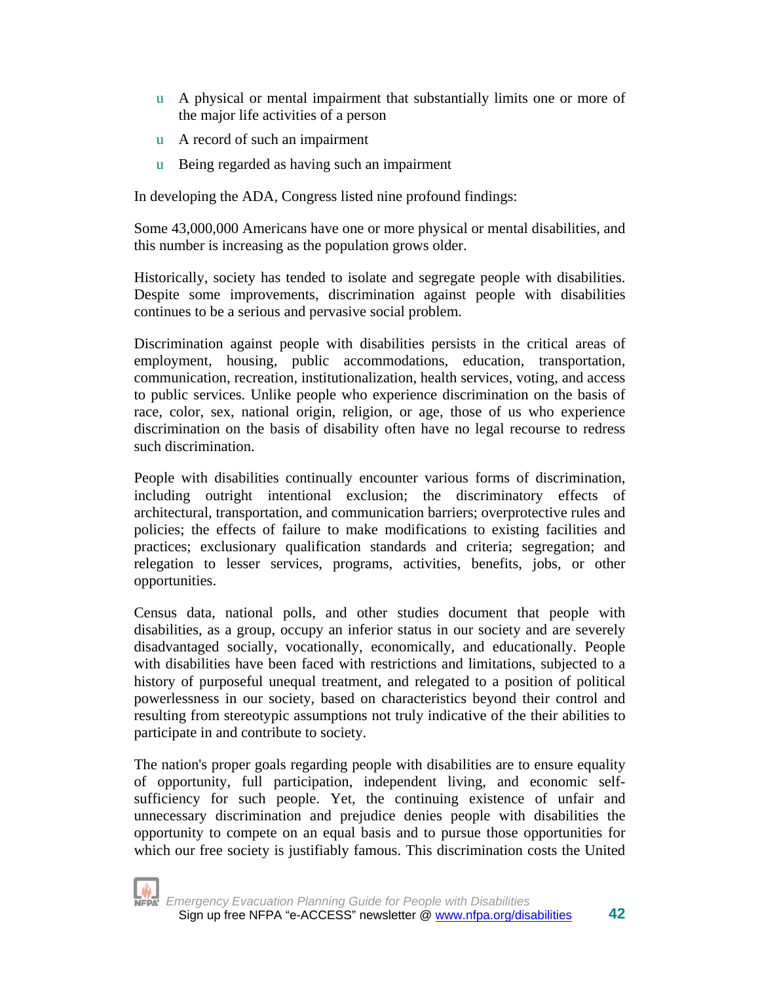- u A physical or mental impairment that substantially limits one or more of the major life activities of a person
- u A record of such an impairment
- u Being regarded as having such an impairment

In developing the ADA, Congress listed nine profound findings:

Some 43,000,000 Americans have one or more physical or mental disabilities, and this number is increasing as the population grows older.

Historically, society has tended to isolate and segregate people with disabilities. Despite some improvements, discrimination against people with disabilities continues to be a serious and pervasive social problem.

Discrimination against people with disabilities persists in the critical areas of employment, housing, public accommodations, education, transportation, communication, recreation, institutionalization, health services, voting, and access to public services. Unlike people who experience discrimination on the basis of race, color, sex, national origin, religion, or age, those of us who experience discrimination on the basis of disability often have no legal recourse to redress such discrimination.

People with disabilities continually encounter various forms of discrimination, including outright intentional exclusion; the discriminatory effects of architectural, transportation, and communication barriers; overprotective rules and policies; the effects of failure to make modifications to existing facilities and practices; exclusionary qualification standards and criteria; segregation; and relegation to lesser services, programs, activities, benefits, jobs, or other opportunities.

Census data, national polls, and other studies document that people with disabilities, as a group, occupy an inferior status in our society and are severely disadvantaged socially, vocationally, economically, and educationally. People with disabilities have been faced with restrictions and limitations, subjected to a history of purposeful unequal treatment, and relegated to a position of political powerlessness in our society, based on characteristics beyond their control and resulting from stereotypic assumptions not truly indicative of the their abilities to participate in and contribute to society.

The nation's proper goals regarding people with disabilities are to ensure equality of opportunity, full participation, independent living, and economic selfsufficiency for such people. Yet, the continuing existence of unfair and unnecessary discrimination and prejudice denies people with disabilities the opportunity to compete on an equal basis and to pursue those opportunities for which our free society is justifiably famous. This discrimination costs the United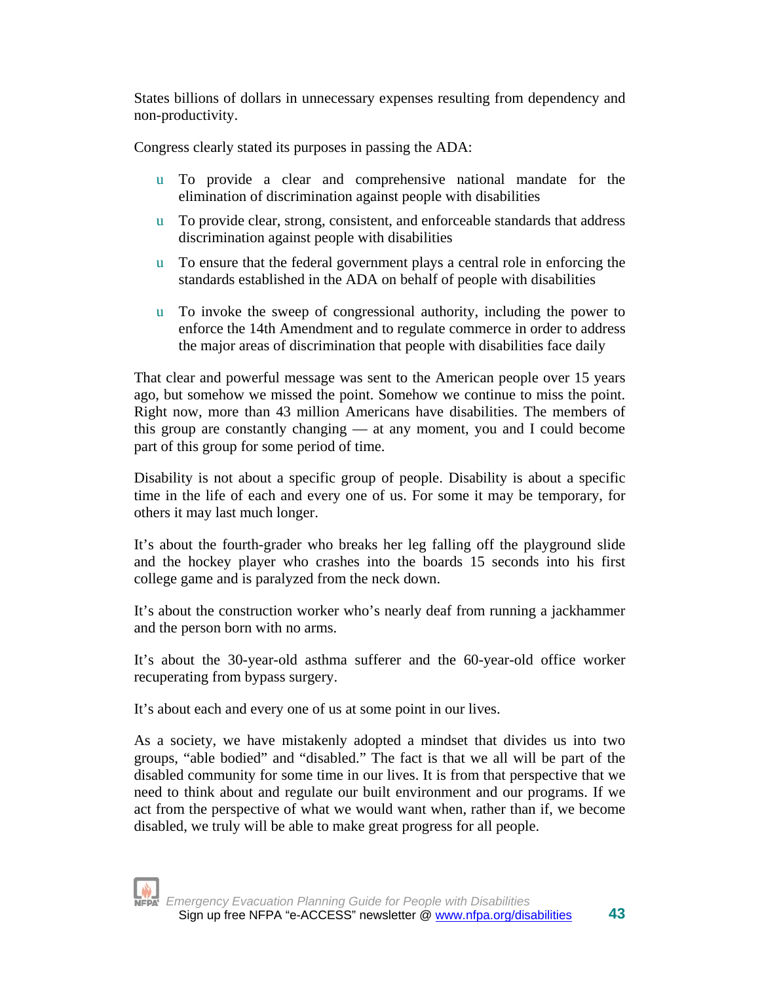States billions of dollars in unnecessary expenses resulting from dependency and non-productivity.

Congress clearly stated its purposes in passing the ADA:

- u To provide a clear and comprehensive national mandate for the elimination of discrimination against people with disabilities
- u To provide clear, strong, consistent, and enforceable standards that address discrimination against people with disabilities
- u To ensure that the federal government plays a central role in enforcing the standards established in the ADA on behalf of people with disabilities
- u To invoke the sweep of congressional authority, including the power to enforce the 14th Amendment and to regulate commerce in order to address the major areas of discrimination that people with disabilities face daily

That clear and powerful message was sent to the American people over 15 years ago, but somehow we missed the point. Somehow we continue to miss the point. Right now, more than 43 million Americans have disabilities. The members of this group are constantly changing — at any moment, you and I could become part of this group for some period of time.

Disability is not about a specific group of people. Disability is about a specific time in the life of each and every one of us. For some it may be temporary, for others it may last much longer.

It's about the fourth-grader who breaks her leg falling off the playground slide and the hockey player who crashes into the boards 15 seconds into his first college game and is paralyzed from the neck down.

It's about the construction worker who's nearly deaf from running a jackhammer and the person born with no arms.

It's about the 30-year-old asthma sufferer and the 60-year-old office worker recuperating from bypass surgery.

It's about each and every one of us at some point in our lives.

As a society, we have mistakenly adopted a mindset that divides us into two groups, "able bodied" and "disabled." The fact is that we all will be part of the disabled community for some time in our lives. It is from that perspective that we need to think about and regulate our built environment and our programs. If we act from the perspective of what we would want when, rather than if, we become disabled, we truly will be able to make great progress for all people.

 *Emergency Evacuation Planning Guide for People with Disabilities*  Sign up free NFPA "e-ACCESS" newsletter @ www.nfpa.org/disabilities **43**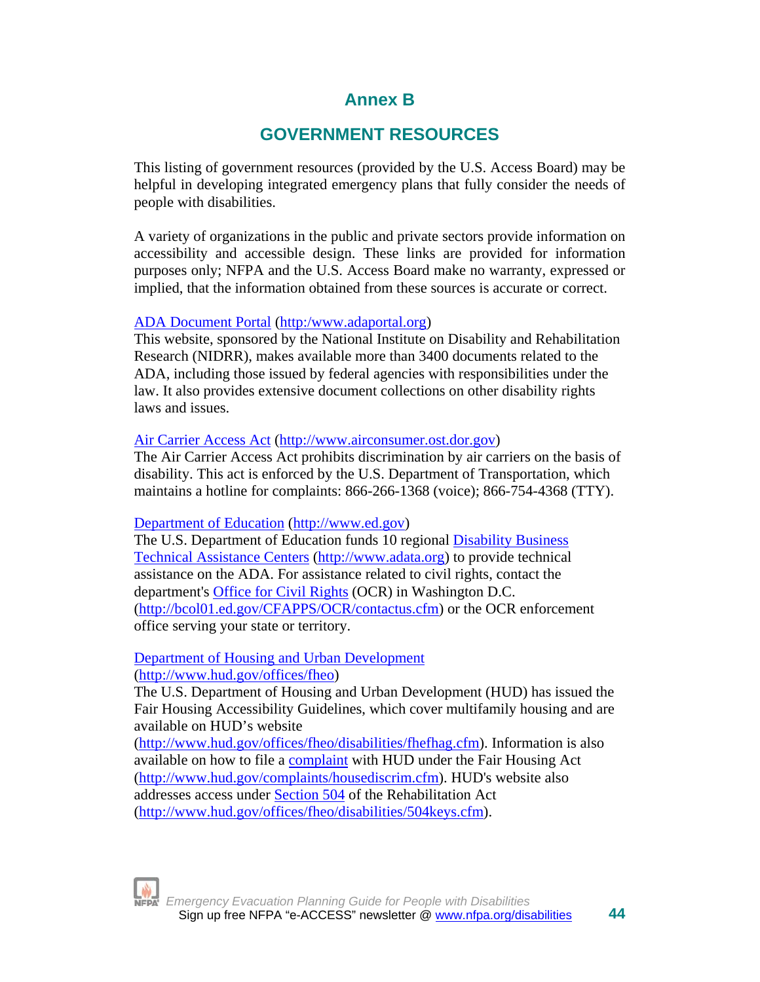# **Annex B**

# **GOVERNMENT RESOURCES**

This listing of government resources (provided by the U.S. Access Board) may be helpful in developing integrated emergency plans that fully consider the needs of people with disabilities.

A variety of organizations in the public and private sectors provide information on accessibility and accessible design. These links are provided for information purposes only; NFPA and the U.S. Access Board make no warranty, expressed or implied, that the information obtained from these sources is accurate or correct.

#### [ADA Document Portal](http://www.adaportal.org/) ([http:/www.adaportal.org\)](http://www.adaportal.org/)

This website, sponsored by the National Institute on Disability and Rehabilitation Research (NIDRR), makes available more than 3400 documents related to the ADA, including those issued by federal agencies with responsibilities under the law. It also provides extensive document collections on other disability rights laws and issues.

#### [Air Carrier Access Act](http://airconsumer.ost.dot.gov/) [\(http://www.airconsumer.ost.dor.gov](http://www.airconsumer.ost.dor.gov/))

The Air Carrier Access Act prohibits discrimination by air carriers on the basis of disability. This act is enforced by the U.S. Department of Transportation, which maintains a hotline for complaints: 866-266-1368 (voice); 866-754-4368 (TTY).

[Department of Education](http://www.ed.gov/) [\(http://www.ed.gov](http://www.ed.gov/))

The U.S. Department of Education funds 10 regional Disability Business Technical Assistance Centers [\(http://www.adata.org](http://www.adata.org/)) to provide technical assistance on the ADA. For assistance related to civil rights, contact the department's [Office for Civil Rights](http://bcol01.ed.gov/CFAPPS/OCR/contactus.cfm) (OCR) in Washington D.C. ([http://bcol01.ed.gov/CFAPPS/OCR/contactus.cfm\)](http://bcol01.ed.gov/CFAPPS/OCR/contactus.cfm) or the OCR enforcement office serving your state or territory.

#### [Department of Housing and Urban Development](http://www.hud.gov/offices/fheo/) (<http://www.hud.gov/offices/fheo>)

The U.S. Department of Housing and Urban Development (HUD) has issued the Fair Housing Accessibility Guidelines, which cover multifamily housing and are available on HUD's website

(<http://www.hud.gov/offices/fheo/disabilities/fhefhag.cfm>). Information is also available on how to file a [complaint](http://www.hud.gov/complaints/housediscrim.cfm) with HUD under the Fair Housing Act ([http://www.hud.gov/complaints/housediscrim.cfm\)](http://www.hud.gov/complaints/housediscrim.cfm). HUD's website also addresses access under Section 504 of the Rehabilitation Act ([http://www.hud.gov/offices/fheo/disabilities/504keys.cfm\)](http://www.hud.gov/offices/fheo/disabilities/504keys.cfm).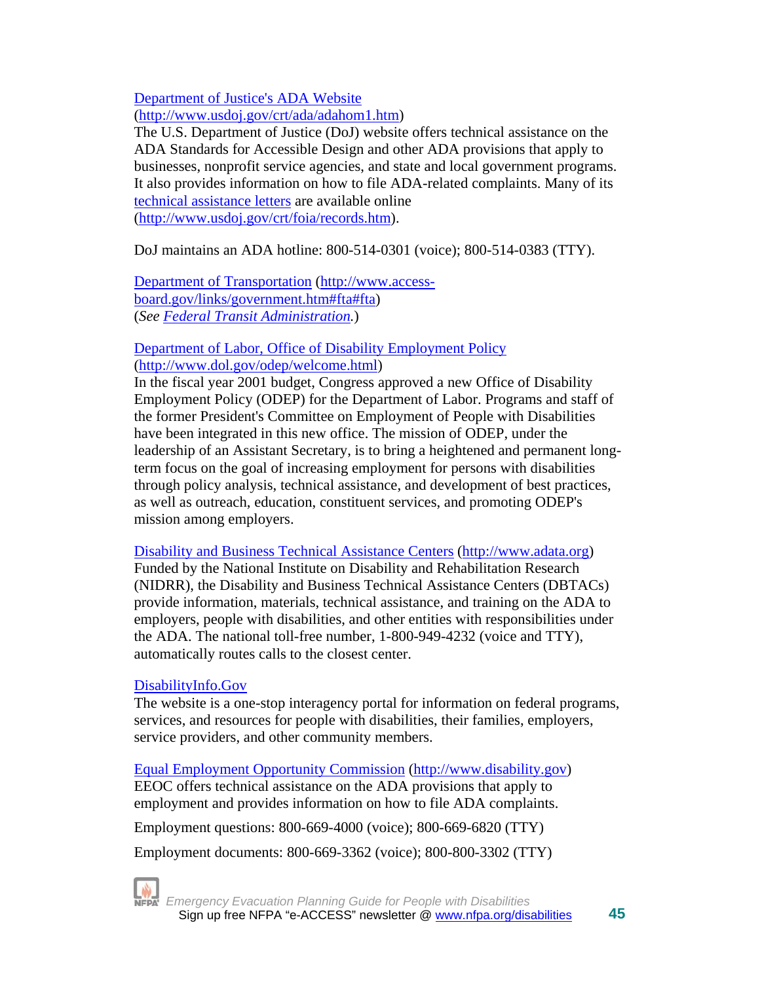[Department of Justice's ADA Website](http://www.usdoj.gov/crt/ada/adahom1.htm)

([http://www.usdoj.gov/crt/ada/adahom1.htm\)](http://www.usdoj.gov/crt/ada/adahom1.htm)

The U.S. Department of Justice (DoJ) website offers technical assistance on the ADA Standards for Accessible Design and other ADA provisions that apply to businesses, nonprofit service agencies, and state and local government programs. It also provides information on how to file ADA-related complaints. Many of its [technical assistance letters](http://www.usdoj.gov/crt/foia/records.htm) are available online ([http://www.usdoj.gov/crt/foia/records.htm\)](http://www.usdoj.gov/crt/foia/records.htm).

DoJ maintains an ADA hotline: 800-514-0301 (voice); 800-514-0383 (TTY).

[Department of Transportation](http://www.access-board.gov/links/government.htm#fta#fta) [\(http://www.access](http://www.access-board.gov/links/government.htm#fta)[board.gov/links/government.htm#fta#fta\)](http://www.access-board.gov/links/government.htm#fta) (*See [Federal Transit Administration](http://www.fta.dot.gov/initiatives_tech_assistance/customer_service/14524_ENG_HTML.htm).*)

#### [Department of Labor, Office of Disability Employment Policy](http://www.dol.gov/odep/welcome.html) (<http://www.dol.gov/odep/welcome.html>)

In the fiscal year 2001 budget, Congress approved a new Office of Disability Employment Policy (ODEP) for the Department of Labor. Programs and staff of the former President's Committee on Employment of People with Disabilities have been integrated in this new office. The mission of ODEP, under the leadership of an Assistant Secretary, is to bring a heightened and permanent longterm focus on the goal of increasing employment for persons with disabilities through policy analysis, technical assistance, and development of best practices, as well as outreach, education, constituent services, and promoting ODEP's mission among employers.

[Disability and Business Technical Assistance Centers](http://www.adata.org/) ([http://www.adata.org\)](http://www.adata.org/) Funded by the National Institute on Disability and Rehabilitation Research (NIDRR), the Disability and Business Technical Assistance Centers (DBTACs) provide information, materials, technical assistance, and training on the ADA to employers, people with disabilities, and other entities with responsibilities under the ADA. The national toll-free number, 1-800-949-4232 (voice and TTY), automatically routes calls to the closest center.

# [DisabilityInfo.Gov](http://www.disability.gov/)

The website is a one-stop interagency portal for information on federal programs, services, and resources for people with disabilities, their families, employers, service providers, and other community members.

[Equal Employment Opportunity Commission](http://www.disability.gov/) [\(http://www.disability.gov\)](http://www.disability.gov/) EEOC offers technical assistance on the ADA provisions that apply to employment and provides information on how to file ADA complaints.

Employment questions: 800-669-4000 (voice); 800-669-6820 (TTY)

Employment documents: 800-669-3362 (voice); 800-800-3302 (TTY)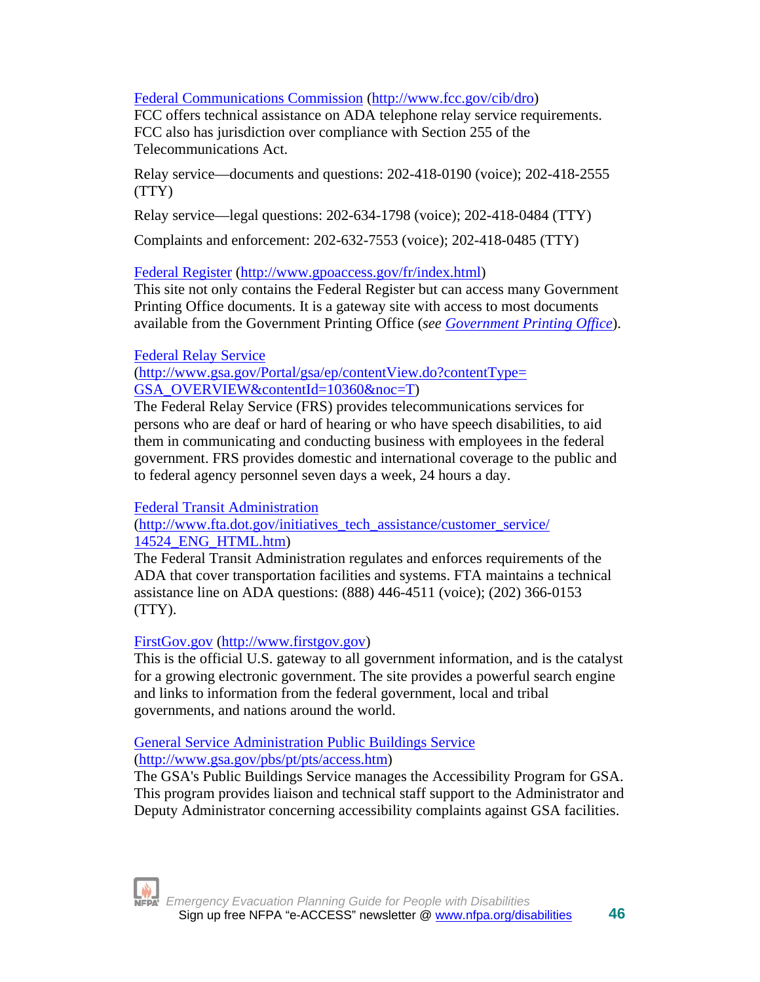#### [Federal Communications Commission](http://www.fcc.gov/cib/dro/) (<http://www.fcc.gov/cib/dro>)

FCC offers technical assistance on ADA telephone relay service requirements. FCC also has jurisdiction over compliance with Section 255 of the Telecommunications Act.

Relay service—documents and questions: 202-418-0190 (voice); 202-418-2555 (TTY)

Relay service—legal questions: 202-634-1798 (voice); 202-418-0484 (TTY)

Complaints and enforcement: 202-632-7553 (voice); 202-418-0485 (TTY)

# [Federal Register](http://www.gpoaccess.gov/fr/index.html) ([http://www.gpoaccess.gov/fr/index.html\)](http://www.gpoaccess.gov/fr/index.html)

This site not only contains the Federal Register but can access many Government Printing Office documents. It is a gateway site with access to most documents available from the Government Printing Office (*see [Government Printing Office](http://www.access.gpo.gov/)*).

## [Federal Relay Service](http://www.gsa.gov/Portal/gsa/ep/contentView.do?contentType=GSA_OVERVIEW&contentId=10360&noc=T)

([http://www.gsa.gov/Portal/gsa/ep/contentView.do?contentType=](http://www.gsa.gov/Portal/gsa/ep/contentView.do?contentType=%0BGSA_OVERVIEW&contentId=10360&noc=T) [GSA\\_OVERVIEW&contentId=10360&noc=T](http://www.gsa.gov/Portal/gsa/ep/contentView.do?contentType=%0BGSA_OVERVIEW&contentId=10360&noc=T))

The Federal Relay Service (FRS) provides telecommunications services for persons who are deaf or hard of hearing or who have speech disabilities, to aid them in communicating and conducting business with employees in the federal government. FRS provides domestic and international coverage to the public and to federal agency personnel seven days a week, 24 hours a day.

# [Federal Transit Administration](http://www.fta.dot.gov/initiatives_tech_assistance/customer_service/14524_ENG_HTML.htm)

([http://www.fta.dot.gov/initiatives\\_tech\\_assistance/customer\\_service/](http://www.fta.dot.gov/initiatives_tech_assistance/customer_service/%0B14524_ENG_HTML.htm) [14524\\_ENG\\_HTML.htm](http://www.fta.dot.gov/initiatives_tech_assistance/customer_service/%0B14524_ENG_HTML.htm))

The Federal Transit Administration regulates and enforces requirements of the ADA that cover transportation facilities and systems. FTA maintains a technical assistance line on ADA questions: (888) 446-4511 (voice); (202) 366-0153 (TTY).

# [FirstGov.gov](http://www.firstgov.gov/) ([http://www.firstgov.gov\)](http://www.firstgov.gov/)

This is the official U.S. gateway to all government information, and is the catalyst for a growing electronic government. The site provides a powerful search engine and links to information from the federal government, local and tribal governments, and nations around the world.

## [General Service Administration Public Buildings Service](http://www.gsa.gov/pbs/pt/pts/access.htm) (<http://www.gsa.gov/pbs/pt/pts/access.htm>)

The GSA's Public Buildings Service manages the Accessibility Program for GSA. This program provides liaison and technical staff support to the Administrator and Deputy Administrator concerning accessibility complaints against GSA facilities.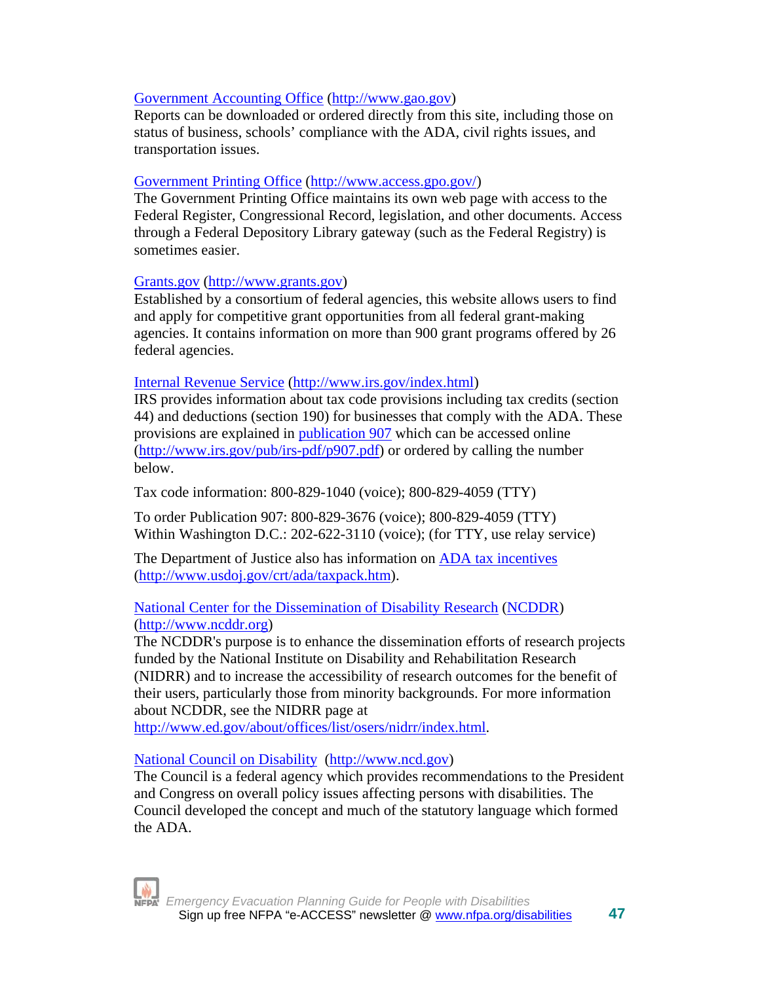#### [Government Accounting Office](http://www.gao.gov/) ([http://www.gao.gov\)](http://www.gao.gov/)

Reports can be downloaded or ordered directly from this site, including those on status of business, schools' compliance with the ADA, civil rights issues, and transportation issues.

#### [Government Printing Office](http://www.access.gpo.gov/) [\(http://www.access.gpo.gov/](http://www.access.gpo.gov/))

The Government Printing Office maintains its own web page with access to the Federal Register, Congressional Record, legislation, and other documents. Access through a Federal Depository Library gateway (such as the Federal Registry) is sometimes easier.

#### [Grants.gov](http://www.grants.gov/) ([http://www.grants.gov](http://www.grants.gov/))

Established by a consortium of federal agencies, this website allows users to find and apply for competitive grant opportunities from all federal grant-making agencies. It contains information on more than 900 grant programs offered by 26 federal agencies.

#### [Internal Revenue Service](http://www.irs.gov/index.html) [\(http://www.irs.gov/index.html\)](http://www.irs.gov/index.html)

IRS provides information about tax code provisions including tax credits (section 44) and deductions (section 190) for businesses that comply with the ADA. These provisions are explained in [publication 907](http://www.irs.gov/pub/irs-pdf/p907.pdf) which can be accessed online ([http://www.irs.gov/pub/irs-pdf/p907.pdf\)](http://www.irs.gov/pub/irs-pdf/p907.pdf) or ordered by calling the number below.

Tax code information: 800-829-1040 (voice); 800-829-4059 (TTY)

To order Publication 907: 800-829-3676 (voice); 800-829-4059 (TTY) Within Washington D.C.: 202-622-3110 (voice); (for TTY, use relay service)

The Department of Justice also has information on **ADA** tax incentives ([http://www.usdoj.gov/crt/ada/taxpack.htm\)](http://www.usdoj.gov/crt/ada/taxpack.htm).

#### [National Center for the Dissemination of Disability Research](http://www.ncddr.org/) ([NCDDR\)](http://www.ncddr.org/) ([http://www.ncddr.org](http://www.ncddr.org/))

The NCDDR's purpose is to enhance the dissemination efforts of research projects funded by the National Institute on Disability and Rehabilitation Research (NIDRR) and to increase the accessibility of research outcomes for the benefit of their users, particularly those from minority backgrounds. For more information about NCDDR, see the NIDRR page at

[http://www.ed.gov/about/offices/list/osers/nidrr/index.html.](http://www.ed.gov/about/offices/list/osers/nidrr/index.html)

#### [National Council on Disability](http://www.ncd.gov/) ([http://www.ncd.gov\)](http://www.ncd.gov/)

The Council is a federal agency which provides recommendations to the President and Congress on overall policy issues affecting persons with disabilities. The Council developed the concept and much of the statutory language which formed the ADA.

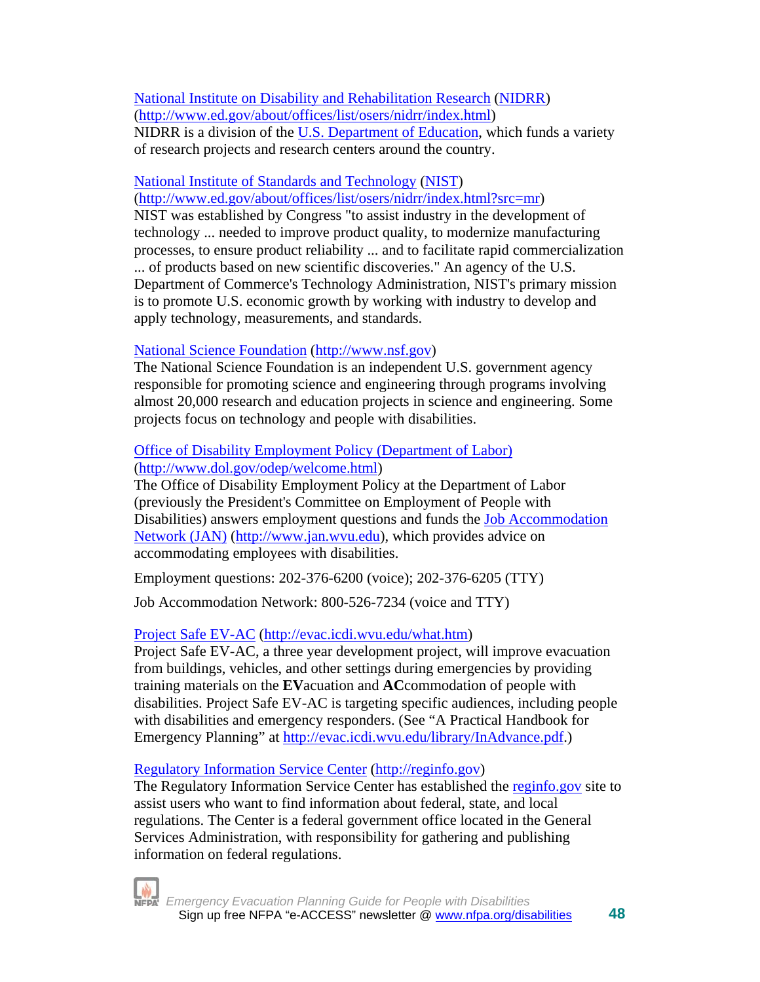[National Institute on Disability and Rehabilitation Research](http://www.ed.gov/about/offices/list/osers/nidrr/index.html?src=mr) [\(NIDRR\)](http://www.ed.gov/about/offices/list/osers/nidrr/index.html?src=mr) ([http://www.ed.gov/about/offices/list/osers/nidrr/index.html\)](http://www.ed.gov/about/offices/list/osers/nidrr/index.html) NIDRR is a division of the [U.S. Department of Education,](http://www.ed.gov/) which funds a variety of research projects and research centers around the country.

#### [National Institute of Standards and Technology](http://www.nist.gov/) ([NIST](http://www.ed.gov/about/offices/list/osers/nidrr/index.html?src=mr))

(<http://www.ed.gov/about/offices/list/osers/nidrr/index.html?src=mr>)

NIST was established by Congress "to assist industry in the development of technology ... needed to improve product quality, to modernize manufacturing processes, to ensure product reliability ... and to facilitate rapid commercialization ... of products based on new scientific discoveries." An agency of the U.S. Department of Commerce's Technology Administration, NIST's primary mission is to promote U.S. economic growth by working with industry to develop and apply technology, measurements, and standards.

## [National Science Foundation](http://www.nsf.gov/) [\(http://www.nsf.gov\)](http://www.nsf.gov/)

The National Science Foundation is an independent U.S. government agency responsible for promoting science and engineering through programs involving almost 20,000 research and education projects in science and engineering. Some projects focus on technology and people with disabilities.

#### [Office of Disability Employment Policy \(Department of Labor\)](http://www.dol.gov/odep/welcome.html) (<http://www.dol.gov/odep/welcome.html>)

The Office of Disability Employment Policy at the Department of Labor (previously the President's Committee on Employment of People with Disabilities) answers employment questions and funds the [Job Accommodation](http://www.jan.wvu.edu/)  [Network \(JAN\)](http://www.jan.wvu.edu/) ([http://www.jan.wvu.edu](http://www.jan.wvu.edu/)), which provides advice on accommodating employees with disabilities.

Employment questions: 202-376-6200 (voice); 202-376-6205 (TTY)

Job Accommodation Network: 800-526-7234 (voice and TTY)

# [Project Safe EV-AC](http://evac.icdi.wvu.edu/what.htm) ([http://evac.icdi.wvu.edu/what.htm\)](http://evac.icdi.wvu.edu/what.htm)

Project Safe EV-AC, a three year development project, will improve evacuation from buildings, vehicles, and other settings during emergencies by providing training materials on the **EV**acuation and **AC**commodation of people with disabilities. Project Safe EV-AC is targeting specific audiences, including people with disabilities and emergency responders. (See "A Practical Handbook for Emergency Planning" at<http://evac.icdi.wvu.edu/library/InAdvance.pdf>.)

#### [Regulatory Information Service Center](http://reginfo.gov/) ([http://reginfo.gov\)](http://reginfo.gov/)

The Regulatory Information Service Center has established the [reginfo.gov](http://www.reginfo.gov/public/) site to assist users who want to find information about federal, state, and local regulations. The Center is a federal government office located in the General Services Administration, with responsibility for gathering and publishing information on federal regulations.

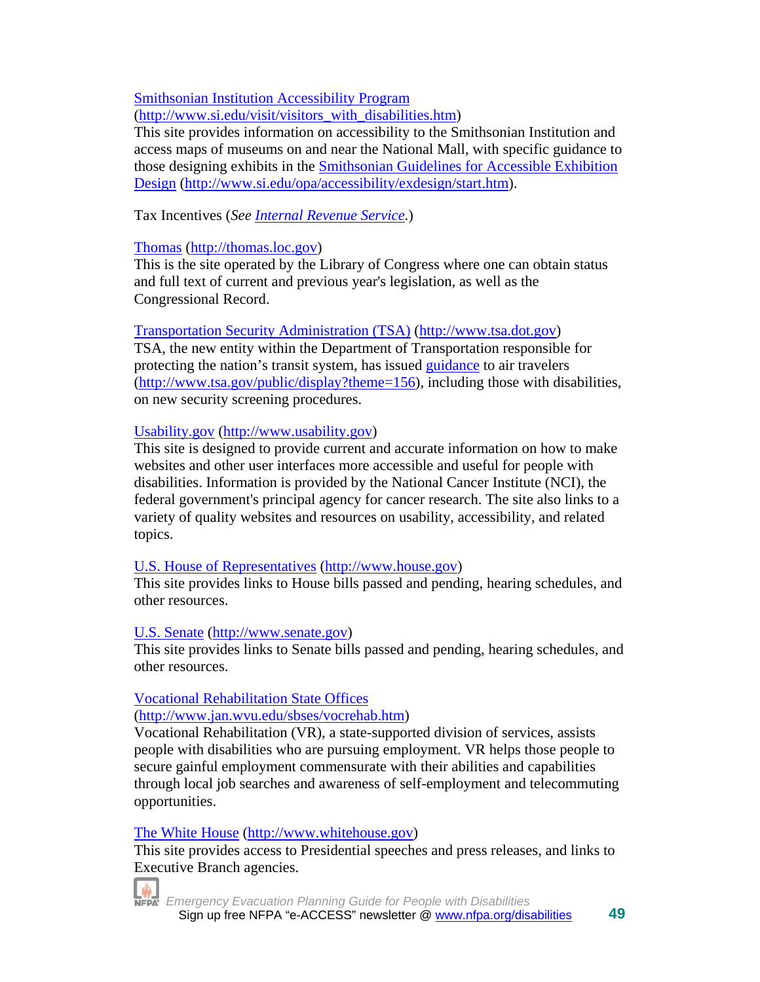[Smithsonian Institution Accessibility Program](http://www.si.edu/visit/visitors_with_disabilities.htm)

([http://www.si.edu/visit/visitors\\_with\\_disabilities.htm\)](http://www.si.edu/visit/visitors_with_disabilities.htm)

This site provides information on accessibility to the Smithsonian Institution and access maps of museums on and near the National Mall, with specific guidance to those designing exhibits in the [Smithsonian Guidelines for Accessible Exhibition](http://www.si.edu/opa/accessibility/exdesign/start.htm)  [Design](http://www.si.edu/opa/accessibility/exdesign/start.htm) [\(http://www.si.edu/opa/accessibility/exdesign/start.htm\)](http://www.si.edu/opa/accessibility/exdesign/start.htm).

Tax Incentives (*See [Internal Revenue Service](http://www.irs.gov/index.html)*.)

#### [Thomas](http://thomas.loc.gov/) ([http://thomas.loc.gov\)](http://thomas.loc.gov/)

This is the site operated by the Library of Congress where one can obtain status and full text of current and previous year's legislation, as well as the Congressional Record.

## [Transportation Security Administration \(TSA\)](http://www.tsa.dot.gov/) ([http://www.tsa.dot.gov](http://www.tsa.dot.gov/))

TSA, the new entity within the Department of Transportation responsible for protecting the nation's transit system, has issued [guidance](http://www.tsa.gov/public/display?theme=156) to air travelers ([http://www.tsa.gov/public/display?theme=156\)](http://www.tsa.gov/public/display?theme=156), including those with disabilities, on new security screening procedures.

## [Usability.gov](http://www.usability.gov/) ([http://www.usability.gov\)](http://www.usability.gov/)

This site is designed to provide current and accurate information on how to make websites and other user interfaces more accessible and useful for people with disabilities. Information is provided by the National Cancer Institute (NCI), the federal government's principal agency for cancer research. The site also links to a variety of quality websites and resources on usability, accessibility, and related topics.

#### U.S. House of Representatives ([http://www.house.gov\)](http://www.house.gov/)

This site provides links to House bills passed and pending, hearing schedules, and other resources.

#### U.S. Senate [\(http://www.senate.gov](http://www.senate.gov/))

This site provides links to Senate bills passed and pending, hearing schedules, and other resources.

# [Vocational Rehabilitation State Offices](http://www.jan.wvu.edu/SBSES/VOCREHAB.HTM)

#### ([http://www.jan.wvu.edu/sbses/vocrehab.htm\)](http://www.jan.wvu.edu/sbses/vocrehab.htm)

Vocational Rehabilitation (VR), a state-supported division of services, assists people with disabilities who are pursuing employment. VR helps those people to secure gainful employment commensurate with their abilities and capabilities through local job searches and awareness of self-employment and telecommuting opportunities.

# [The White House](http://www.whitehouse.gov/) ([http://www.whitehouse.gov\)](http://www.whitehouse.gov/)

This site provides access to Presidential speeches and press releases, and links to Executive Branch agencies.

 $\mathbf{A}$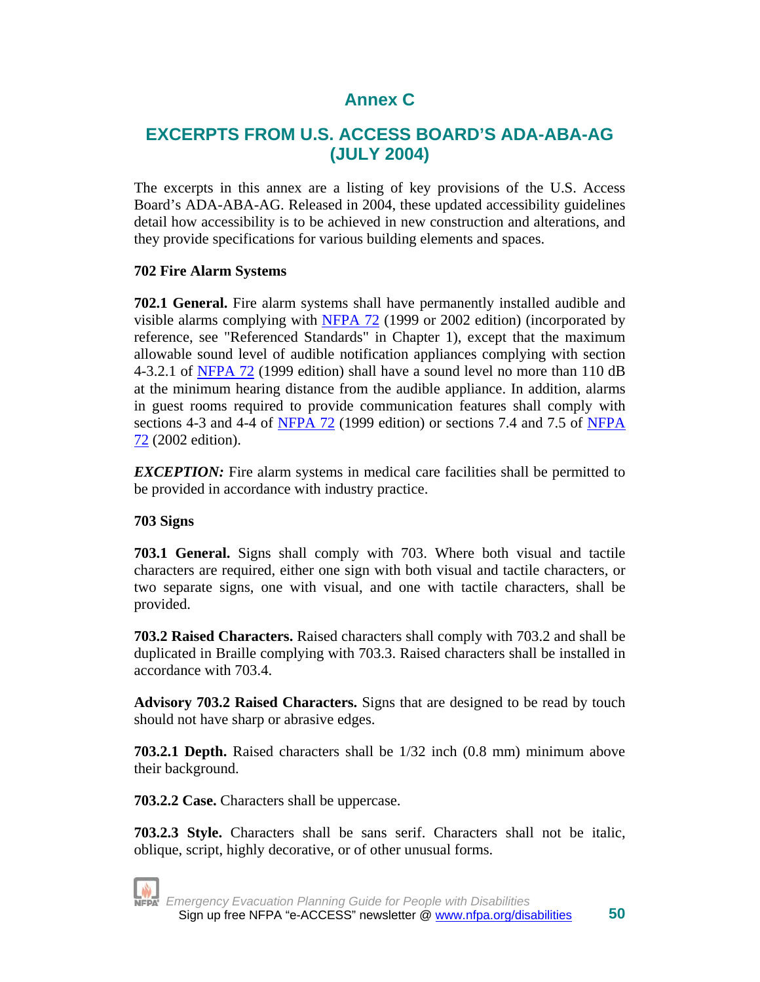# **Annex C**

# **EXCERPTS FROM U.S. ACCESS BOARD'S ADA-ABA-AG (JULY 2004)**

The excerpts in this annex are a listing of key provisions of the U.S. Access Board's ADA-ABA-AG. Released in 2004, these updated accessibility guidelines detail how accessibility is to be achieved in new construction and alterations, and they provide specifications for various building elements and spaces.

#### **702 Fire Alarm Systems**

**702.1 General.** Fire alarm systems shall have permanently installed audible and visible alarms complying with [NFPA 72](http://www.nfpa.org/aboutthecodes/AboutTheCodes.asp?DocNum=72) (1999 or 2002 edition) (incorporated by reference, see "Referenced Standards" in Chapter 1), except that the maximum allowable sound level of audible notification appliances complying with section 4-3.2.1 of [NFPA 72](http://www.nfpa.org/aboutthecodes/AboutTheCodes.asp?DocNum=72) (1999 edition) shall have a sound level no more than 110 dB at the minimum hearing distance from the audible appliance. In addition, alarms in guest rooms required to provide communication features shall comply with sections 4-3 and 4-4 of [NFPA 72](http://www.nfpa.org/aboutthecodes/AboutTheCodes.asp?DocNum=72) (1999 edition) or sections 7.4 and 7.5 of NFPA [72](http://www.nfpa.org/aboutthecodes/AboutTheCodes.asp?DocNum=72) (2002 edition).

*EXCEPTION:* Fire alarm systems in medical care facilities shall be permitted to be provided in accordance with industry practice.

#### **703 Signs**

**703.1 General.** Signs shall comply with 703. Where both visual and tactile characters are required, either one sign with both visual and tactile characters, or two separate signs, one with visual, and one with tactile characters, shall be provided.

**703.2 Raised Characters.** Raised characters shall comply with 703.2 and shall be duplicated in Braille complying with 703.3. Raised characters shall be installed in accordance with 703.4.

**Advisory 703.2 Raised Characters.** Signs that are designed to be read by touch should not have sharp or abrasive edges.

**703.2.1 Depth.** Raised characters shall be 1/32 inch (0.8 mm) minimum above their background.

**703.2.2 Case.** Characters shall be uppercase.

**703.2.3 Style.** Characters shall be sans serif. Characters shall not be italic, oblique, script, highly decorative, or of other unusual forms.

 *Emergency Evacuation Planning Guide for People with Disabilities*  Sign up free NFPA "e-ACCESS" newsletter @ www.nfpa.org/disabilities **50**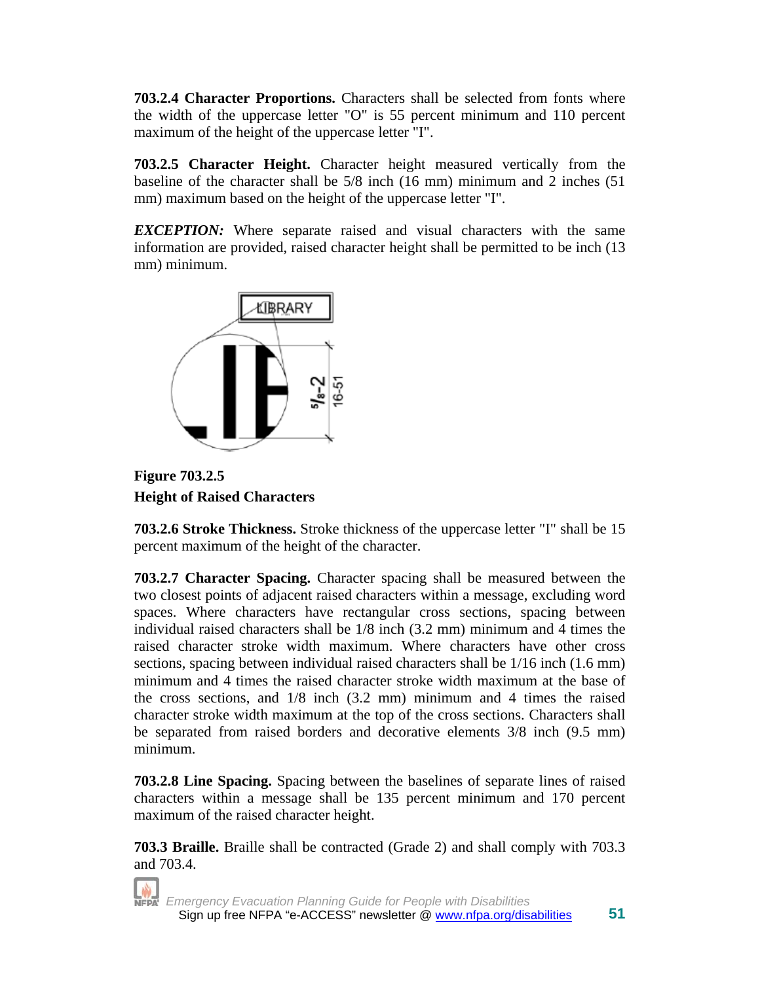**703.2.4 Character Proportions.** Characters shall be selected from fonts where the width of the uppercase letter "O" is 55 percent minimum and 110 percent maximum of the height of the uppercase letter "I".

**703.2.5 Character Height.** Character height measured vertically from the baseline of the character shall be 5/8 inch (16 mm) minimum and 2 inches (51 mm) maximum based on the height of the uppercase letter "I".

*EXCEPTION:* Where separate raised and visual characters with the same information are provided, raised character height shall be permitted to be inch (13 mm) minimum.





**703.2.6 Stroke Thickness.** Stroke thickness of the uppercase letter "I" shall be 15 percent maximum of the height of the character.

**703.2.7 Character Spacing.** Character spacing shall be measured between the two closest points of adjacent raised characters within a message, excluding word spaces. Where characters have rectangular cross sections, spacing between individual raised characters shall be 1/8 inch (3.2 mm) minimum and 4 times the raised character stroke width maximum. Where characters have other cross sections, spacing between individual raised characters shall be 1/16 inch (1.6 mm) minimum and 4 times the raised character stroke width maximum at the base of the cross sections, and 1/8 inch (3.2 mm) minimum and 4 times the raised character stroke width maximum at the top of the cross sections. Characters shall be separated from raised borders and decorative elements 3/8 inch (9.5 mm) minimum.

**703.2.8 Line Spacing.** Spacing between the baselines of separate lines of raised characters within a message shall be 135 percent minimum and 170 percent maximum of the raised character height.

**703.3 Braille.** Braille shall be contracted (Grade 2) and shall comply with 703.3 and 703.4.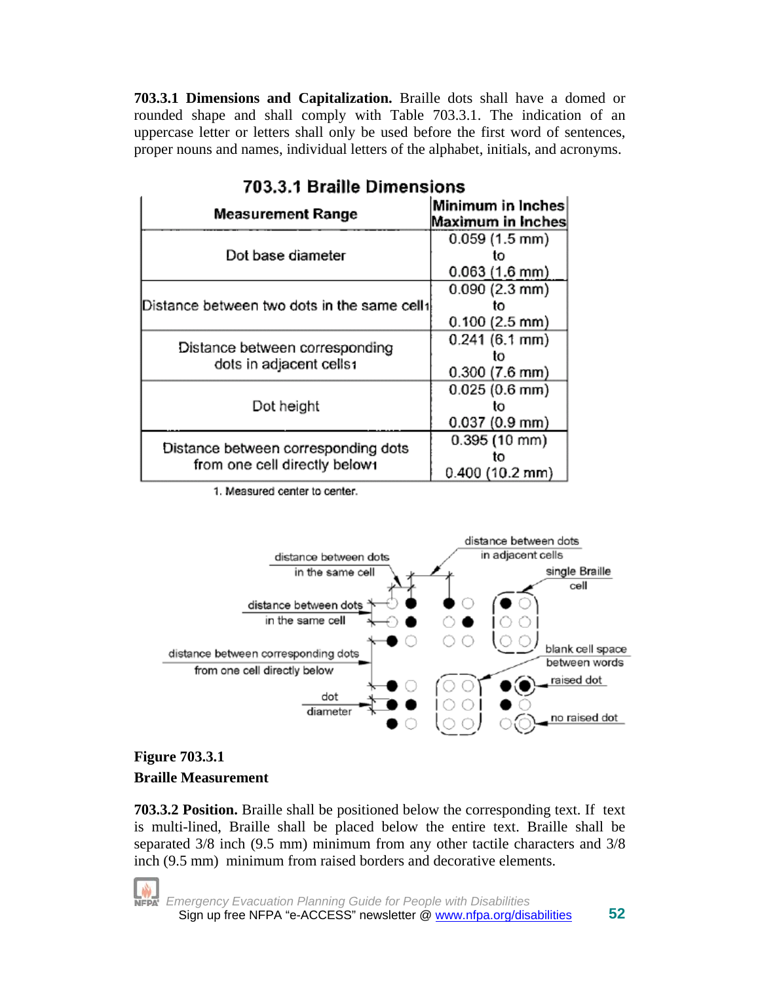**703.3.1 Dimensions and Capitalization.** Braille dots shall have a domed or rounded shape and shall comply with Table 703.3.1. The indication of an uppercase letter or letters shall only be used before the first word of sentences, proper nouns and names, individual letters of the alphabet, initials, and acronyms.

| <b>Measurement Range</b>                    | Minimum in Inches<br>Maximum in Inches |
|---------------------------------------------|----------------------------------------|
|                                             | $0.059(1.5 \text{ mm})$                |
| Dot base diameter                           | tο                                     |
|                                             | $0.063(1.6 \text{ mm})$                |
|                                             | $0.090(2.3 \text{ mm})$                |
| Distance between two dots in the same cell1 | m                                      |
|                                             | $0.100(2.5 \text{ mm})$                |
|                                             | $0.241(6.1$ mm)                        |
| Distance between corresponding              | tο                                     |
| dots in adjacent cells1                     | $0.300(7.6 \text{ mm})$                |
|                                             | $0.025(0.6$ mm)                        |
| Dot height                                  | tο                                     |
|                                             | $0.037(0.9$ mm)                        |
|                                             | $0.395(10 \text{ mm})$                 |
| Distance between corresponding dots         | m                                      |
| from one cell directly below1               | $0.400(10.2 \text{ mm})$               |

# 703.3.1 Braille Dimensions

1. Measured center to center.



## **Figure 703.3.1 Braille Measurement**

**703.3.2 Position.** Braille shall be positioned below the corresponding text. If text is multi-lined, Braille shall be placed below the entire text. Braille shall be separated 3/8 inch (9.5 mm) minimum from any other tactile characters and 3/8 inch (9.5 mm) minimum from raised borders and decorative elements.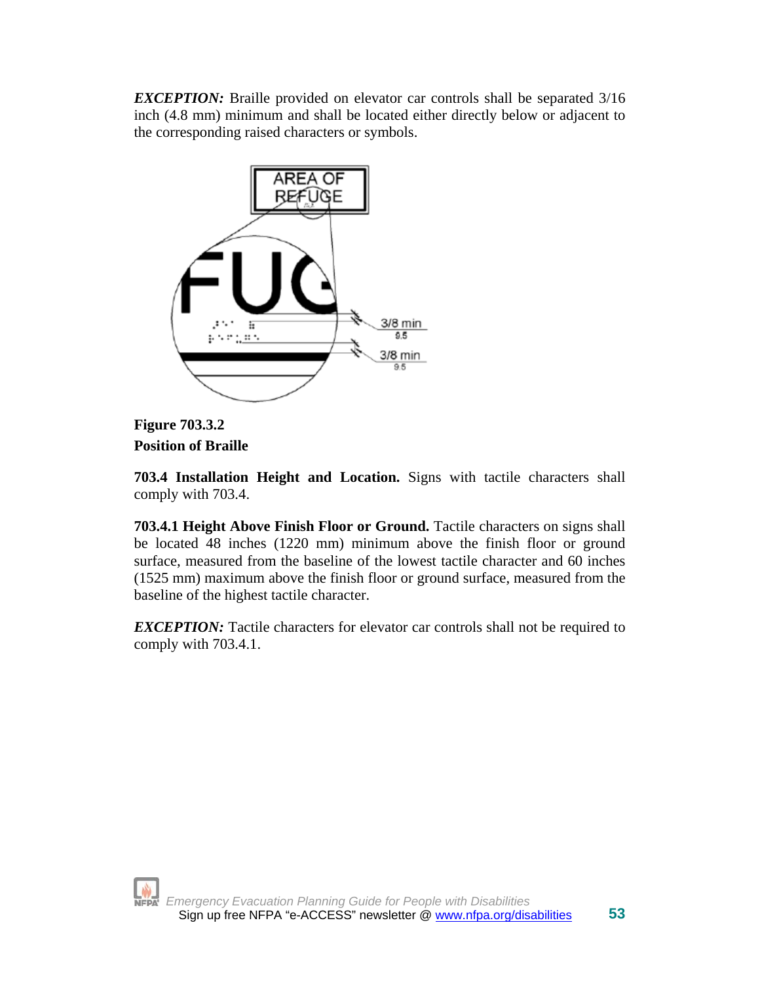*EXCEPTION:* Braille provided on elevator car controls shall be separated 3/16 inch (4.8 mm) minimum and shall be located either directly below or adjacent to the corresponding raised characters or symbols.





**703.4 Installation Height and Location.** Signs with tactile characters shall comply with 703.4.

**703.4.1 Height Above Finish Floor or Ground.** Tactile characters on signs shall be located 48 inches (1220 mm) minimum above the finish floor or ground surface, measured from the baseline of the lowest tactile character and 60 inches (1525 mm) maximum above the finish floor or ground surface, measured from the baseline of the highest tactile character.

**EXCEPTION:** Tactile characters for elevator car controls shall not be required to comply with 703.4.1.

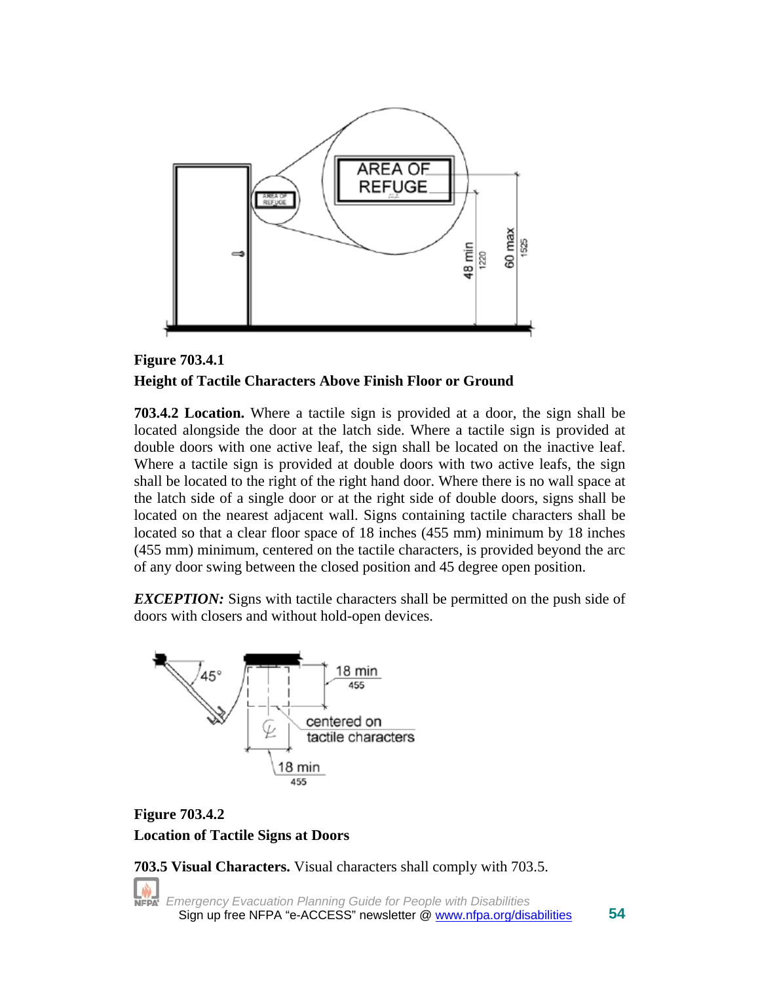



**703.4.2 Location.** Where a tactile sign is provided at a door, the sign shall be located alongside the door at the latch side. Where a tactile sign is provided at double doors with one active leaf, the sign shall be located on the inactive leaf. Where a tactile sign is provided at double doors with two active leafs, the sign shall be located to the right of the right hand door. Where there is no wall space at the latch side of a single door or at the right side of double doors, signs shall be located on the nearest adjacent wall. Signs containing tactile characters shall be located so that a clear floor space of 18 inches (455 mm) minimum by 18 inches (455 mm) minimum, centered on the tactile characters, is provided beyond the arc of any door swing between the closed position and 45 degree open position.

*EXCEPTION:* Signs with tactile characters shall be permitted on the push side of doors with closers and without hold-open devices.



**Figure 703.4.2 Location of Tactile Signs at Doors** 

**703.5 Visual Characters.** Visual characters shall comply with 703.5.

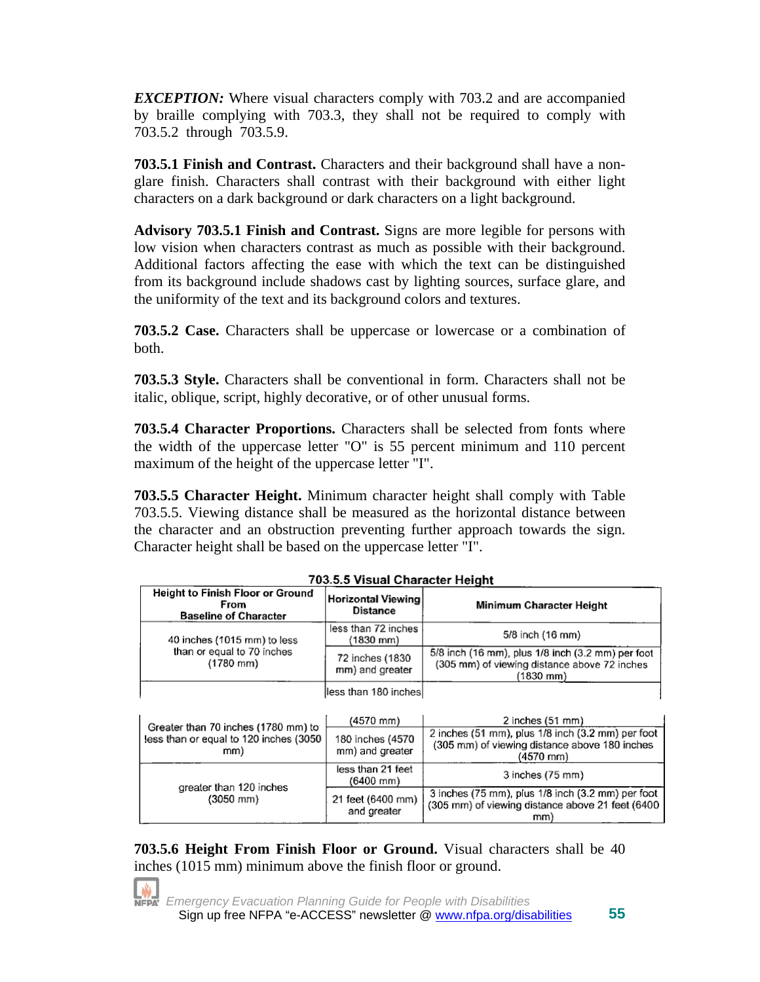*EXCEPTION:* Where visual characters comply with 703.2 and are accompanied by braille complying with 703.3, they shall not be required to comply with 703.5.2 through 703.5.9.

**703.5.1 Finish and Contrast.** Characters and their background shall have a nonglare finish. Characters shall contrast with their background with either light characters on a dark background or dark characters on a light background.

**Advisory 703.5.1 Finish and Contrast.** Signs are more legible for persons with low vision when characters contrast as much as possible with their background. Additional factors affecting the ease with which the text can be distinguished from its background include shadows cast by lighting sources, surface glare, and the uniformity of the text and its background colors and textures.

**703.5.2 Case.** Characters shall be uppercase or lowercase or a combination of both.

**703.5.3 Style.** Characters shall be conventional in form. Characters shall not be italic, oblique, script, highly decorative, or of other unusual forms.

**703.5.4 Character Proportions.** Characters shall be selected from fonts where the width of the uppercase letter "O" is 55 percent minimum and 110 percent maximum of the height of the uppercase letter "I".

**703.5.5 Character Height.** Minimum character height shall comply with Table 703.5.5. Viewing distance shall be measured as the horizontal distance between the character and an obstruction preventing further approach towards the sign. Character height shall be based on the uppercase letter "I".

|                       | Height to Finish Floor or Ground<br><b>From</b><br><b>Baseline of Character</b> | Horizontal Viewing<br>Distance      | Minimum Character Height                                                                                        |  |  |  |
|-----------------------|---------------------------------------------------------------------------------|-------------------------------------|-----------------------------------------------------------------------------------------------------------------|--|--|--|
|                       | 40 inches (1015 mm) to less                                                     | less than 72 inches<br>(1830 mm)    | 5/8 inch (16 mm)                                                                                                |  |  |  |
|                       | than or equal to 70 inches<br>$(1780 \text{ mm})$                               | 72 inches (1830<br>mm) and greater  | 5/8 inch (16 mm), plus 1/8 inch (3.2 mm) per foot<br>(305 mm) of viewing distance above 72 inches<br>(1830 mm)  |  |  |  |
| lless than 180 inches |                                                                                 |                                     |                                                                                                                 |  |  |  |
|                       | Greater than 70 inches (1780 mm) to                                             | (4570 mm)                           | $2$ inches $(51$ mm)                                                                                            |  |  |  |
|                       | less than or equal to 120 inches (3050<br>mm)                                   | 180 inches (4570<br>mm) and greater | 2 inches (51 mm), plus 1/8 inch (3.2 mm) per foot<br>(305 mm) of viewing distance above 180 inches<br>(4570 mm) |  |  |  |
|                       | greater than 120 inches                                                         | less than 21 feet<br>(6400 mm)      | 3 inches (75 mm)                                                                                                |  |  |  |
|                       | $(3050 \; \text{mm})$                                                           | 21 feet (6400 mm)<br>and greater    | 3 inches (75 mm), plus 1/8 inch (3.2 mm) per foot<br>(305 mm) of viewing distance above 21 feet (6400<br>mm)    |  |  |  |

703.5.5 Visual Character Height

**703.5.6 Height From Finish Floor or Ground.** Visual characters shall be 40 inches (1015 mm) minimum above the finish floor or ground.

 $\mathbf{A}$ 

 *Emergency Evacuation Planning Guide for People with Disabilities*  Sign up free NFPA "e-ACCESS" newsletter @ www.nfpa.org/disabilities **55**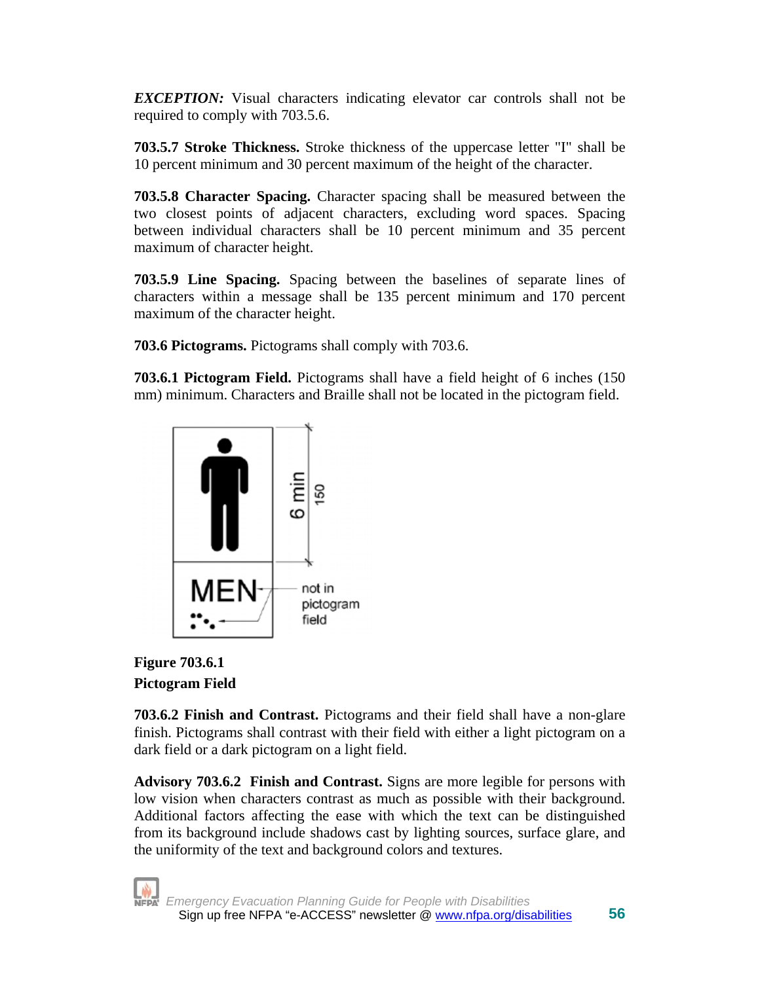*EXCEPTION:* Visual characters indicating elevator car controls shall not be required to comply with 703.5.6.

**703.5.7 Stroke Thickness.** Stroke thickness of the uppercase letter "I" shall be 10 percent minimum and 30 percent maximum of the height of the character.

**703.5.8 Character Spacing.** Character spacing shall be measured between the two closest points of adjacent characters, excluding word spaces. Spacing between individual characters shall be 10 percent minimum and 35 percent maximum of character height.

**703.5.9 Line Spacing.** Spacing between the baselines of separate lines of characters within a message shall be 135 percent minimum and 170 percent maximum of the character height.

**703.6 Pictograms.** Pictograms shall comply with 703.6.

**703.6.1 Pictogram Field.** Pictograms shall have a field height of 6 inches (150 mm) minimum. Characters and Braille shall not be located in the pictogram field.



#### **Figure 703.6.1 Pictogram Field**

**703.6.2 Finish and Contrast.** Pictograms and their field shall have a non-glare finish. Pictograms shall contrast with their field with either a light pictogram on a dark field or a dark pictogram on a light field.

**Advisory 703.6.2 Finish and Contrast.** Signs are more legible for persons with low vision when characters contrast as much as possible with their background. Additional factors affecting the ease with which the text can be distinguished from its background include shadows cast by lighting sources, surface glare, and the uniformity of the text and background colors and textures.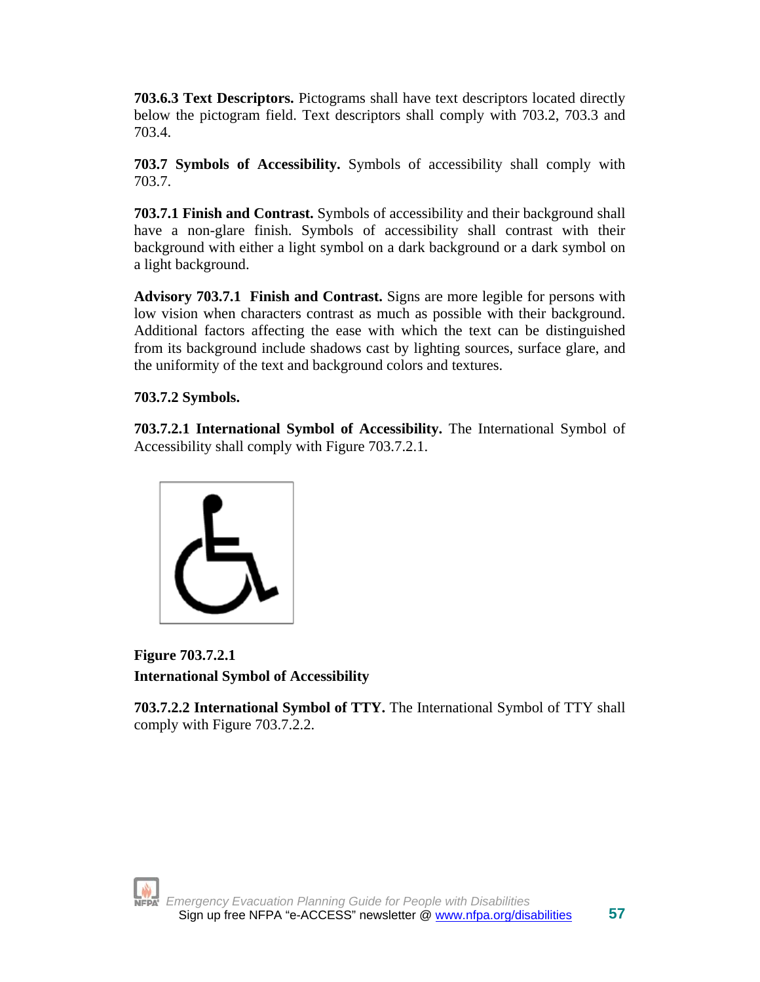**703.6.3 Text Descriptors.** Pictograms shall have text descriptors located directly below the pictogram field. Text descriptors shall comply with 703.2, 703.3 and 703.4.

**703.7 Symbols of Accessibility.** Symbols of accessibility shall comply with 703.7.

**703.7.1 Finish and Contrast.** Symbols of accessibility and their background shall have a non-glare finish. Symbols of accessibility shall contrast with their background with either a light symbol on a dark background or a dark symbol on a light background.

**Advisory 703.7.1 Finish and Contrast.** Signs are more legible for persons with low vision when characters contrast as much as possible with their background. Additional factors affecting the ease with which the text can be distinguished from its background include shadows cast by lighting sources, surface glare, and the uniformity of the text and background colors and textures.

## **703.7.2 Symbols.**

**703.7.2.1 International Symbol of Accessibility.** The International Symbol of Accessibility shall comply with Figure 703.7.2.1.



**Figure 703.7.2.1 International Symbol of Accessibility** 

**703.7.2.2 International Symbol of TTY.** The International Symbol of TTY shall comply with Figure 703.7.2.2.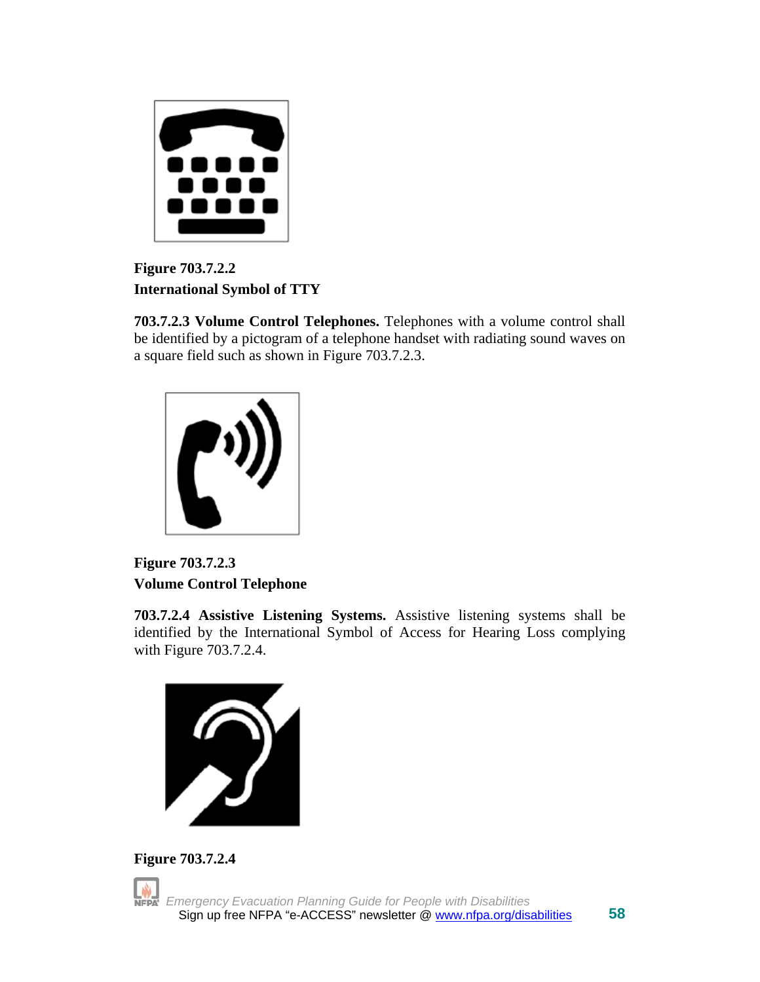

**Figure 703.7.2.2 International Symbol of TTY** 

**703.7.2.3 Volume Control Telephones.** Telephones with a volume control shall be identified by a pictogram of a telephone handset with radiating sound waves on a square field such as shown in Figure 703.7.2.3.



**Figure 703.7.2.3 Volume Control Telephone** 

**703.7.2.4 Assistive Listening Systems.** Assistive listening systems shall be identified by the International Symbol of Access for Hearing Loss complying with Figure 703.7.2.4.



**Figure 703.7.2.4** 

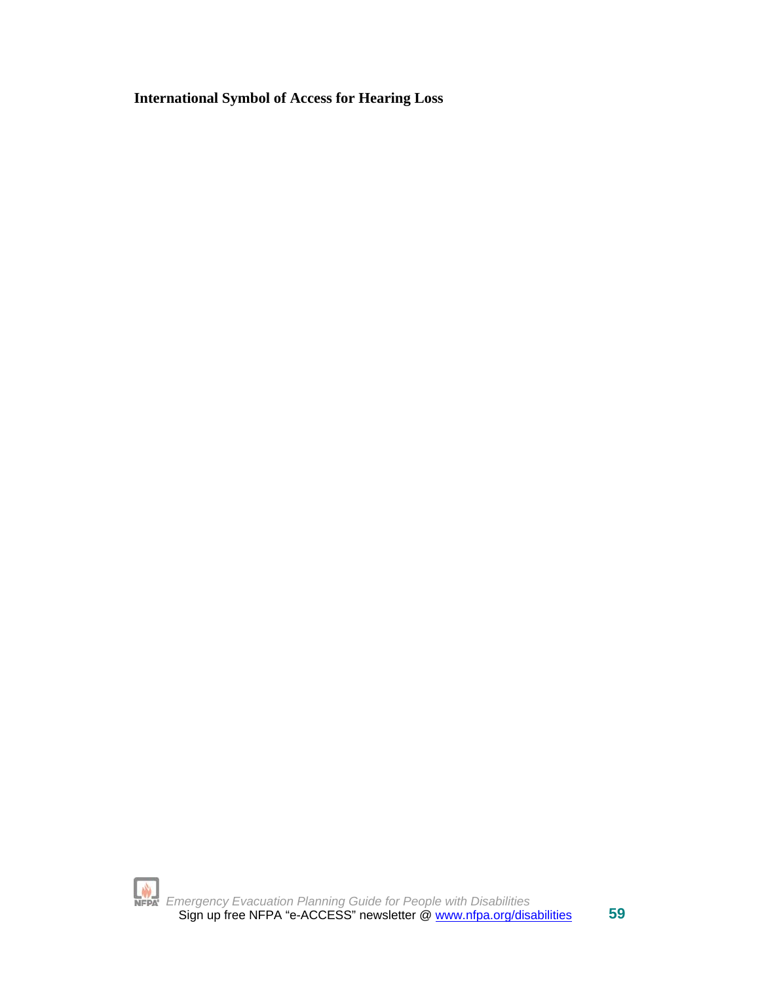**International Symbol of Access for Hearing Loss** 

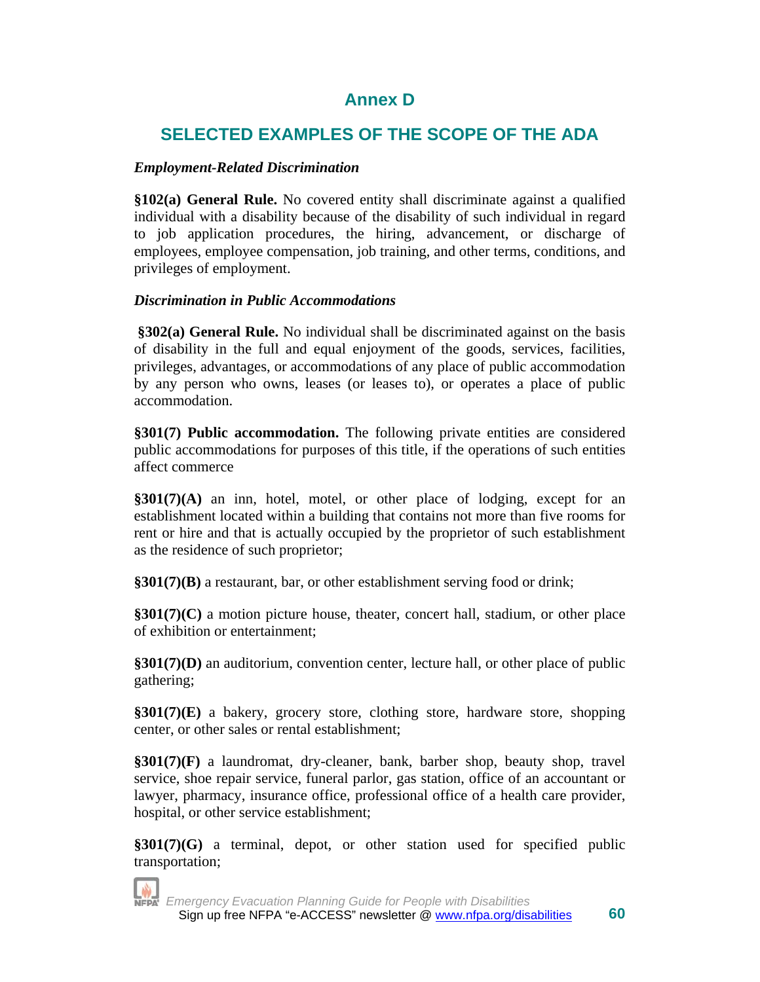# **Annex D**

# **SELECTED EXAMPLES OF THE SCOPE OF THE ADA**

#### *Employment-Related Discrimination*

**§102(a) General Rule.** No covered entity shall discriminate against a qualified individual with a disability because of the disability of such individual in regard to job application procedures, the hiring, advancement, or discharge of employees, employee compensation, job training, and other terms, conditions, and privileges of employment.

#### *Discrimination in Public Accommodations*

 **§302(a) General Rule.** No individual shall be discriminated against on the basis of disability in the full and equal enjoyment of the goods, services, facilities, privileges, advantages, or accommodations of any place of public accommodation by any person who owns, leases (or leases to), or operates a place of public accommodation.

**§301(7) Public accommodation.** The following private entities are considered public accommodations for purposes of this title, if the operations of such entities affect commerce

**§301(7)(A)** an inn, hotel, motel, or other place of lodging, except for an establishment located within a building that contains not more than five rooms for rent or hire and that is actually occupied by the proprietor of such establishment as the residence of such proprietor;

**§301(7)(B)** a restaurant, bar, or other establishment serving food or drink;

**§301(7)(C)** a motion picture house, theater, concert hall, stadium, or other place of exhibition or entertainment;

**§301(7)(D)** an auditorium, convention center, lecture hall, or other place of public gathering;

**§301(7)(E)** a bakery, grocery store, clothing store, hardware store, shopping center, or other sales or rental establishment;

**§301(7)(F)** a laundromat, dry-cleaner, bank, barber shop, beauty shop, travel service, shoe repair service, funeral parlor, gas station, office of an accountant or lawyer, pharmacy, insurance office, professional office of a health care provider, hospital, or other service establishment;

**§301(7)(G)** a terminal, depot, or other station used for specified public transportation;